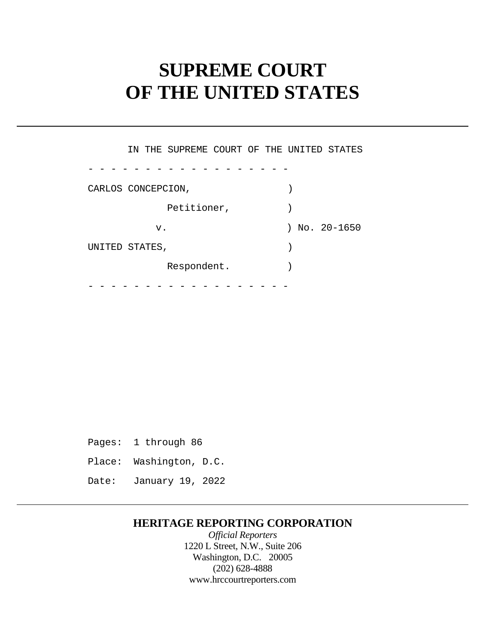# **SUPREME COURT OF THE UNITED STATES**

 - - - - - - - - - - - - - - - - - - - - - - - - - - - - - - - - - - - - IN THE SUPREME COURT OF THE UNITED STATES CARLOS CONCEPCION, Petitioner,  $)$ v. ) No. 20-1650 UNITED STATES,  $)$ Respondent.

 Pages: 1 through 86 Place: Washington, D.C. Date: January 19, 2022

### **HERITAGE REPORTING CORPORATION**

*Official Reporters*  1220 L Street, N.W., Suite 206 Washington, D.C. 20005 (202) 628-4888 <www.hrccourtreporters.com>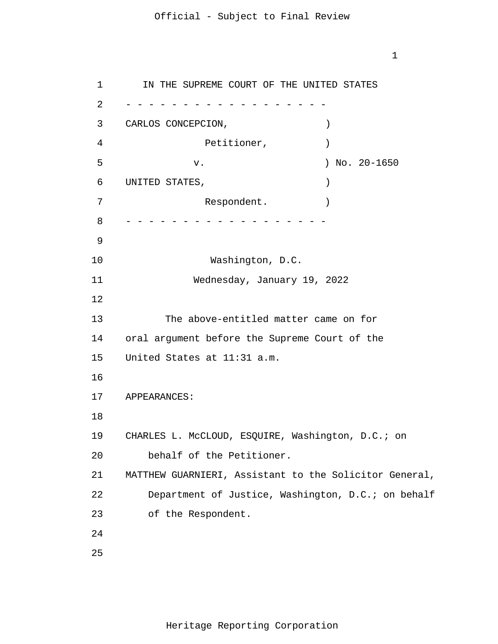1

1 2 3 4 5 6 7 8 9 10 11 12 13 14 15 16 17 18 19 20 21 22 23 24 25 - - - - - - - - - - - - - - - - - - - - - - - - - - - - - - - - - - - - IN THE SUPREME COURT OF THE UNITED STATES CARLOS CONCEPCION, Petitioner,  $)$  v. ) No. 20-1650 UNITED STATES,  $)$ Respondent. Washington, D.C. Wednesday, January 19, 2022 The above-entitled matter came on for oral argument before the Supreme Court of the United States at 11:31 a.m. APPEARANCES: CHARLES L. McCLOUD, ESQUIRE, Washington, D.C.; on behalf of the Petitioner. MATTHEW GUARNIERI, Assistant to the Solicitor General, Department of Justice, Washington, D.C.; on behalf of the Respondent.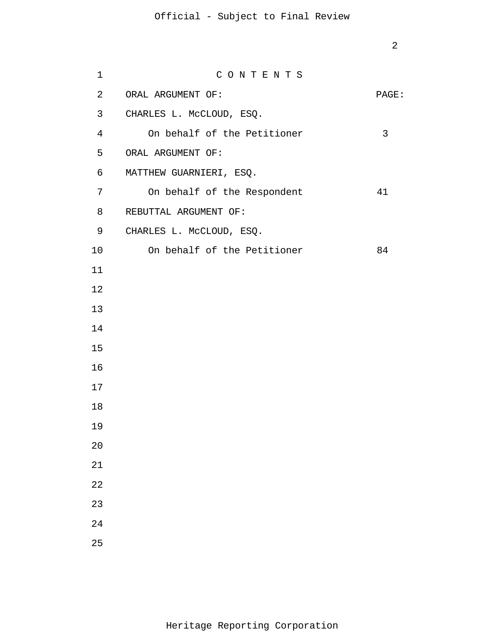| 1  | CONTENTS                    |       |
|----|-----------------------------|-------|
| 2  | ORAL ARGUMENT OF:           | PAGE: |
| 3  | CHARLES L. McCLOUD, ESQ.    |       |
| 4  | On behalf of the Petitioner | 3     |
| 5  | ORAL ARGUMENT OF:           |       |
| 6  | MATTHEW GUARNIERI, ESQ.     |       |
| 7  | On behalf of the Respondent | 41    |
| 8  | REBUTTAL ARGUMENT OF:       |       |
| 9  | CHARLES L. McCLOUD, ESQ.    |       |
| 10 | On behalf of the Petitioner | 84    |
| 11 |                             |       |
| 12 |                             |       |
| 13 |                             |       |
| 14 |                             |       |
| 15 |                             |       |
| 16 |                             |       |
| 17 |                             |       |
| 18 |                             |       |
| 19 |                             |       |
| 20 |                             |       |
| 21 |                             |       |
| 22 |                             |       |
| 23 |                             |       |
| 24 |                             |       |
| 25 |                             |       |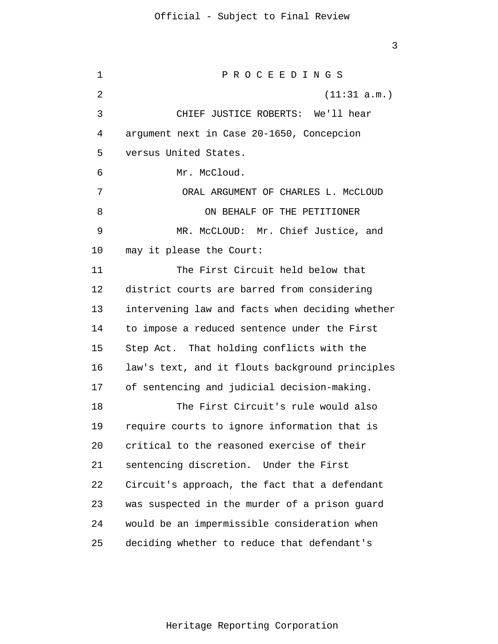1 2 3 4 5 6 7 8 9 10 11 12 13 14 15 16 17 18 19 20 21 22 23 24 25 P R O C E E D I N G S (11:31 a.m.) CHIEF JUSTICE ROBERTS: We'll hear argument next in Case 20-1650, Concepcion versus United States. Mr. McCloud. ORAL ARGUMENT OF CHARLES L. MCCLOUD ON BEHALF OF THE PETITIONER MR. McCLOUD: Mr. Chief Justice, and may it please the Court: The First Circuit held below that district courts are barred from considering intervening law and facts when deciding whether to impose a reduced sentence under the First Step Act. That holding conflicts with the law's text, and it flouts background principles of sentencing and judicial decision-making. The First Circuit's rule would also require courts to ignore information that is critical to the reasoned exercise of their sentencing discretion. Under the First Circuit's approach, the fact that a defendant was suspected in the murder of a prison guard would be an impermissible consideration when deciding whether to reduce that defendant's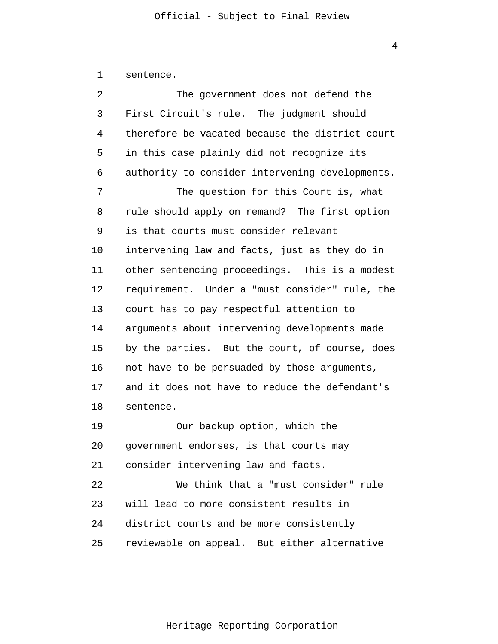| sentence. |  |
|-----------|--|
|-----------|--|

2 3 4 5 6 7 8 9 10 11 12 13 14 15 16 17 18 19 20 21 22 23 24 25 The government does not defend the First Circuit's rule. The judgment should therefore be vacated because the district court in this case plainly did not recognize its authority to consider intervening developments. The question for this Court is, what rule should apply on remand? The first option is that courts must consider relevant intervening law and facts, just as they do in other sentencing proceedings. This is a modest requirement. Under a "must consider" rule, the court has to pay respectful attention to arguments about intervening developments made by the parties. But the court, of course, does not have to be persuaded by those arguments, and it does not have to reduce the defendant's sentence. Our backup option, which the government endorses, is that courts may consider intervening law and facts. We think that a "must consider" rule will lead to more consistent results in district courts and be more consistently reviewable on appeal. But either alternative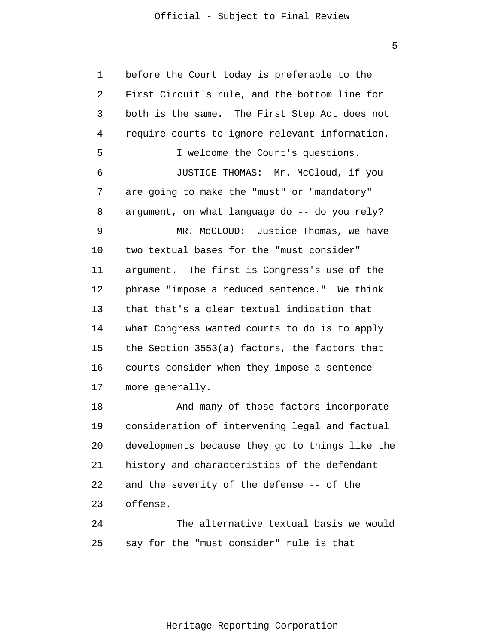5

1 2 3 4 5 6 7 8 9 10 11 12 13 14 15 16 17 18 19 20 before the Court today is preferable to the First Circuit's rule, and the bottom line for both is the same. The First Step Act does not require courts to ignore relevant information. I welcome the Court's questions. JUSTICE THOMAS: Mr. McCloud, if you are going to make the "must" or "mandatory" argument, on what language do -- do you rely? MR. McCLOUD: Justice Thomas, we have two textual bases for the "must consider" argument. The first is Congress's use of the phrase "impose a reduced sentence." We think that that's a clear textual indication that what Congress wanted courts to do is to apply the Section 3553(a) factors, the factors that courts consider when they impose a sentence more generally. And many of those factors incorporate consideration of intervening legal and factual developments because they go to things like the

22 23 and the severity of the defense -- of the offense.

21

24 25 The alternative textual basis we would say for the "must consider" rule is that

history and characteristics of the defendant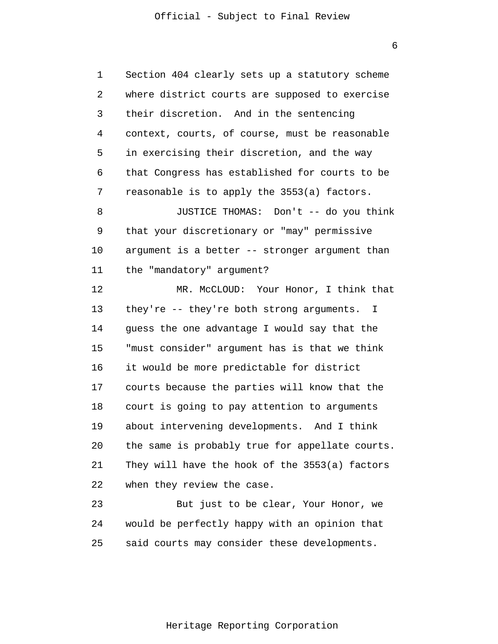1 2 3 4 5 6 7 8 9 10 11 12 13 14 15 16 17 18 19 20 21 22 23 24 25 Section 404 clearly sets up a statutory scheme where district courts are supposed to exercise their discretion. And in the sentencing context, courts, of course, must be reasonable in exercising their discretion, and the way that Congress has established for courts to be reasonable is to apply the 3553(a) factors. JUSTICE THOMAS: Don't -- do you think that your discretionary or "may" permissive argument is a better -- stronger argument than the "mandatory" argument? MR. McCLOUD: Your Honor, I think that they're -- they're both strong arguments. I guess the one advantage I would say that the "must consider" argument has is that we think it would be more predictable for district courts because the parties will know that the court is going to pay attention to arguments about intervening developments. And I think the same is probably true for appellate courts. They will have the hook of the 3553(a) factors when they review the case. But just to be clear, Your Honor, we would be perfectly happy with an opinion that said courts may consider these developments.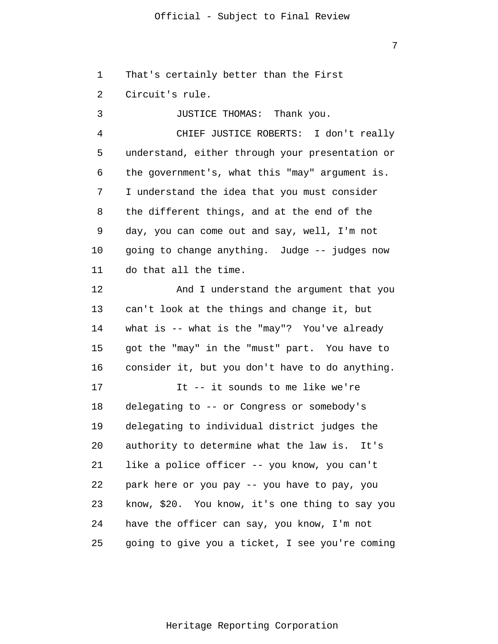7

1 That's certainly better than the First

2 Circuit's rule.

3 4 5 6 7 8 9 10 11 JUSTICE THOMAS: Thank you. CHIEF JUSTICE ROBERTS: I don't really understand, either through your presentation or the government's, what this "may" argument is. I understand the idea that you must consider the different things, and at the end of the day, you can come out and say, well, I'm not going to change anything. Judge -- judges now do that all the time.

12 13 14 15 16 17 18 19 20 21 22 23 And I understand the argument that you can't look at the things and change it, but what is -- what is the "may"? You've already got the "may" in the "must" part. You have to consider it, but you don't have to do anything. It -- it sounds to me like we're delegating to -- or Congress or somebody's delegating to individual district judges the authority to determine what the law is. It's like a police officer -- you know, you can't park here or you pay -- you have to pay, you know, \$20. You know, it's one thing to say you

24 have the officer can say, you know, I'm not

25 going to give you a ticket, I see you're coming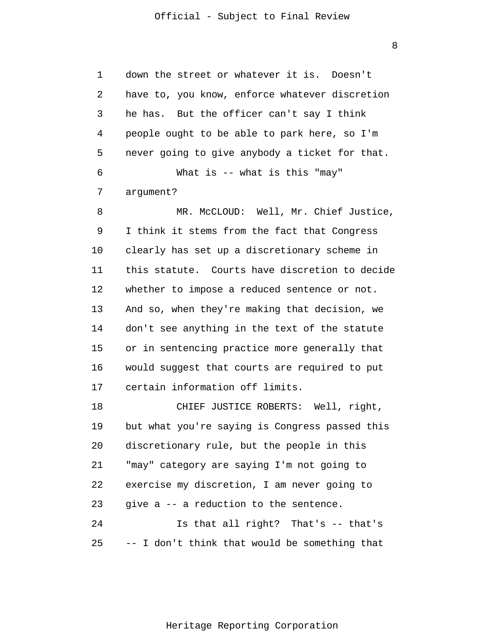8

1 2 3 4 5 6 7 8 9 10 11 12 13 14 15 16 17 18 19 20 21 22 23 24 25 down the street or whatever it is. Doesn't have to, you know, enforce whatever discretion he has. But the officer can't say I think people ought to be able to park here, so I'm never going to give anybody a ticket for that. What is -- what is this "may" argument? MR. McCLOUD: Well, Mr. Chief Justice, I think it stems from the fact that Congress clearly has set up a discretionary scheme in this statute. Courts have discretion to decide whether to impose a reduced sentence or not. And so, when they're making that decision, we don't see anything in the text of the statute or in sentencing practice more generally that would suggest that courts are required to put certain information off limits. CHIEF JUSTICE ROBERTS: Well, right, but what you're saying is Congress passed this discretionary rule, but the people in this "may" category are saying I'm not going to exercise my discretion, I am never going to give a -- a reduction to the sentence. Is that all right? That's -- that's -- I don't think that would be something that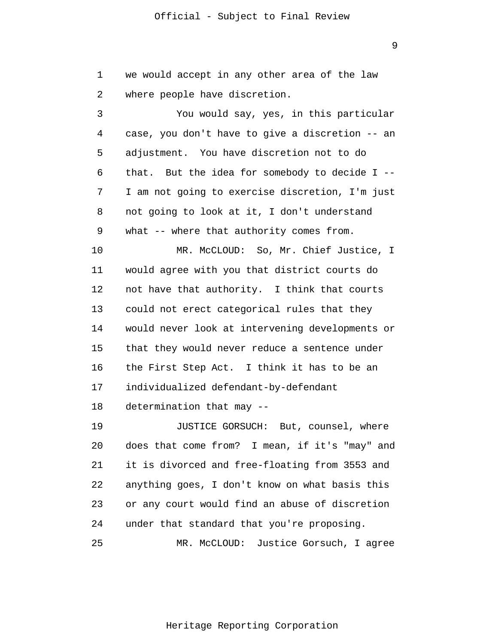1 2 we would accept in any other area of the law where people have discretion.

3 4 5 6 7 8 9 10 11 12 13 14 15 16 17 You would say, yes, in this particular case, you don't have to give a discretion -- an adjustment. You have discretion not to do that. But the idea for somebody to decide I -- I am not going to exercise discretion, I'm just not going to look at it, I don't understand what -- where that authority comes from. MR. McCLOUD: So, Mr. Chief Justice, I would agree with you that district courts do not have that authority. I think that courts could not erect categorical rules that they would never look at intervening developments or that they would never reduce a sentence under the First Step Act. I think it has to be an individualized defendant-by-defendant

18 determination that may --

19 20 21 22 23 24 JUSTICE GORSUCH: But, counsel, where does that come from? I mean, if it's "may" and it is divorced and free-floating from 3553 and anything goes, I don't know on what basis this or any court would find an abuse of discretion under that standard that you're proposing.

25 MR. McCLOUD: Justice Gorsuch, I agree

9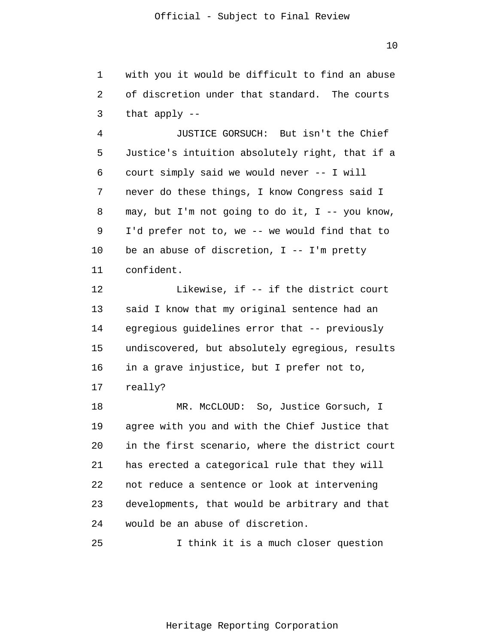1 2 3 with you it would be difficult to find an abuse of discretion under that standard. The courts that apply --

4 5 6 7 8 9 10 11 JUSTICE GORSUCH: But isn't the Chief Justice's intuition absolutely right, that if a court simply said we would never -- I will never do these things, I know Congress said I may, but I'm not going to do it, I  $-$ - you know, I'd prefer not to, we -- we would find that to be an abuse of discretion,  $I$  --  $I'm$  pretty confident.

12 13 14 15 16 17 Likewise, if -- if the district court said I know that my original sentence had an egregious guidelines error that -- previously undiscovered, but absolutely egregious, results in a grave injustice, but I prefer not to, really?

18 19 20 21 22 23 24 MR. McCLOUD: So, Justice Gorsuch, I agree with you and with the Chief Justice that in the first scenario, where the district court has erected a categorical rule that they will not reduce a sentence or look at intervening developments, that would be arbitrary and that would be an abuse of discretion.

25 I think it is a much closer question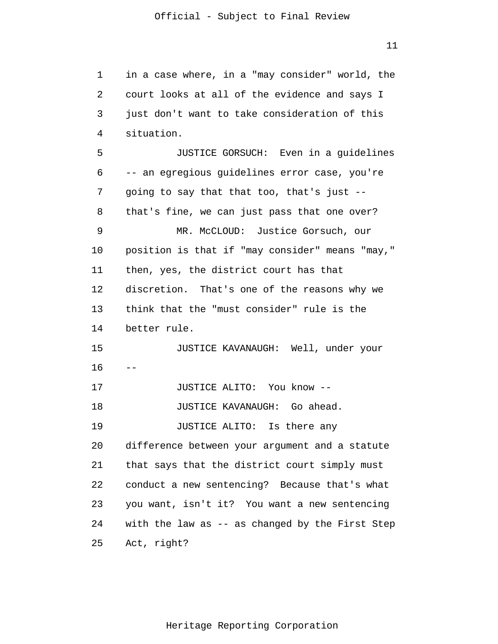1 2 3 4 5 6 7 8 9 10 11 12 13 14 15 16 17 18 19 20 21 22 23 24 25  $$ in a case where, in a "may consider" world, the court looks at all of the evidence and says I just don't want to take consideration of this situation. JUSTICE GORSUCH: Even in a guidelines -- an egregious guidelines error case, you're going to say that that too, that's just - that's fine, we can just pass that one over? MR. McCLOUD: Justice Gorsuch, our position is that if "may consider" means "may," then, yes, the district court has that discretion. That's one of the reasons why we think that the "must consider" rule is the better rule. JUSTICE KAVANAUGH: Well, under your JUSTICE ALITO: You know -- JUSTICE KAVANAUGH: Go ahead. JUSTICE ALITO: Is there any difference between your argument and a statute that says that the district court simply must conduct a new sentencing? Because that's what you want, isn't it? You want a new sentencing with the law as -- as changed by the First Step Act, right?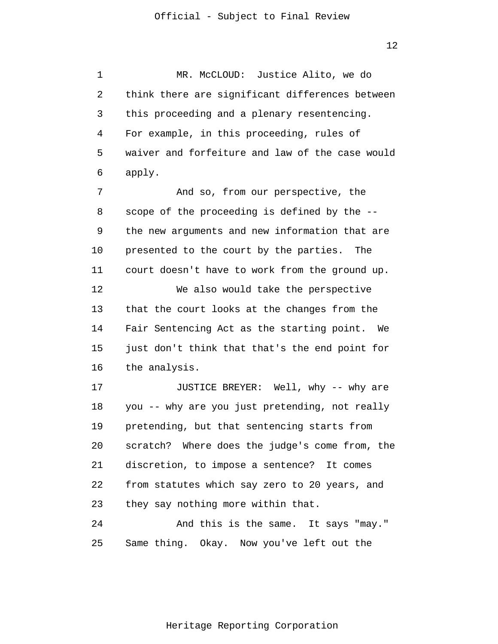1 2 3 4 5 6 7 MR. McCLOUD: Justice Alito, we do think there are significant differences between this proceeding and a plenary resentencing. For example, in this proceeding, rules of waiver and forfeiture and law of the case would apply. And so, from our perspective, the

8 9 10 11 12 13 14 scope of the proceeding is defined by the - the new arguments and new information that are presented to the court by the parties. The court doesn't have to work from the ground up. We also would take the perspective that the court looks at the changes from the Fair Sentencing Act as the starting point. We

15 16 just don't think that that's the end point for the analysis.

17 18 19 20 21 22 23 24 JUSTICE BREYER: Well, why -- why are you -- why are you just pretending, not really pretending, but that sentencing starts from scratch? Where does the judge's come from, the discretion, to impose a sentence? It comes from statutes which say zero to 20 years, and they say nothing more within that. And this is the same. It says "may."

25 Same thing. Okay. Now you've left out the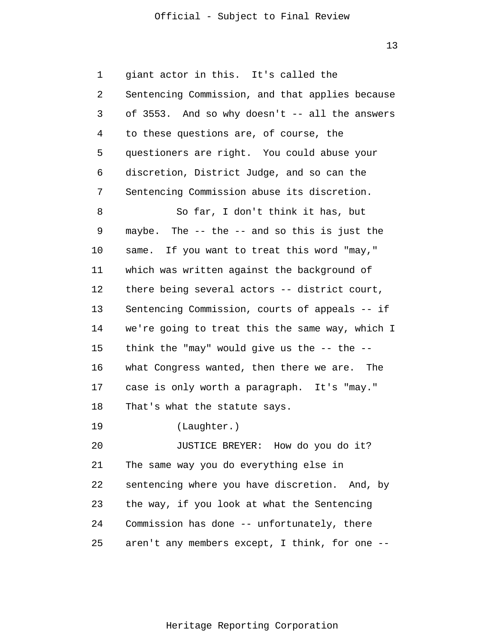1 2 3 4 5 6 7 8 9 10 11 12 13 14 15 16 17 18 19 20 21 22 23 24 25 giant actor in this. It's called the Sentencing Commission, and that applies because of 3553. And so why doesn't -- all the answers to these questions are, of course, the questioners are right. You could abuse your discretion, District Judge, and so can the Sentencing Commission abuse its discretion. So far, I don't think it has, but maybe. The -- the -- and so this is just the same. If you want to treat this word "may," which was written against the background of there being several actors -- district court, Sentencing Commission, courts of appeals -- if we're going to treat this the same way, which I think the "may" would give us the  $-$ - the  $-$ what Congress wanted, then there we are. The case is only worth a paragraph. It's "may." That's what the statute says. (Laughter.) JUSTICE BREYER: How do you do it? The same way you do everything else in sentencing where you have discretion. And, by the way, if you look at what the Sentencing Commission has done -- unfortunately, there aren't any members except, I think, for one --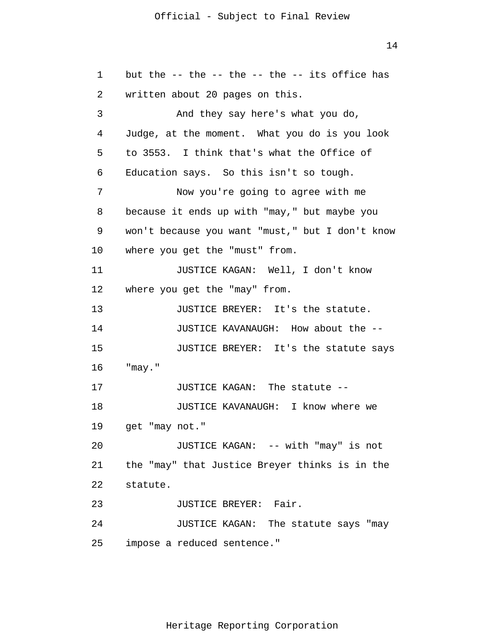14

1 2 3 4 5 6 7 8 9 10 11 12 13 14 15 16 17 18 19 20 21 22 23 24 25 but the  $-$ - the  $-$ - the  $-$ - the  $-$ - its office has written about 20 pages on this. And they say here's what you do, Judge, at the moment. What you do is you look to 3553. I think that's what the Office of Education says. So this isn't so tough. Now you're going to agree with me because it ends up with "may," but maybe you won't because you want "must," but I don't know where you get the "must" from. JUSTICE KAGAN: Well, I don't know where you get the "may" from. JUSTICE BREYER: It's the statute. JUSTICE KAVANAUGH: How about the -- JUSTICE BREYER: It's the statute says "may." JUSTICE KAGAN: The statute -- JUSTICE KAVANAUGH: I know where we get "may not." JUSTICE KAGAN: -- with "may" is not the "may" that Justice Breyer thinks is in the statute. JUSTICE BREYER: Fair. JUSTICE KAGAN: The statute says "may impose a reduced sentence."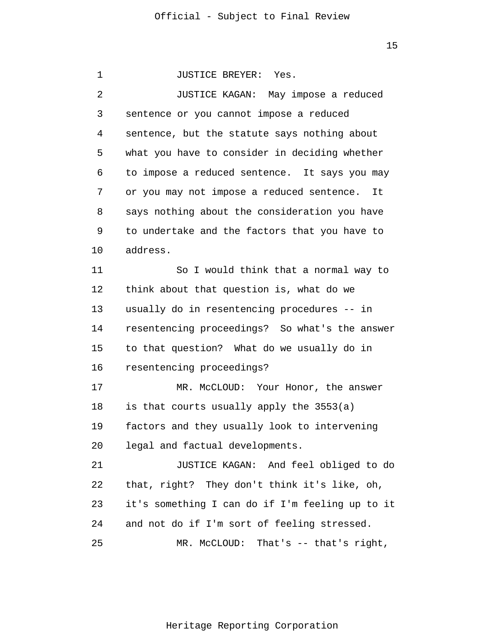| 1  | <b>JUSTICE BREYER:</b><br>Yes.                  |
|----|-------------------------------------------------|
| 2  | JUSTICE KAGAN: May impose a reduced             |
| 3  | sentence or you cannot impose a reduced         |
| 4  | sentence, but the statute says nothing about    |
| 5  | what you have to consider in deciding whether   |
| 6  | to impose a reduced sentence. It says you may   |
| 7  | or you may not impose a reduced sentence.<br>It |
| 8  | says nothing about the consideration you have   |
| 9  | to undertake and the factors that you have to   |
| 10 | address.                                        |
| 11 | So I would think that a normal way to           |
| 12 | think about that question is, what do we        |
| 13 | usually do in resentencing procedures -- in     |
| 14 | resentencing proceedings? So what's the answer  |
| 15 | to that question? What do we usually do in      |
| 16 | resentencing proceedings?                       |
| 17 | MR. McCLOUD: Your Honor, the answer             |
| 18 | is that courts usually apply the 3553(a)        |
| 19 | factors and they usually look to intervening    |
| 20 | legal and factual developments.                 |
| 21 | JUSTICE KAGAN: And feel obliged to do           |
| 22 | that, right? They don't think it's like, oh,    |
| 23 | it's something I can do if I'm feeling up to it |
| 24 | and not do if I'm sort of feeling stressed.     |
| 25 | MR. McCLOUD:<br>That's $--$ that's right,       |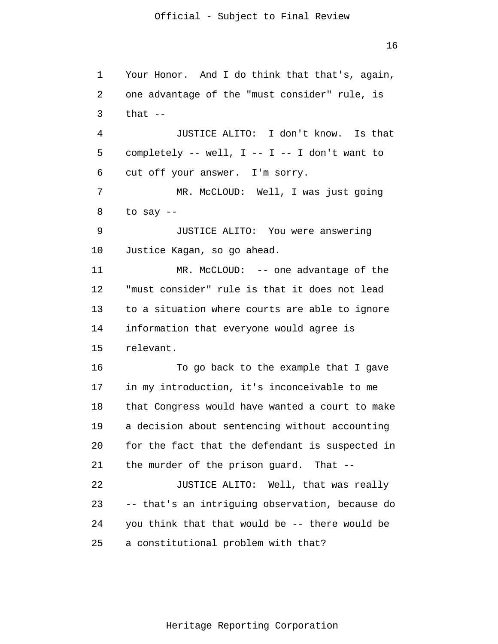1 2 3 4 5 6 7 8 9 10 11 12 13 14 15 16 17 18 19 20 21 22 23 24 25 Your Honor. And I do think that that's, again, one advantage of the "must consider" rule, is that  $--$ JUSTICE ALITO: I don't know. Is that completely  $--$  well, I  $--$  I  $--$  I don't want to cut off your answer. I'm sorry. MR. McCLOUD: Well, I was just going to say -- JUSTICE ALITO: You were answering Justice Kagan, so go ahead. MR. McCLOUD: -- one advantage of the "must consider" rule is that it does not lead to a situation where courts are able to ignore information that everyone would agree is relevant. To go back to the example that I gave in my introduction, it's inconceivable to me that Congress would have wanted a court to make a decision about sentencing without accounting for the fact that the defendant is suspected in the murder of the prison guard. That -- JUSTICE ALITO: Well, that was really -- that's an intriguing observation, because do you think that that would be -- there would be a constitutional problem with that?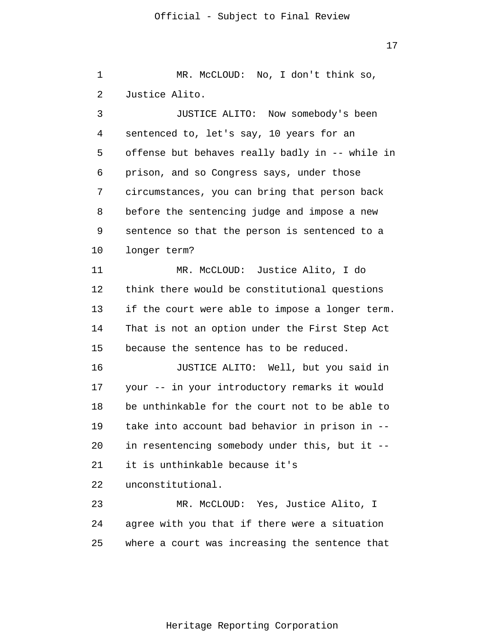1 2 3 4 5 6 7 8 9 10 11 12 13 14 15 16 17 18 19 20 21 22 23 24 25 MR. McCLOUD: No, I don't think so, Justice Alito. JUSTICE ALITO: Now somebody's been sentenced to, let's say, 10 years for an offense but behaves really badly in -- while in prison, and so Congress says, under those circumstances, you can bring that person back before the sentencing judge and impose a new sentence so that the person is sentenced to a longer term? MR. McCLOUD: Justice Alito, I do think there would be constitutional questions if the court were able to impose a longer term. That is not an option under the First Step Act because the sentence has to be reduced. JUSTICE ALITO: Well, but you said in your -- in your introductory remarks it would be unthinkable for the court not to be able to take into account bad behavior in prison in - in resentencing somebody under this, but it - it is unthinkable because it's unconstitutional. MR. McCLOUD: Yes, Justice Alito, I agree with you that if there were a situation where a court was increasing the sentence that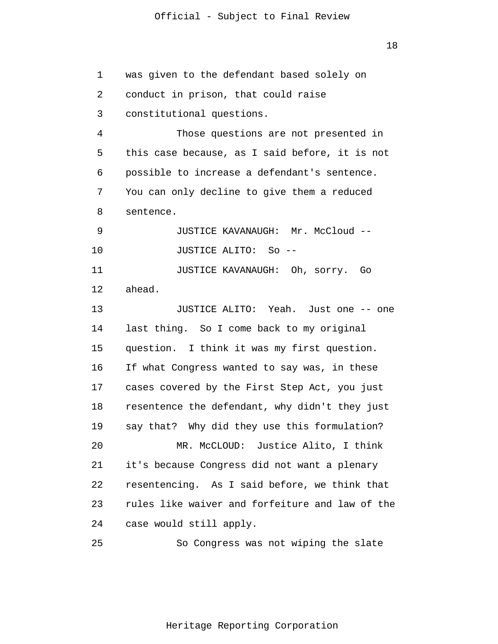1 2 3 4 5 6 7 8 9 10 11 12 13 14 15 16 17 18 19 20 21 22 23 24 25 was given to the defendant based solely on conduct in prison, that could raise constitutional questions. Those questions are not presented in this case because, as I said before, it is not possible to increase a defendant's sentence. You can only decline to give them a reduced sentence. JUSTICE KAVANAUGH: Mr. McCloud -- JUSTICE ALITO: So -- JUSTICE KAVANAUGH: Oh, sorry. Go ahead. JUSTICE ALITO: Yeah. Just one -- one last thing. So I come back to my original question. I think it was my first question. If what Congress wanted to say was, in these cases covered by the First Step Act, you just resentence the defendant, why didn't they just say that? Why did they use this formulation? MR. McCLOUD: Justice Alito, I think it's because Congress did not want a plenary resentencing. As I said before, we think that rules like waiver and forfeiture and law of the case would still apply. So Congress was not wiping the slate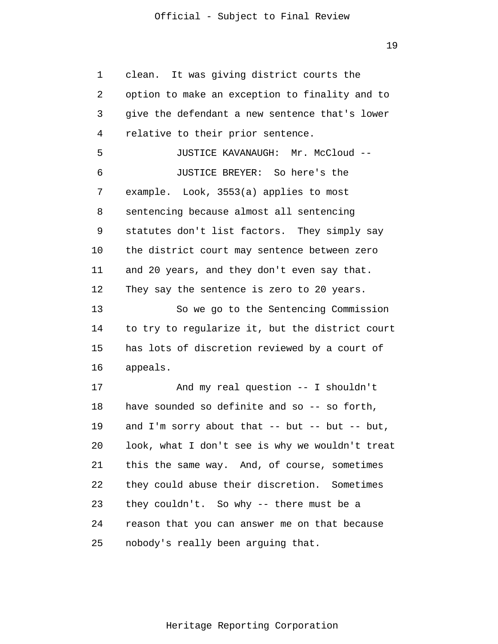19

1 2 3 4 5 6 7 8 9 10 11 12 13 14 15 16 17 18 19 20 21 22 23 24 25 clean. It was giving district courts the option to make an exception to finality and to give the defendant a new sentence that's lower relative to their prior sentence. JUSTICE KAVANAUGH: Mr. McCloud -- JUSTICE BREYER: So here's the example. Look, 3553(a) applies to most sentencing because almost all sentencing statutes don't list factors. They simply say the district court may sentence between zero and 20 years, and they don't even say that. They say the sentence is zero to 20 years. So we go to the Sentencing Commission to try to regularize it, but the district court has lots of discretion reviewed by a court of appeals. And my real question -- I shouldn't have sounded so definite and so -- so forth, and I'm sorry about that  $--$  but  $--$  but  $--$  but, look, what I don't see is why we wouldn't treat this the same way. And, of course, sometimes they could abuse their discretion. Sometimes they couldn't. So why -- there must be a reason that you can answer me on that because nobody's really been arguing that.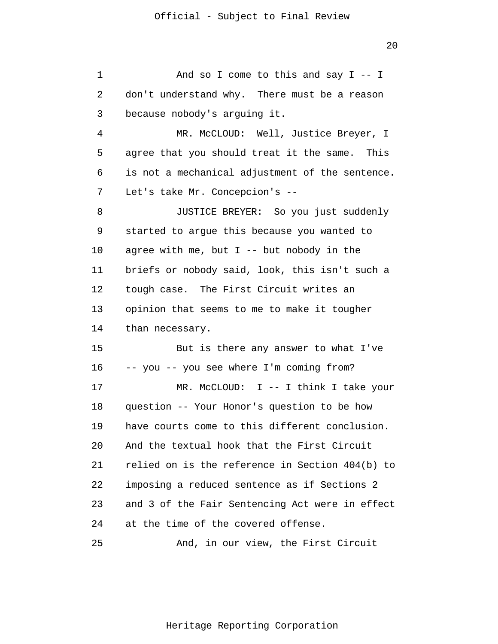1 2 3 4 5 6 7 8 9 10 11 12 13 14 15 16 17 18 19 20 21 22 23 24 25 And so I come to this and say  $I - I$  don't understand why. There must be a reason because nobody's arguing it. MR. McCLOUD: Well, Justice Breyer, I agree that you should treat it the same. This is not a mechanical adjustment of the sentence. Let's take Mr. Concepcion's -- JUSTICE BREYER: So you just suddenly started to argue this because you wanted to agree with me, but  $I$  -- but nobody in the briefs or nobody said, look, this isn't such a tough case. The First Circuit writes an opinion that seems to me to make it tougher than necessary. But is there any answer to what I've -- you -- you see where I'm coming from? MR. McCLOUD: I -- I think I take your question -- Your Honor's question to be how have courts come to this different conclusion. And the textual hook that the First Circuit relied on is the reference in Section 404(b) to imposing a reduced sentence as if Sections 2 and 3 of the Fair Sentencing Act were in effect at the time of the covered offense. And, in our view, the First Circuit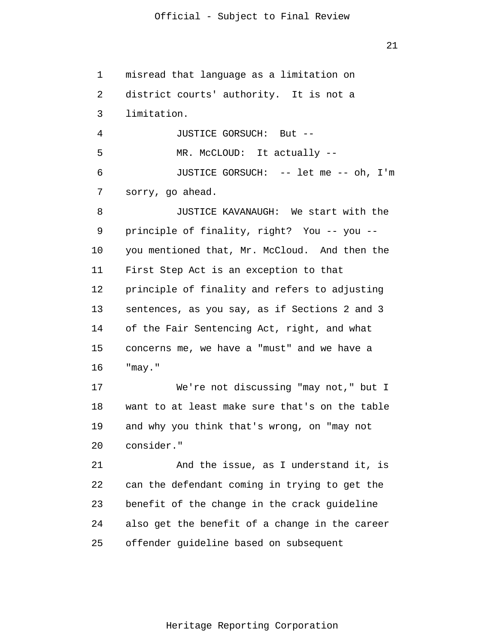1 2 3 4 5 6 7 8 9 10 11 12 13 14 15 16 17 18 19 20 21 22 23 24 25 misread that language as a limitation on district courts' authority. It is not a limitation. JUSTICE GORSUCH: But -- MR. McCLOUD: It actually -- JUSTICE GORSUCH: -- let me -- oh, I'm sorry, go ahead. JUSTICE KAVANAUGH: We start with the principle of finality, right? You -- you - you mentioned that, Mr. McCloud. And then the First Step Act is an exception to that principle of finality and refers to adjusting sentences, as you say, as if Sections 2 and 3 of the Fair Sentencing Act, right, and what concerns me, we have a "must" and we have a "may." We're not discussing "may not," but I want to at least make sure that's on the table and why you think that's wrong, on "may not consider." And the issue, as I understand it, is can the defendant coming in trying to get the benefit of the change in the crack guideline also get the benefit of a change in the career offender guideline based on subsequent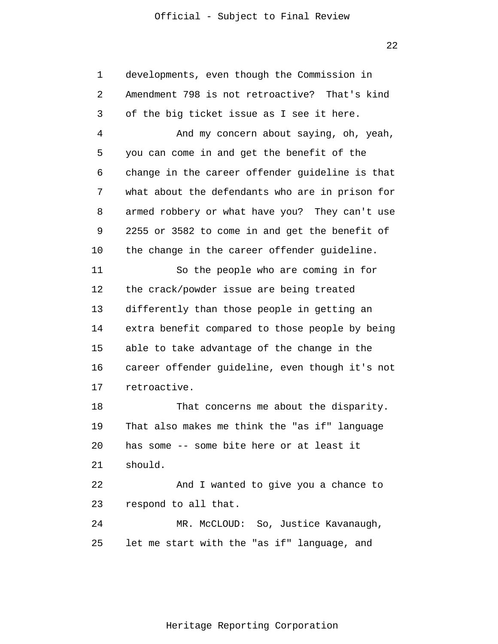22

1 2 3 4 5 6 7 8 9 10 11 12 13 14 15 16 17 18 19 20 21 22 23 24 25 developments, even though the Commission in Amendment 798 is not retroactive? That's kind of the big ticket issue as I see it here. And my concern about saying, oh, yeah, you can come in and get the benefit of the change in the career offender guideline is that what about the defendants who are in prison for armed robbery or what have you? They can't use 2255 or 3582 to come in and get the benefit of the change in the career offender guideline. So the people who are coming in for the crack/powder issue are being treated differently than those people in getting an extra benefit compared to those people by being able to take advantage of the change in the career offender guideline, even though it's not retroactive. That concerns me about the disparity. That also makes me think the "as if" language has some -- some bite here or at least it should. And I wanted to give you a chance to respond to all that. MR. McCLOUD: So, Justice Kavanaugh, let me start with the "as if" language, and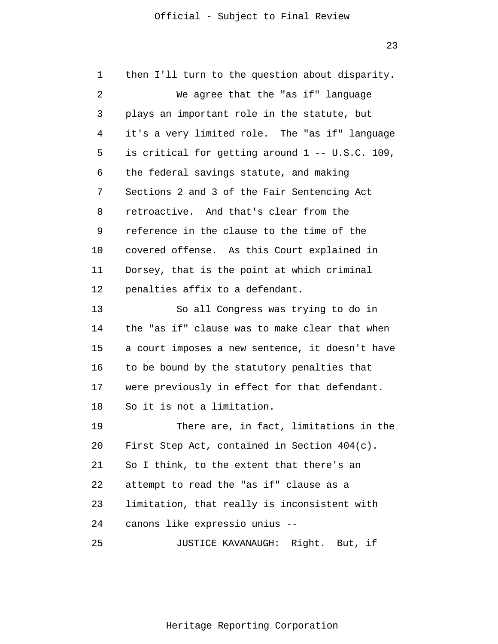1 2 3 4 5 6 7 8 9 10 11 12 13 14 15 16 17 18 19 20 21 22 23 24 25 then I'll turn to the question about disparity. We agree that the "as if" language plays an important role in the statute, but it's a very limited role. The "as if" language is critical for getting around 1 -- U.S.C. 109, the federal savings statute, and making Sections 2 and 3 of the Fair Sentencing Act retroactive. And that's clear from the reference in the clause to the time of the covered offense. As this Court explained in Dorsey, that is the point at which criminal penalties affix to a defendant. So all Congress was trying to do in the "as if" clause was to make clear that when a court imposes a new sentence, it doesn't have to be bound by the statutory penalties that were previously in effect for that defendant. So it is not a limitation. There are, in fact, limitations in the First Step Act, contained in Section 404(c). So I think, to the extent that there's an attempt to read the "as if" clause as a limitation, that really is inconsistent with canons like expressio unius -- JUSTICE KAVANAUGH: Right. But, if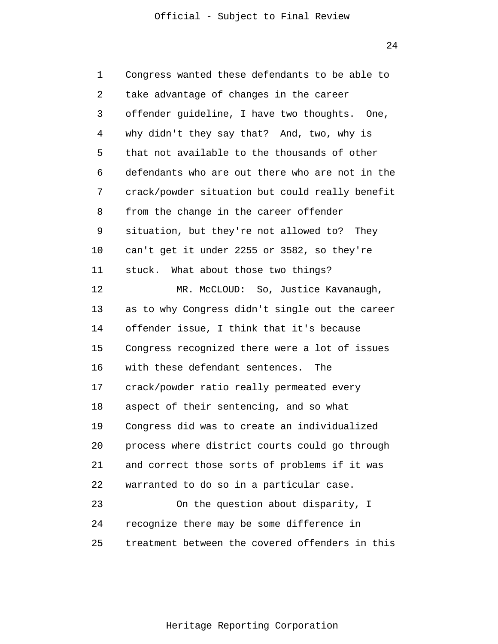24

1 2 3 4 5 6 7 8 9 10 11 12 13 14 15 16 17 18 19 20 21 22 23 24 25 Congress wanted these defendants to be able to take advantage of changes in the career offender guideline, I have two thoughts. One, why didn't they say that? And, two, why is that not available to the thousands of other defendants who are out there who are not in the crack/powder situation but could really benefit from the change in the career offender situation, but they're not allowed to? They can't get it under 2255 or 3582, so they're stuck. What about those two things? MR. McCLOUD: So, Justice Kavanaugh, as to why Congress didn't single out the career offender issue, I think that it's because Congress recognized there were a lot of issues with these defendant sentences. The crack/powder ratio really permeated every aspect of their sentencing, and so what Congress did was to create an individualized process where district courts could go through and correct those sorts of problems if it was warranted to do so in a particular case. On the question about disparity, I recognize there may be some difference in treatment between the covered offenders in this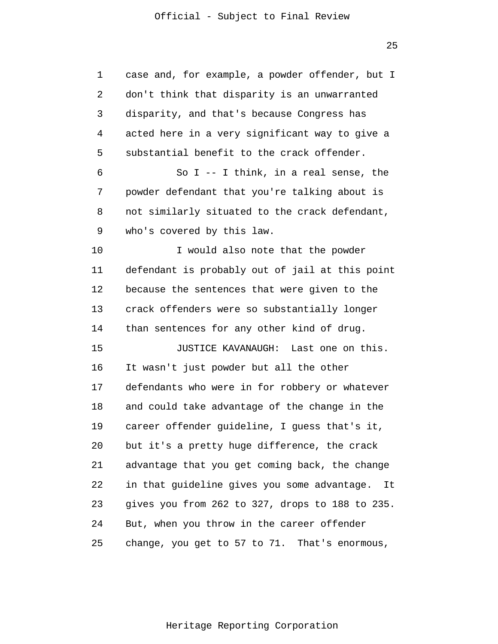25

| 1  | case and, for example, a powder offender, but I     |
|----|-----------------------------------------------------|
| 2  | don't think that disparity is an unwarranted        |
| 3  | disparity, and that's because Congress has          |
| 4  | acted here in a very significant way to give a      |
| 5  | substantial benefit to the crack offender.          |
| 6  | So I -- I think, in a real sense, the               |
| 7  | powder defendant that you're talking about is       |
| 8  | not similarly situated to the crack defendant,      |
| 9  | who's covered by this law.                          |
| 10 | I would also note that the powder                   |
| 11 | defendant is probably out of jail at this point     |
| 12 | because the sentences that were given to the        |
| 13 | crack offenders were so substantially longer        |
| 14 | than sentences for any other kind of drug.          |
| 15 | JUSTICE KAVANAUGH: Last one on this.                |
| 16 | It wasn't just powder but all the other             |
| 17 | defendants who were in for robbery or whatever      |
| 18 | and could take advantage of the change in the       |
| 19 | career offender guideline, I guess that's it,       |
| 20 | but it's a pretty huge difference, the crack        |
| 21 | advantage that you get coming back, the change      |
| 22 | in that guideline gives you some advantage.<br>It L |
| 23 | gives you from 262 to 327, drops to 188 to 235.     |
| 24 | But, when you throw in the career offender          |
| 25 | change, you get to 57 to 71. That's enormous,       |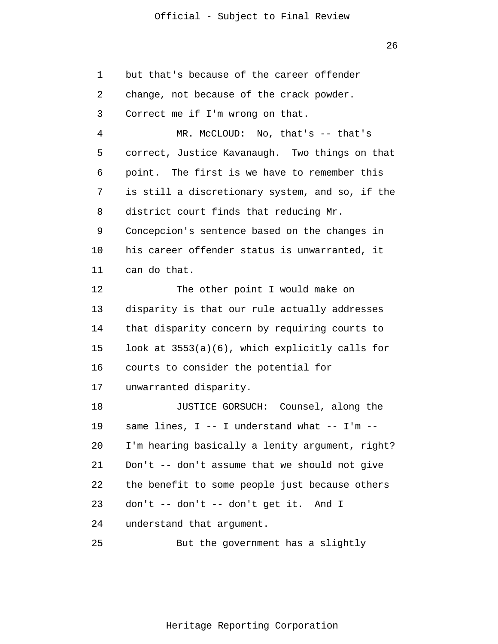1 2 3 4 5 6 7 8 9 10 11 12 13 14 15 16 17 18 19 20 21 22 23 24 25 but that's because of the career offender change, not because of the crack powder. Correct me if I'm wrong on that. MR. McCLOUD: No, that's -- that's correct, Justice Kavanaugh. Two things on that point. The first is we have to remember this is still a discretionary system, and so, if the district court finds that reducing Mr. Concepcion's sentence based on the changes in his career offender status is unwarranted, it can do that. The other point I would make on disparity is that our rule actually addresses that disparity concern by requiring courts to look at 3553(a)(6), which explicitly calls for courts to consider the potential for unwarranted disparity. JUSTICE GORSUCH: Counsel, along the same lines,  $I$  -- I understand what -- I'm --I'm hearing basically a lenity argument, right? Don't -- don't assume that we should not give the benefit to some people just because others don't -- don't -- don't get it. And I understand that argument. But the government has a slightly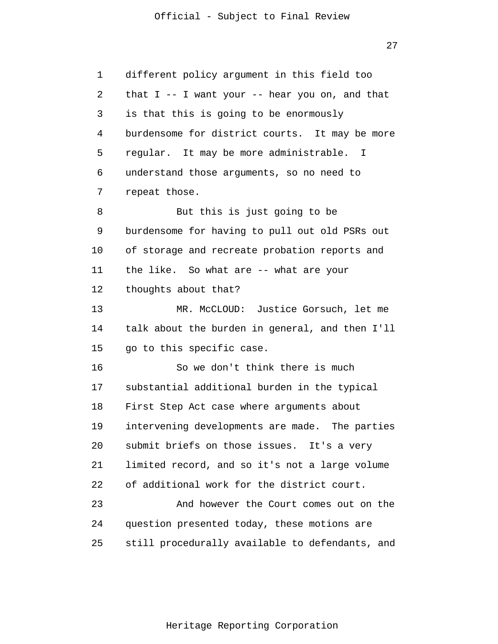27

1 2 3 4 5 6 7 8 9 10 11 12 13 14 15 16 17 18 19 20 21 22 23 24 25 different policy argument in this field too that I -- I want your -- hear you on, and that is that this is going to be enormously burdensome for district courts. It may be more regular. It may be more administrable. I understand those arguments, so no need to repeat those. But this is just going to be burdensome for having to pull out old PSRs out of storage and recreate probation reports and the like. So what are -- what are your thoughts about that? MR. McCLOUD: Justice Gorsuch, let me talk about the burden in general, and then I'll go to this specific case. So we don't think there is much substantial additional burden in the typical First Step Act case where arguments about intervening developments are made. The parties submit briefs on those issues. It's a very limited record, and so it's not a large volume of additional work for the district court. And however the Court comes out on the question presented today, these motions are still procedurally available to defendants, and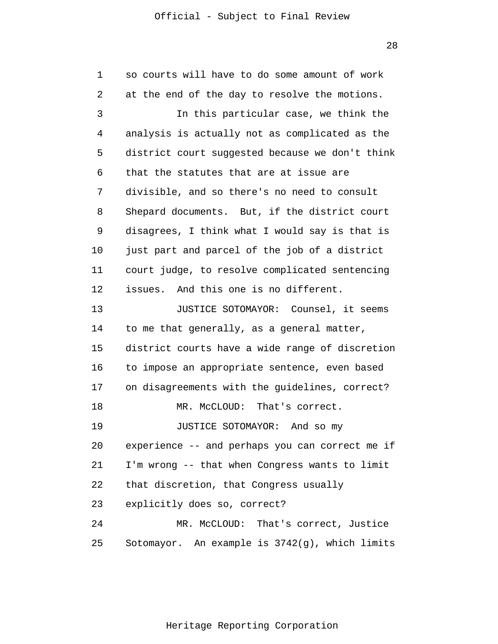1 2 3 4 5 6 7 8 9 10 11 12 13 14 15 16 17 18 19 20 21 22 23 24 25 so courts will have to do some amount of work at the end of the day to resolve the motions. In this particular case, we think the analysis is actually not as complicated as the district court suggested because we don't think that the statutes that are at issue are divisible, and so there's no need to consult Shepard documents. But, if the district court disagrees, I think what I would say is that is just part and parcel of the job of a district court judge, to resolve complicated sentencing issues. And this one is no different. JUSTICE SOTOMAYOR: Counsel, it seems to me that generally, as a general matter, district courts have a wide range of discretion to impose an appropriate sentence, even based on disagreements with the guidelines, correct? MR. McCLOUD: That's correct. JUSTICE SOTOMAYOR: And so my experience -- and perhaps you can correct me if I'm wrong -- that when Congress wants to limit that discretion, that Congress usually explicitly does so, correct? MR. McCLOUD: That's correct, Justice Sotomayor. An example is 3742(g), which limits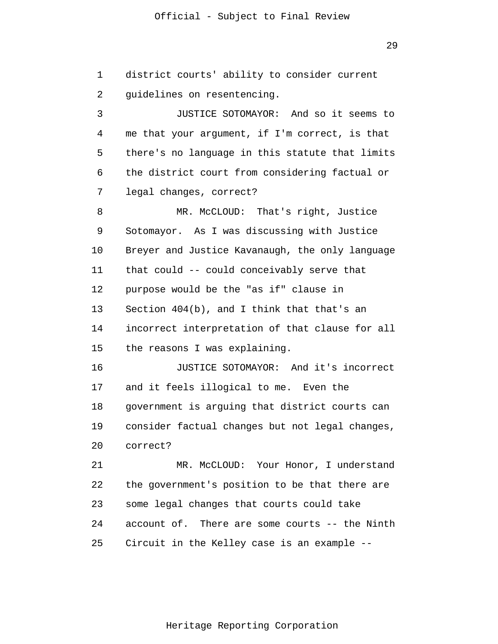district courts' ability to consider current

1

29

2 3 4 5 6 7 8 9 10 11 12 13 14 15 16 17 18 19 20 21 22 23 24 guidelines on resentencing. JUSTICE SOTOMAYOR: And so it seems to me that your argument, if I'm correct, is that there's no language in this statute that limits the district court from considering factual or legal changes, correct? MR. McCLOUD: That's right, Justice Sotomayor. As I was discussing with Justice Breyer and Justice Kavanaugh, the only language that could -- could conceivably serve that purpose would be the "as if" clause in Section 404(b), and I think that that's an incorrect interpretation of that clause for all the reasons I was explaining. JUSTICE SOTOMAYOR: And it's incorrect and it feels illogical to me. Even the government is arguing that district courts can consider factual changes but not legal changes, correct? MR. McCLOUD: Your Honor, I understand the government's position to be that there are some legal changes that courts could take account of. There are some courts -- the Ninth

25 Circuit in the Kelley case is an example --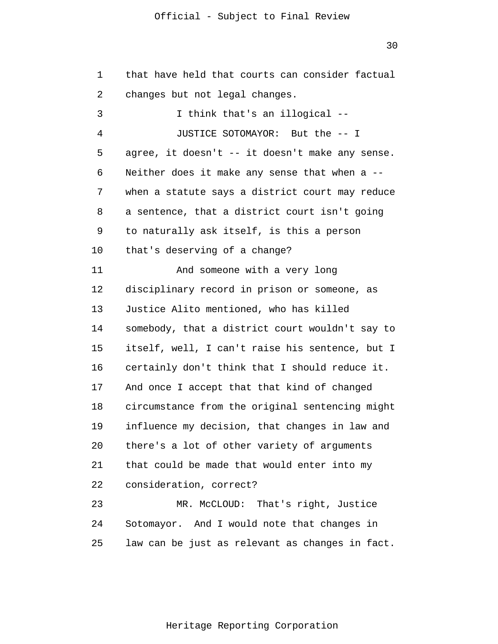1 2 3 4 5 6 7 8 9 10 11 12 13 14 15 16 17 18 19 20 21 22 23 24 25 that have held that courts can consider factual changes but not legal changes. I think that's an illogical -- JUSTICE SOTOMAYOR: But the -- I agree, it doesn't -- it doesn't make any sense. Neither does it make any sense that when a - when a statute says a district court may reduce a sentence, that a district court isn't going to naturally ask itself, is this a person that's deserving of a change? And someone with a very long disciplinary record in prison or someone, as Justice Alito mentioned, who has killed somebody, that a district court wouldn't say to itself, well, I can't raise his sentence, but I certainly don't think that I should reduce it. And once I accept that that kind of changed circumstance from the original sentencing might influence my decision, that changes in law and there's a lot of other variety of arguments that could be made that would enter into my consideration, correct? MR. McCLOUD: That's right, Justice Sotomayor. And I would note that changes in law can be just as relevant as changes in fact.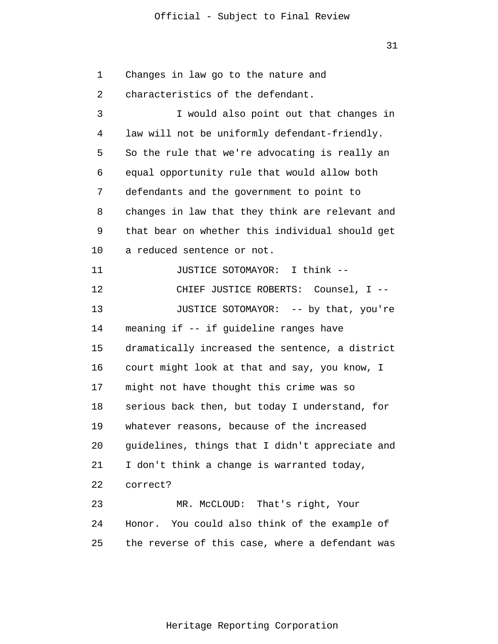1 2 3 4 5 6 7 8 9 10 11 12 13 14 15 16 17 18 19 20 21 22 23 24 25 Changes in law go to the nature and characteristics of the defendant. I would also point out that changes in law will not be uniformly defendant-friendly. So the rule that we're advocating is really an equal opportunity rule that would allow both defendants and the government to point to changes in law that they think are relevant and that bear on whether this individual should get a reduced sentence or not. JUSTICE SOTOMAYOR: I think -- CHIEF JUSTICE ROBERTS: Counsel, I -- JUSTICE SOTOMAYOR: -- by that, you're meaning if -- if guideline ranges have dramatically increased the sentence, a district court might look at that and say, you know, I might not have thought this crime was so serious back then, but today I understand, for whatever reasons, because of the increased guidelines, things that I didn't appreciate and I don't think a change is warranted today, correct? MR. McCLOUD: That's right, Your Honor. You could also think of the example of the reverse of this case, where a defendant was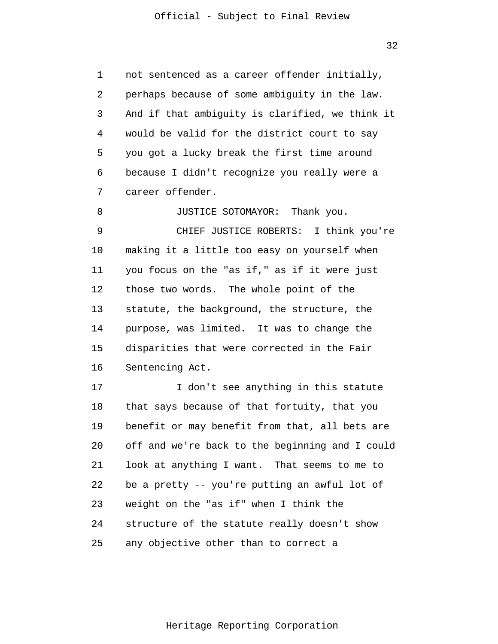1 2 3 4 5 6 7 not sentenced as a career offender initially, perhaps because of some ambiguity in the law. And if that ambiguity is clarified, we think it would be valid for the district court to say you got a lucky break the first time around because I didn't recognize you really were a career offender.

8 9 10 11 12 13 14 15 16 JUSTICE SOTOMAYOR: Thank you. CHIEF JUSTICE ROBERTS: I think you're making it a little too easy on yourself when you focus on the "as if," as if it were just those two words. The whole point of the statute, the background, the structure, the purpose, was limited. It was to change the disparities that were corrected in the Fair Sentencing Act.

17 18 19 20 21 22 23 24 25 I don't see anything in this statute that says because of that fortuity, that you benefit or may benefit from that, all bets are off and we're back to the beginning and I could look at anything I want. That seems to me to be a pretty -- you're putting an awful lot of weight on the "as if" when I think the structure of the statute really doesn't show any objective other than to correct a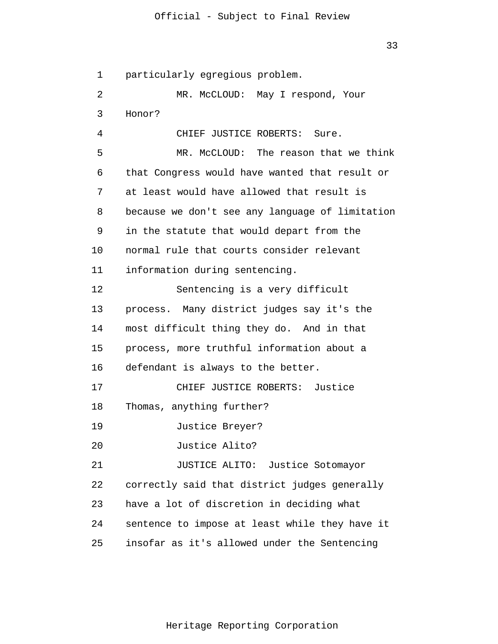33

1 2 3 4 5 6 7 8 9 10 11 12 13 14 15 16 17 18 19 20 21 22 23 24 25 particularly egregious problem. MR. McCLOUD: May I respond, Your Honor? CHIEF JUSTICE ROBERTS: Sure. MR. McCLOUD: The reason that we think that Congress would have wanted that result or at least would have allowed that result is because we don't see any language of limitation in the statute that would depart from the normal rule that courts consider relevant information during sentencing. Sentencing is a very difficult process. Many district judges say it's the most difficult thing they do. And in that process, more truthful information about a defendant is always to the better. CHIEF JUSTICE ROBERTS: Justice Thomas, anything further? Justice Breyer? Justice Alito? JUSTICE ALITO: Justice Sotomayor correctly said that district judges generally have a lot of discretion in deciding what sentence to impose at least while they have it insofar as it's allowed under the Sentencing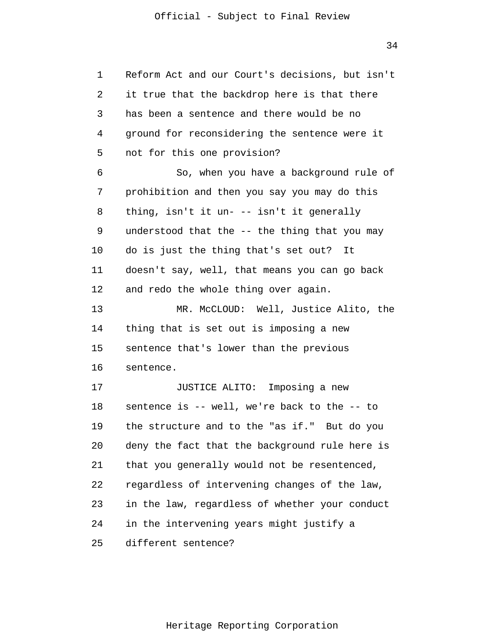1 2 3 4 5 6 7 8 9 10 11 12 13 14 15 16 17 18 19 20 21 22 23 24 25 Reform Act and our Court's decisions, but isn't it true that the backdrop here is that there has been a sentence and there would be no ground for reconsidering the sentence were it not for this one provision? So, when you have a background rule of prohibition and then you say you may do this thing, isn't it un- -- isn't it generally understood that the -- the thing that you may do is just the thing that's set out? It doesn't say, well, that means you can go back and redo the whole thing over again. MR. McCLOUD: Well, Justice Alito, the thing that is set out is imposing a new sentence that's lower than the previous sentence. JUSTICE ALITO: Imposing a new sentence is -- well, we're back to the -- to the structure and to the "as if." But do you deny the fact that the background rule here is that you generally would not be resentenced, regardless of intervening changes of the law, in the law, regardless of whether your conduct in the intervening years might justify a different sentence?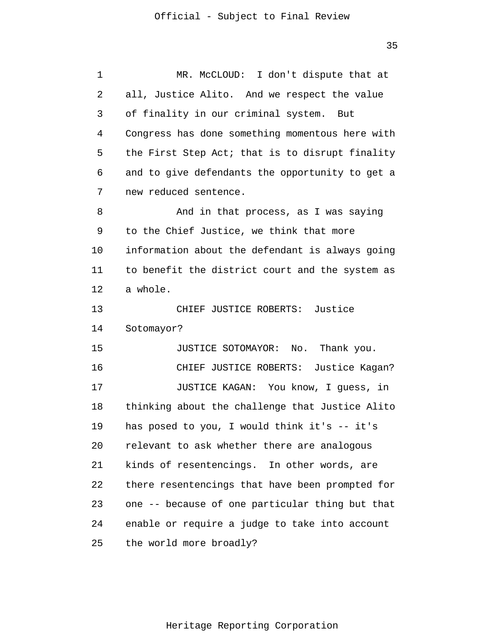1 2 3 4 5 6 7 8 9 10 11 12 13 14 15 16 17 18 19 20 21 22 23 24 25 MR. McCLOUD: I don't dispute that at all, Justice Alito. And we respect the value of finality in our criminal system. But Congress has done something momentous here with the First Step Act; that is to disrupt finality and to give defendants the opportunity to get a new reduced sentence. And in that process, as I was saying to the Chief Justice, we think that more information about the defendant is always going to benefit the district court and the system as a whole. CHIEF JUSTICE ROBERTS: Justice Sotomayor? JUSTICE SOTOMAYOR: No. Thank you. CHIEF JUSTICE ROBERTS: Justice Kagan? JUSTICE KAGAN: You know, I guess, in thinking about the challenge that Justice Alito has posed to you, I would think it's -- it's relevant to ask whether there are analogous kinds of resentencings. In other words, are there resentencings that have been prompted for one -- because of one particular thing but that enable or require a judge to take into account the world more broadly?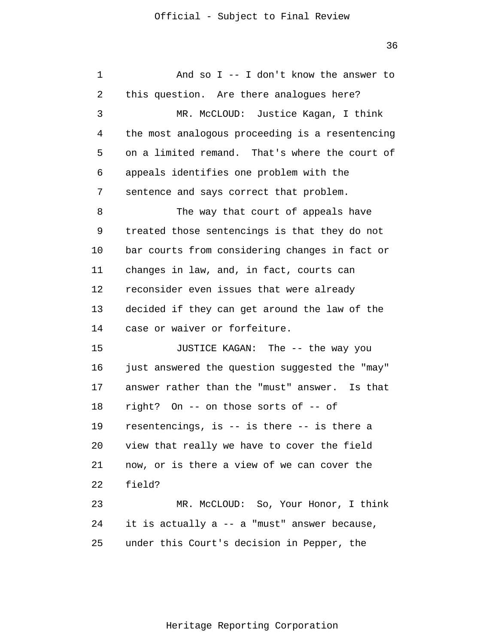1 2 3 4 5 6 7 8 9 10 11 12 13 14 15 16 17 18 19 20 21 22 23 24 25 And so I -- I don't know the answer to this question. Are there analogues here? MR. McCLOUD: Justice Kagan, I think the most analogous proceeding is a resentencing on a limited remand. That's where the court of appeals identifies one problem with the sentence and says correct that problem. The way that court of appeals have treated those sentencings is that they do not bar courts from considering changes in fact or changes in law, and, in fact, courts can reconsider even issues that were already decided if they can get around the law of the case or waiver or forfeiture. JUSTICE KAGAN: The -- the way you just answered the question suggested the "may" answer rather than the "must" answer. Is that right? On -- on those sorts of -- of resentencings, is -- is there -- is there a view that really we have to cover the field now, or is there a view of we can cover the field? MR. McCLOUD: So, Your Honor, I think it is actually a -- a "must" answer because, under this Court's decision in Pepper, the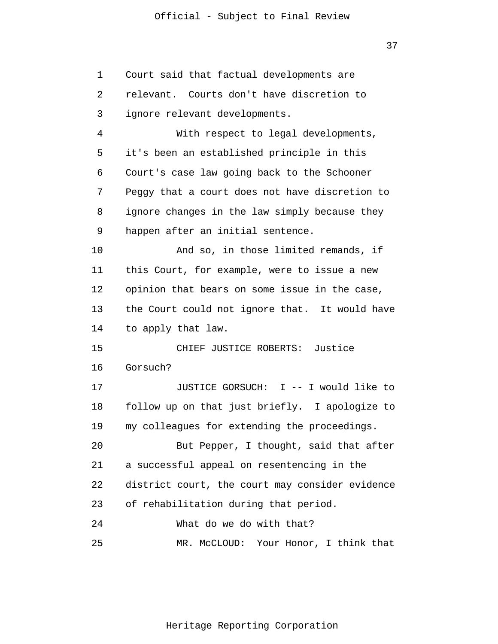1 2 3 4 5 6 7 8 9 10 11 12 13 14 15 16 17 18 19 20 21 22 23 24 25 Court said that factual developments are relevant. Courts don't have discretion to ignore relevant developments. With respect to legal developments, it's been an established principle in this Court's case law going back to the Schooner Peggy that a court does not have discretion to ignore changes in the law simply because they happen after an initial sentence. And so, in those limited remands, if this Court, for example, were to issue a new opinion that bears on some issue in the case, the Court could not ignore that. It would have to apply that law. CHIEF JUSTICE ROBERTS: Justice Gorsuch? JUSTICE GORSUCH: I -- I would like to follow up on that just briefly. I apologize to my colleagues for extending the proceedings. But Pepper, I thought, said that after a successful appeal on resentencing in the district court, the court may consider evidence of rehabilitation during that period. What do we do with that? MR. McCLOUD: Your Honor, I think that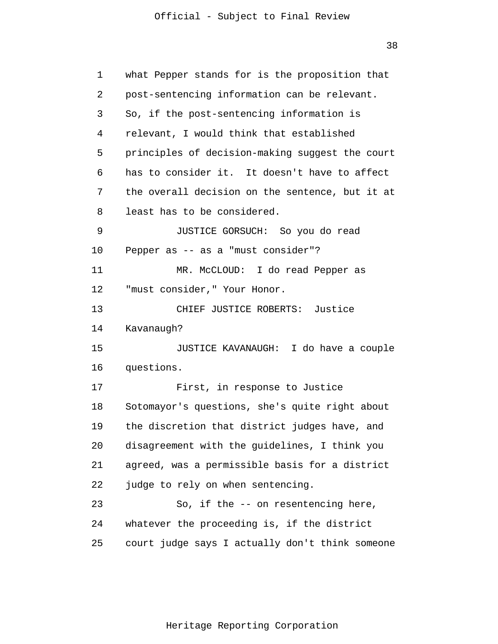1 2 3 4 5 6 7 8 9 10 11 12 13 14 15 16 17 18 19 20 21 22 23 24 25 what Pepper stands for is the proposition that post-sentencing information can be relevant. So, if the post-sentencing information is relevant, I would think that established principles of decision-making suggest the court has to consider it. It doesn't have to affect the overall decision on the sentence, but it at least has to be considered. JUSTICE GORSUCH: So you do read Pepper as -- as a "must consider"? MR. McCLOUD: I do read Pepper as "must consider," Your Honor. CHIEF JUSTICE ROBERTS: Justice Kavanaugh? JUSTICE KAVANAUGH: I do have a couple questions. First, in response to Justice Sotomayor's questions, she's quite right about the discretion that district judges have, and disagreement with the guidelines, I think you agreed, was a permissible basis for a district judge to rely on when sentencing. So, if the -- on resentencing here, whatever the proceeding is, if the district court judge says I actually don't think someone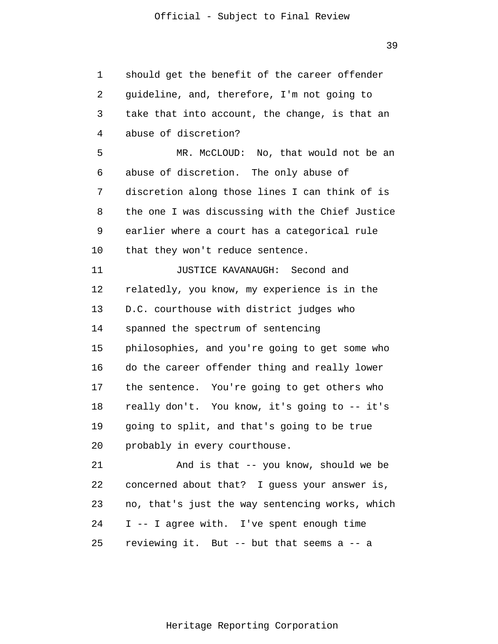1 2 3 4 5 6 7 8 9 10 11 12 13 14 15 16 17 18 19 20 21 22 23 24 25 should get the benefit of the career offender guideline, and, therefore, I'm not going to take that into account, the change, is that an abuse of discretion? MR. McCLOUD: No, that would not be an abuse of discretion. The only abuse of discretion along those lines I can think of is the one I was discussing with the Chief Justice earlier where a court has a categorical rule that they won't reduce sentence. JUSTICE KAVANAUGH: Second and relatedly, you know, my experience is in the D.C. courthouse with district judges who spanned the spectrum of sentencing philosophies, and you're going to get some who do the career offender thing and really lower the sentence. You're going to get others who really don't. You know, it's going to -- it's going to split, and that's going to be true probably in every courthouse. And is that -- you know, should we be concerned about that? I guess your answer is, no, that's just the way sentencing works, which I -- I agree with. I've spent enough time reviewing it. But -- but that seems a -- a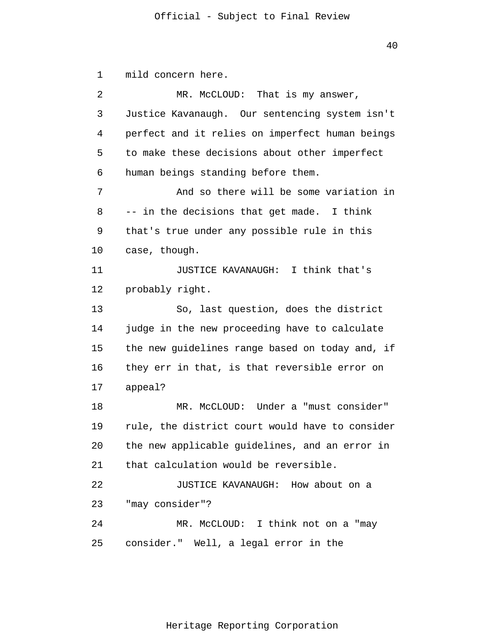1 2 3 4 5 6 7 8 9 10 11 12 13 14 15 16 17 18 19 20 21 22 23 24 25 mild concern here. MR. McCLOUD: That is my answer, Justice Kavanaugh. Our sentencing system isn't perfect and it relies on imperfect human beings to make these decisions about other imperfect human beings standing before them. And so there will be some variation in -- in the decisions that get made. I think that's true under any possible rule in this case, though. JUSTICE KAVANAUGH: I think that's probably right. So, last question, does the district judge in the new proceeding have to calculate the new guidelines range based on today and, if they err in that, is that reversible error on appeal? MR. McCLOUD: Under a "must consider" rule, the district court would have to consider the new applicable guidelines, and an error in that calculation would be reversible. JUSTICE KAVANAUGH: How about on a "may consider"? MR. McCLOUD: I think not on a "may consider." Well, a legal error in the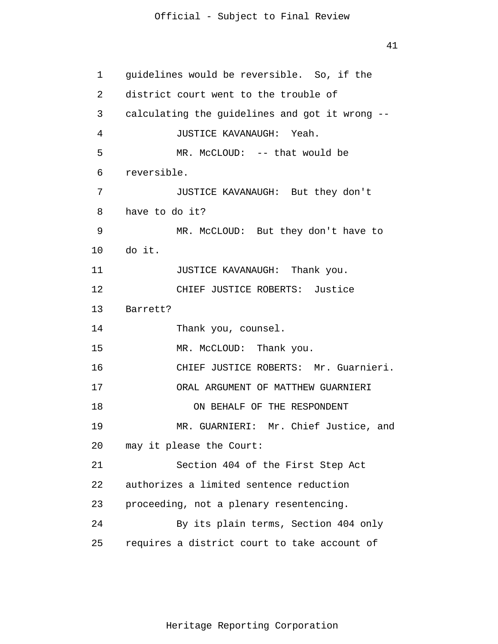41

1 2 3 4 5 6 7 8 9 10 11 12 13 14 15 16 17 18 19 20 21 22 23 24 25 guidelines would be reversible. So, if the district court went to the trouble of calculating the guidelines and got it wrong -- JUSTICE KAVANAUGH: Yeah. MR. McCLOUD: -- that would be reversible. JUSTICE KAVANAUGH: But they don't have to do it? MR. McCLOUD: But they don't have to do it. JUSTICE KAVANAUGH: Thank you. CHIEF JUSTICE ROBERTS: Justice Barrett? Thank you, counsel. MR. McCLOUD: Thank you. CHIEF JUSTICE ROBERTS: Mr. Guarnieri. ORAL ARGUMENT OF MATTHEW GUARNIERI ON BEHALF OF THE RESPONDENT MR. GUARNIERI: Mr. Chief Justice, and may it please the Court: Section 404 of the First Step Act authorizes a limited sentence reduction proceeding, not a plenary resentencing. By its plain terms, Section 404 only requires a district court to take account of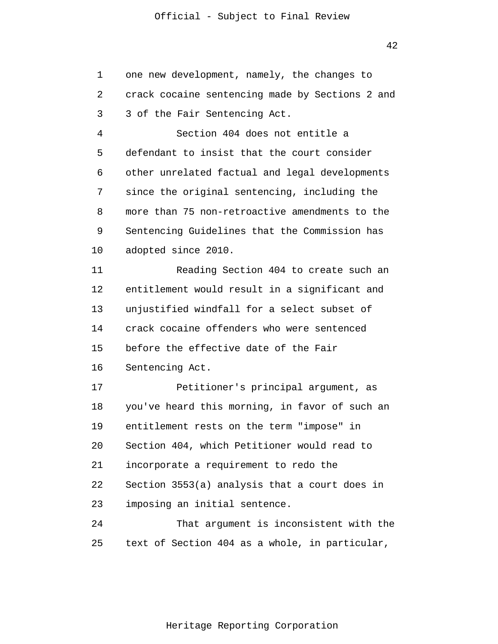1 2 3 4 5 6 7 8 9 10 11 12 13 14 15 16 17 18 19 20 21 22 23 24 25 one new development, namely, the changes to crack cocaine sentencing made by Sections 2 and 3 of the Fair Sentencing Act. Section 404 does not entitle a defendant to insist that the court consider other unrelated factual and legal developments since the original sentencing, including the more than 75 non-retroactive amendments to the Sentencing Guidelines that the Commission has adopted since 2010. Reading Section 404 to create such an entitlement would result in a significant and unjustified windfall for a select subset of crack cocaine offenders who were sentenced before the effective date of the Fair Sentencing Act. Petitioner's principal argument, as you've heard this morning, in favor of such an entitlement rests on the term "impose" in Section 404, which Petitioner would read to incorporate a requirement to redo the Section 3553(a) analysis that a court does in imposing an initial sentence. That argument is inconsistent with the text of Section 404 as a whole, in particular,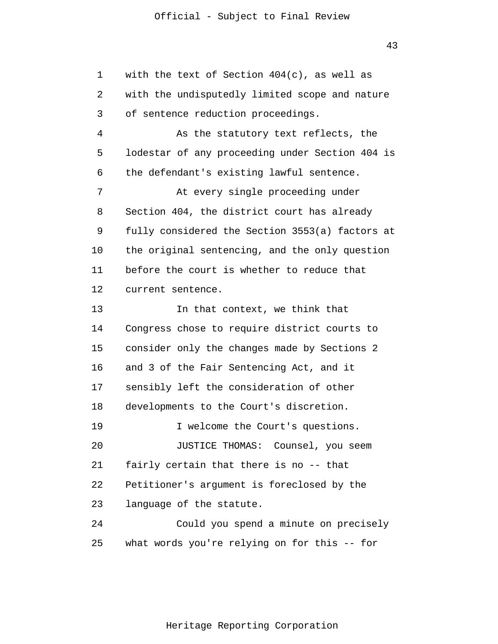43

1 2 3 4 5 6 7 8 9 10 11 12 13 14 15 16 17 18 19 20 21 22 23 24 25 with the text of Section  $404(c)$ , as well as with the undisputedly limited scope and nature of sentence reduction proceedings. As the statutory text reflects, the lodestar of any proceeding under Section 404 is the defendant's existing lawful sentence. At every single proceeding under Section 404, the district court has already fully considered the Section 3553(a) factors at the original sentencing, and the only question before the court is whether to reduce that current sentence. In that context, we think that Congress chose to require district courts to consider only the changes made by Sections 2 and 3 of the Fair Sentencing Act, and it sensibly left the consideration of other developments to the Court's discretion. I welcome the Court's questions. JUSTICE THOMAS: Counsel, you seem fairly certain that there is no -- that Petitioner's argument is foreclosed by the language of the statute. Could you spend a minute on precisely what words you're relying on for this -- for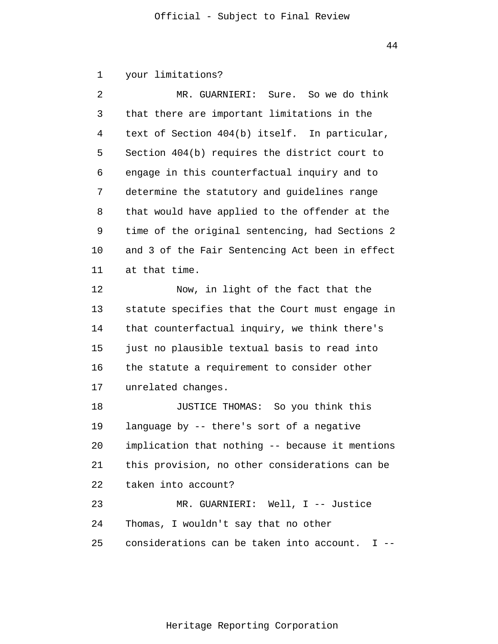1 your limitations?

| 2  | MR. GUARNIERI: Sure. So we do think                  |
|----|------------------------------------------------------|
| 3  | that there are important limitations in the          |
| 4  | text of Section 404(b) itself. In particular,        |
| 5  | Section 404(b) requires the district court to        |
| 6  | engage in this counterfactual inquiry and to         |
| 7  | determine the statutory and guidelines range         |
| 8  | that would have applied to the offender at the       |
| 9  | time of the original sentencing, had Sections 2      |
| 10 | and 3 of the Fair Sentencing Act been in effect      |
| 11 | at that time.                                        |
| 12 | Now, in light of the fact that the                   |
| 13 | statute specifies that the Court must engage in      |
| 14 | that counterfactual inquiry, we think there's        |
| 15 | just no plausible textual basis to read into         |
| 16 | the statute a requirement to consider other          |
| 17 | unrelated changes.                                   |
| 18 | JUSTICE THOMAS: So you think this                    |
| 19 | language by -- there's sort of a negative            |
| 20 | implication that nothing -- because it mentions      |
| 21 | this provision, no other considerations can be       |
| 22 | taken into account?                                  |
| 23 | MR. GUARNIERI: Well, I -- Justice                    |
| 24 | Thomas, I wouldn't say that no other                 |
| 25 | considerations can be taken into account.<br>$I - -$ |

44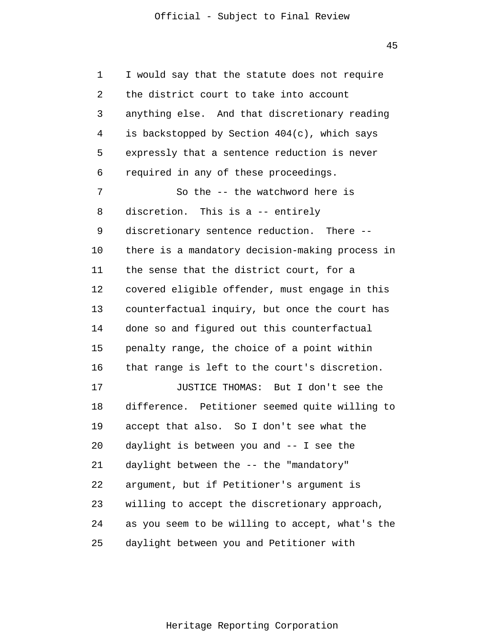45

1 2 3 4 5 6 7 8 9 10 11 12 13 14 15 16 17 18 19 20 21 22 23 24 25 I would say that the statute does not require the district court to take into account anything else. And that discretionary reading is backstopped by Section 404(c), which says expressly that a sentence reduction is never required in any of these proceedings. So the -- the watchword here is discretion. This is a -- entirely discretionary sentence reduction. There - there is a mandatory decision-making process in the sense that the district court, for a covered eligible offender, must engage in this counterfactual inquiry, but once the court has done so and figured out this counterfactual penalty range, the choice of a point within that range is left to the court's discretion. JUSTICE THOMAS: But I don't see the difference. Petitioner seemed quite willing to accept that also. So I don't see what the daylight is between you and -- I see the daylight between the -- the "mandatory" argument, but if Petitioner's argument is willing to accept the discretionary approach, as you seem to be willing to accept, what's the daylight between you and Petitioner with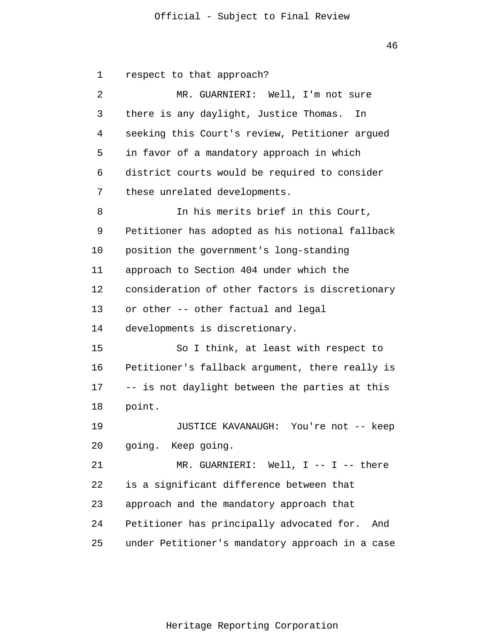1 2 3 4 5 6 7 8 9 10 11 12 13 14 15 16 17 18 19 20 21 22 23 24 25 respect to that approach? MR. GUARNIERI: Well, I'm not sure there is any daylight, Justice Thomas. In seeking this Court's review, Petitioner argued in favor of a mandatory approach in which district courts would be required to consider these unrelated developments. In his merits brief in this Court, Petitioner has adopted as his notional fallback position the government's long-standing approach to Section 404 under which the consideration of other factors is discretionary or other -- other factual and legal developments is discretionary. So I think, at least with respect to Petitioner's fallback argument, there really is -- is not daylight between the parties at this point. JUSTICE KAVANAUGH: You're not -- keep going. Keep going. MR. GUARNIERI: Well, I -- I -- there is a significant difference between that approach and the mandatory approach that Petitioner has principally advocated for. And under Petitioner's mandatory approach in a case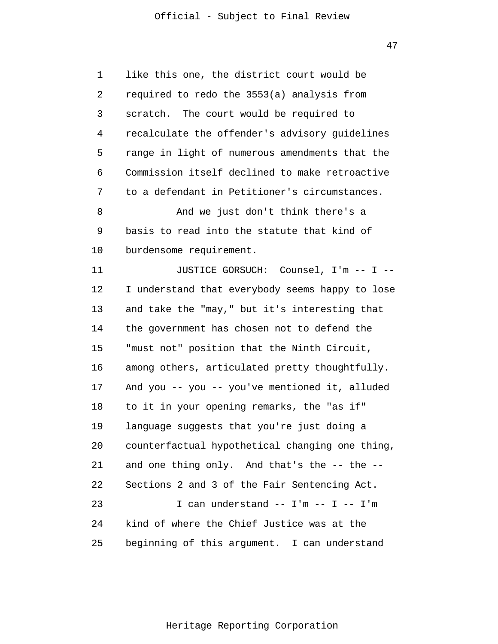| 1  | like this one, the district court would be      |
|----|-------------------------------------------------|
| 2  | required to redo the 3553(a) analysis from      |
| 3  | scratch. The court would be required to         |
| 4  | recalculate the offender's advisory guidelines  |
| 5  | range in light of numerous amendments that the  |
| 6  | Commission itself declined to make retroactive  |
| 7  | to a defendant in Petitioner's circumstances.   |
| 8  | And we just don't think there's a               |
| 9  | basis to read into the statute that kind of     |
| 10 | burdensome requirement.                         |
| 11 | JUSTICE GORSUCH: Counsel, I'm -- I --           |
| 12 | I understand that everybody seems happy to lose |
| 13 | and take the "may," but it's interesting that   |
| 14 | the government has chosen not to defend the     |
| 15 | "must not" position that the Ninth Circuit,     |
| 16 | among others, articulated pretty thoughtfully.  |
| 17 | And you -- you -- you've mentioned it, alluded  |
| 18 | to it in your opening remarks, the "as if"      |
| 19 | language suggests that you're just doing a      |
| 20 | counterfactual hypothetical changing one thing, |
| 21 | and one thing only. And that's the -- the --    |
| 22 | Sections 2 and 3 of the Fair Sentencing Act.    |
| 23 | I can understand $--$ I'm $--$ I $--$ I'm       |
| 24 | kind of where the Chief Justice was at the      |
| 25 | beginning of this argument. I can understand    |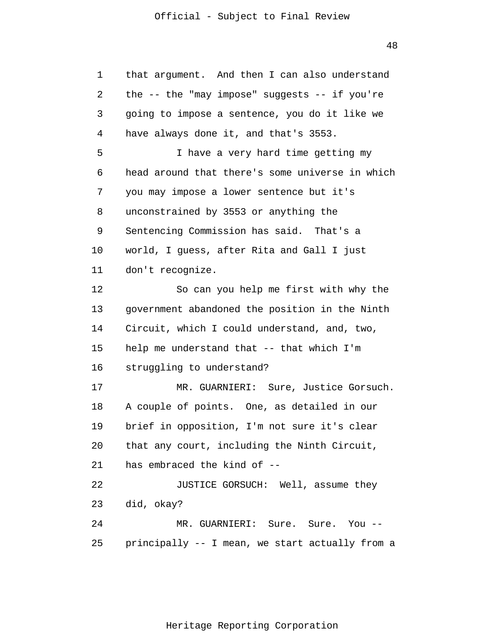48

| that argument. And then I can also understand   |
|-------------------------------------------------|
| the -- the "may impose" suggests -- if you're   |
| going to impose a sentence, you do it like we   |
| have always done it, and that's 3553.           |
| I have a very hard time getting my              |
| head around that there's some universe in which |
| you may impose a lower sentence but it's        |
| unconstrained by 3553 or anything the           |
| Sentencing Commission has said. That's a        |
| world, I guess, after Rita and Gall I just      |
| don't recognize.                                |
| So can you help me first with why the           |
| government abandoned the position in the Ninth  |
| Circuit, which I could understand, and, two,    |
| help me understand that -- that which I'm       |
| struggling to understand?                       |
| MR. GUARNIERI: Sure, Justice Gorsuch.           |
| A couple of points. One, as detailed in our     |
| brief in opposition, I'm not sure it's clear    |
| that any court, including the Ninth Circuit,    |
| has embraced the kind of --                     |
| JUSTICE GORSUCH: Well, assume they              |
| did, okay?                                      |
| MR. GUARNIERI: Sure. Sure. You --               |
|                                                 |
|                                                 |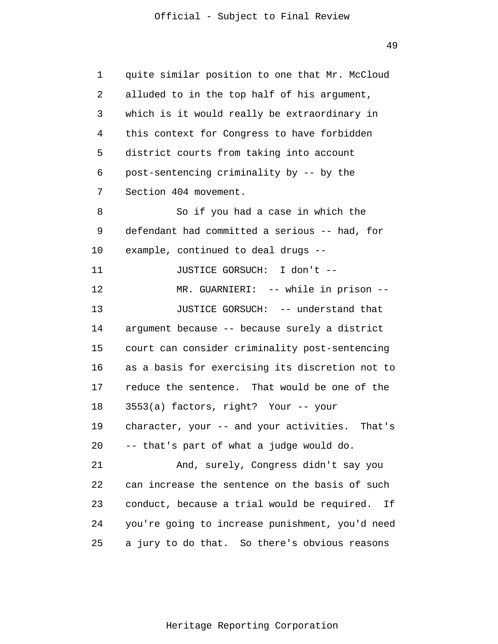1 2 3 4 5 6 7 8 9 10 11 12 13 14 15 16 17 18 19 20 21 22 23 24 25 quite similar position to one that Mr. McCloud alluded to in the top half of his argument, which is it would really be extraordinary in this context for Congress to have forbidden district courts from taking into account post-sentencing criminality by -- by the Section 404 movement. So if you had a case in which the defendant had committed a serious -- had, for example, continued to deal drugs -- JUSTICE GORSUCH: I don't -- MR. GUARNIERI: -- while in prison -- JUSTICE GORSUCH: -- understand that argument because -- because surely a district court can consider criminality post-sentencing as a basis for exercising its discretion not to reduce the sentence. That would be one of the 3553(a) factors, right? Your -- your character, your -- and your activities. That's -- that's part of what a judge would do. And, surely, Congress didn't say you can increase the sentence on the basis of such conduct, because a trial would be required. If you're going to increase punishment, you'd need a jury to do that. So there's obvious reasons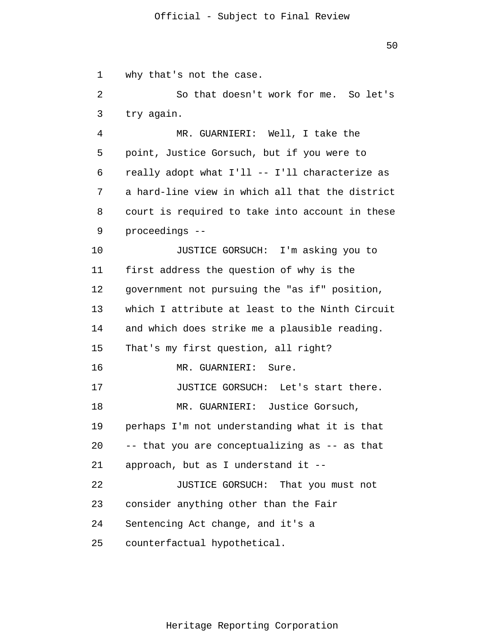1 2 3 4 5 6 7 8 9 10 11 12 13 14 15 16 17 18 19 20 21 22 23 24 25 why that's not the case. So that doesn't work for me. So let's try again. MR. GUARNIERI: Well, I take the point, Justice Gorsuch, but if you were to really adopt what I'll -- I'll characterize as a hard-line view in which all that the district court is required to take into account in these proceedings -- JUSTICE GORSUCH: I'm asking you to first address the question of why is the government not pursuing the "as if" position, which I attribute at least to the Ninth Circuit and which does strike me a plausible reading. That's my first question, all right? MR. GUARNIERI: Sure. JUSTICE GORSUCH: Let's start there. MR. GUARNIERI: Justice Gorsuch, perhaps I'm not understanding what it is that -- that you are conceptualizing as -- as that approach, but as I understand it -- JUSTICE GORSUCH: That you must not consider anything other than the Fair Sentencing Act change, and it's a counterfactual hypothetical.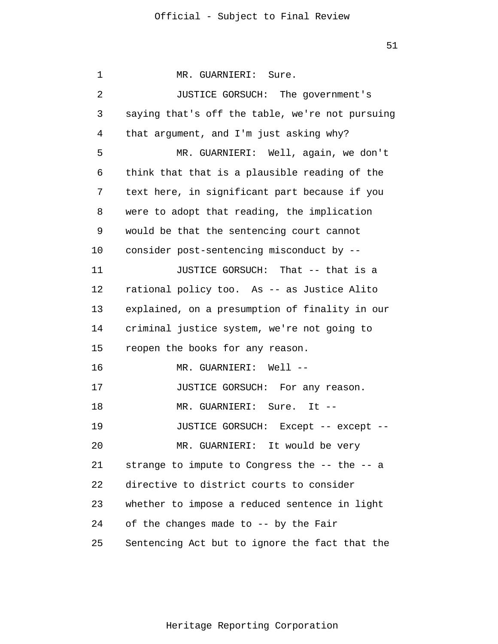1 2 3 4 5 6 7 8 9 10 11 12 13 14 15 16 17 18 19 20 21 22 23 24 25 MR. GUARNIERI: Sure. JUSTICE GORSUCH: The government's saying that's off the table, we're not pursuing that argument, and I'm just asking why? MR. GUARNIERI: Well, again, we don't think that that is a plausible reading of the text here, in significant part because if you were to adopt that reading, the implication would be that the sentencing court cannot consider post-sentencing misconduct by -- JUSTICE GORSUCH: That -- that is a rational policy too. As -- as Justice Alito explained, on a presumption of finality in our criminal justice system, we're not going to reopen the books for any reason. MR. GUARNIERI: Well -- JUSTICE GORSUCH: For any reason. MR. GUARNIERI: Sure. It -- JUSTICE GORSUCH: Except -- except -- MR. GUARNIERI: It would be very strange to impute to Congress the -- the -- a directive to district courts to consider whether to impose a reduced sentence in light of the changes made to -- by the Fair Sentencing Act but to ignore the fact that the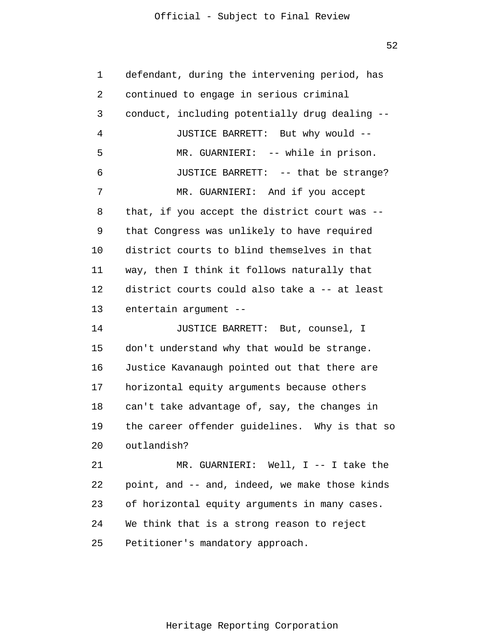52

1 2 3 4 5 6 7 8 9 10 11 12 13 14 15 16 17 18 19 20 21 22 23 24 25 defendant, during the intervening period, has continued to engage in serious criminal conduct, including potentially drug dealing -- JUSTICE BARRETT: But why would -- MR. GUARNIERI: -- while in prison. JUSTICE BARRETT: -- that be strange? MR. GUARNIERI: And if you accept that, if you accept the district court was - that Congress was unlikely to have required district courts to blind themselves in that way, then I think it follows naturally that district courts could also take a -- at least entertain argument -- JUSTICE BARRETT: But, counsel, I don't understand why that would be strange. Justice Kavanaugh pointed out that there are horizontal equity arguments because others can't take advantage of, say, the changes in the career offender guidelines. Why is that so outlandish? MR. GUARNIERI: Well, I -- I take the point, and -- and, indeed, we make those kinds of horizontal equity arguments in many cases. We think that is a strong reason to reject Petitioner's mandatory approach.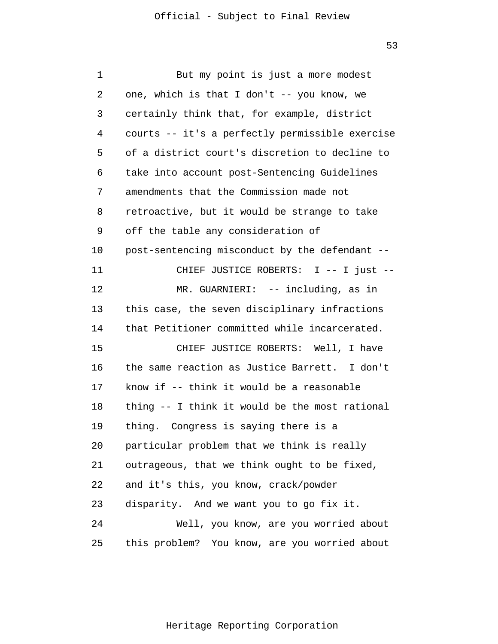| 1  | But my point is just a more modest              |
|----|-------------------------------------------------|
| 2  | one, which is that I don't $-$ - you know, we   |
| 3  | certainly think that, for example, district     |
| 4  | courts -- it's a perfectly permissible exercise |
| 5  | of a district court's discretion to decline to  |
| 6  | take into account post-Sentencing Guidelines    |
| 7  | amendments that the Commission made not         |
| 8  | retroactive, but it would be strange to take    |
| 9  | off the table any consideration of              |
| 10 | post-sentencing misconduct by the defendant --  |
| 11 | CHIEF JUSTICE ROBERTS: I -- I just --           |
| 12 | MR. GUARNIERI: -- including, as in              |
| 13 | this case, the seven disciplinary infractions   |
| 14 | that Petitioner committed while incarcerated.   |
| 15 | CHIEF JUSTICE ROBERTS: Well, I have             |
| 16 | the same reaction as Justice Barrett. I don't   |
| 17 | know if -- think it would be a reasonable       |
| 18 | thing -- I think it would be the most rational  |
| 19 | thing. Congress is saying there is a            |
| 20 | particular problem that we think is really      |
| 21 | outrageous, that we think ought to be fixed,    |
| 22 | and it's this, you know, crack/powder           |
| 23 | disparity. And we want you to go fix it.        |
| 24 | Well, you know, are you worried about           |
| 25 | this problem? You know, are you worried about   |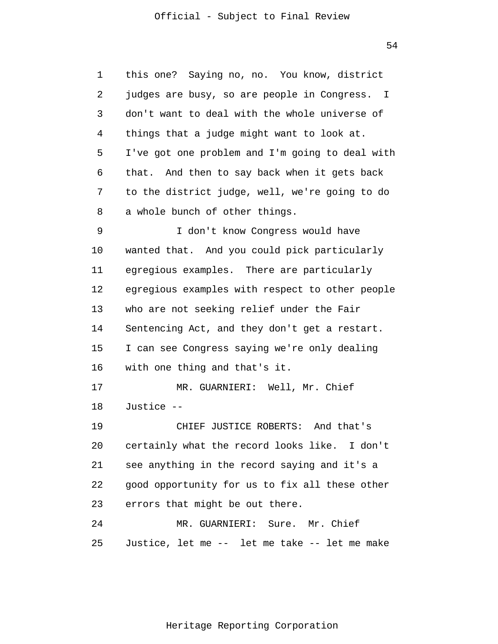54

1 2 3 4 5 6 7 8 9 10 11 12 13 14 15 16 17 18 19 20 21 22 23 24 25 this one? Saying no, no. You know, district judges are busy, so are people in Congress. I don't want to deal with the whole universe of things that a judge might want to look at. I've got one problem and I'm going to deal with that. And then to say back when it gets back to the district judge, well, we're going to do a whole bunch of other things. I don't know Congress would have wanted that. And you could pick particularly egregious examples. There are particularly egregious examples with respect to other people who are not seeking relief under the Fair Sentencing Act, and they don't get a restart. I can see Congress saying we're only dealing with one thing and that's it. MR. GUARNIERI: Well, Mr. Chief Justice -- CHIEF JUSTICE ROBERTS: And that's certainly what the record looks like. I don't see anything in the record saying and it's a good opportunity for us to fix all these other errors that might be out there. MR. GUARNIERI: Sure. Mr. Chief Justice, let me -- let me take -- let me make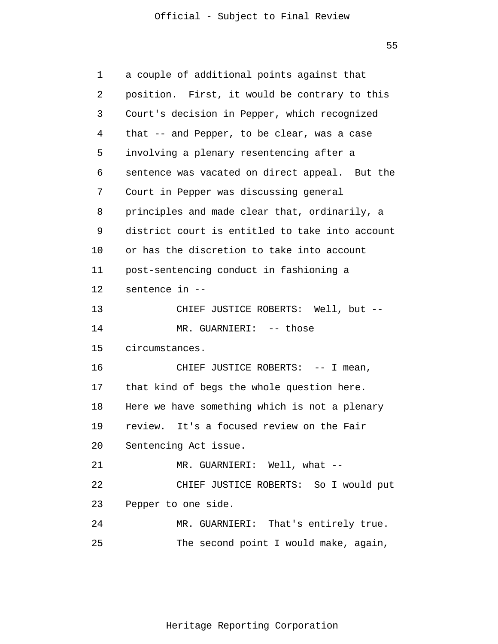55

| 1  | a couple of additional points against that      |
|----|-------------------------------------------------|
| 2  | position. First, it would be contrary to this   |
| 3  | Court's decision in Pepper, which recognized    |
| 4  | that -- and Pepper, to be clear, was a case     |
| 5  | involving a plenary resentencing after a        |
| 6  | sentence was vacated on direct appeal. But the  |
| 7  | Court in Pepper was discussing general          |
| 8  | principles and made clear that, ordinarily, a   |
| 9  | district court is entitled to take into account |
| 10 | or has the discretion to take into account      |
| 11 | post-sentencing conduct in fashioning a         |
| 12 | sentence in --                                  |
| 13 | CHIEF JUSTICE ROBERTS: Well, but --             |
| 14 | MR. GUARNIERI: -- those                         |
| 15 | circumstances.                                  |
| 16 | CHIEF JUSTICE ROBERTS: -- I mean,               |
| 17 | that kind of begs the whole question here.      |
| 18 | Here we have something which is not a plenary   |
| 19 | review. It's a focused review on the Fair       |
| 20 | Sentencing Act issue.                           |
| 21 | MR. GUARNIERI: Well, what --                    |
| 22 | CHIEF JUSTICE ROBERTS: So I would put           |
| 23 | Pepper to one side.                             |
| 24 | MR. GUARNIERI: That's entirely true.            |
| 25 | The second point I would make, again,           |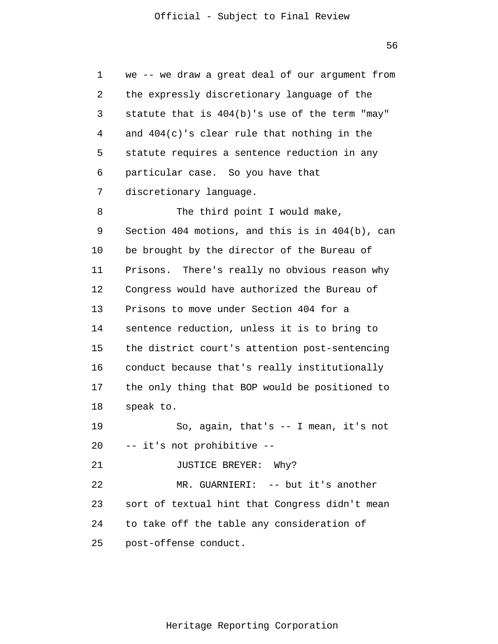1 2 3 4 5 6 7 8 9 10 11 12 13 14 15 16 17 18 19 20 21 22 23 24 25 we -- we draw a great deal of our argument from the expressly discretionary language of the statute that is 404(b)'s use of the term "may" and 404(c)'s clear rule that nothing in the statute requires a sentence reduction in any particular case. So you have that discretionary language. The third point I would make, Section 404 motions, and this is in 404(b), can be brought by the director of the Bureau of Prisons. There's really no obvious reason why Congress would have authorized the Bureau of Prisons to move under Section 404 for a sentence reduction, unless it is to bring to the district court's attention post-sentencing conduct because that's really institutionally the only thing that BOP would be positioned to speak to. So, again, that's -- I mean, it's not -- it's not prohibitive -- JUSTICE BREYER: Why? MR. GUARNIERI: -- but it's another sort of textual hint that Congress didn't mean to take off the table any consideration of post-offense conduct.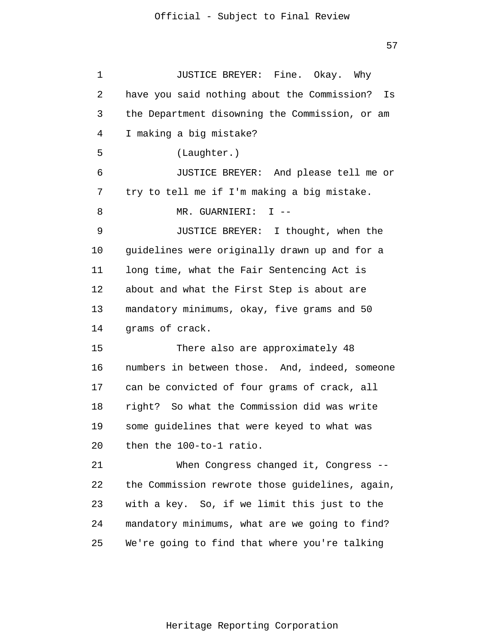1 2 3 4 5 6 7 8 9 10 11 12 13 14 15 16 17 18 19 20 21 22 23 24 25 JUSTICE BREYER: Fine. Okay. Why have you said nothing about the Commission? Is the Department disowning the Commission, or am I making a big mistake? (Laughter.) JUSTICE BREYER: And please tell me or try to tell me if I'm making a big mistake. MR. GUARNIERI: I -- JUSTICE BREYER: I thought, when the guidelines were originally drawn up and for a long time, what the Fair Sentencing Act is about and what the First Step is about are mandatory minimums, okay, five grams and 50 grams of crack. There also are approximately 48 numbers in between those. And, indeed, someone can be convicted of four grams of crack, all right? So what the Commission did was write some guidelines that were keyed to what was then the 100-to-1 ratio. When Congress changed it, Congress -the Commission rewrote those guidelines, again, with a key. So, if we limit this just to the mandatory minimums, what are we going to find? We're going to find that where you're talking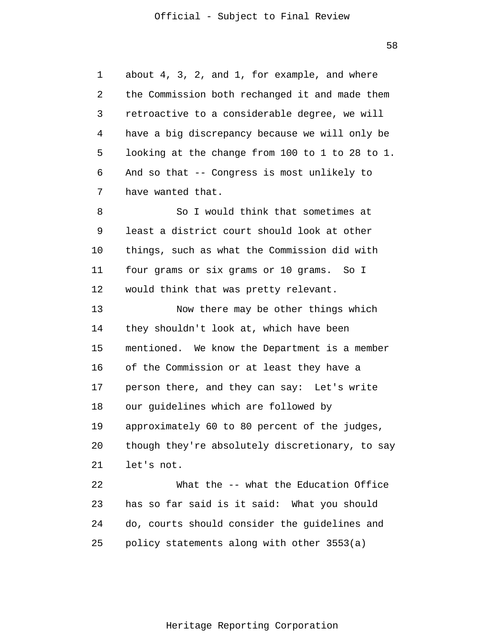1 2 3 4 5 6 7 8 9 10 11 12 13 14 15 16 17 18 19 20 21 22 23 24 25 about 4, 3, 2, and 1, for example, and where the Commission both rechanged it and made them retroactive to a considerable degree, we will have a big discrepancy because we will only be looking at the change from 100 to 1 to 28 to 1. And so that -- Congress is most unlikely to have wanted that. So I would think that sometimes at least a district court should look at other things, such as what the Commission did with four grams or six grams or 10 grams. So I would think that was pretty relevant. Now there may be other things which they shouldn't look at, which have been mentioned. We know the Department is a member of the Commission or at least they have a person there, and they can say: Let's write our guidelines which are followed by approximately 60 to 80 percent of the judges, though they're absolutely discretionary, to say let's not. What the -- what the Education Office has so far said is it said: What you should do, courts should consider the guidelines and policy statements along with other 3553(a)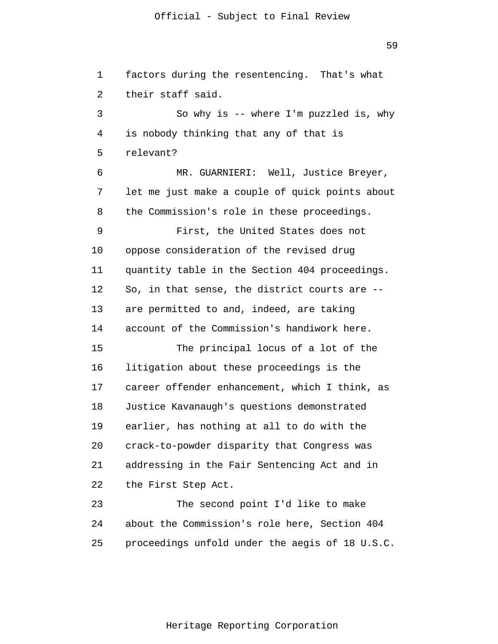59

1 2 3 4 5 6 7 8 9 10 11 12 13 14 15 16 17 18 19 20 21 22 23 24 25 factors during the resentencing. That's what their staff said. So why is -- where I'm puzzled is, why is nobody thinking that any of that is relevant? MR. GUARNIERI: Well, Justice Breyer, let me just make a couple of quick points about the Commission's role in these proceedings. First, the United States does not oppose consideration of the revised drug quantity table in the Section 404 proceedings. So, in that sense, the district courts are - are permitted to and, indeed, are taking account of the Commission's handiwork here. The principal locus of a lot of the litigation about these proceedings is the career offender enhancement, which I think, as Justice Kavanaugh's questions demonstrated earlier, has nothing at all to do with the crack-to-powder disparity that Congress was addressing in the Fair Sentencing Act and in the First Step Act. The second point I'd like to make about the Commission's role here, Section 404 proceedings unfold under the aegis of 18 U.S.C.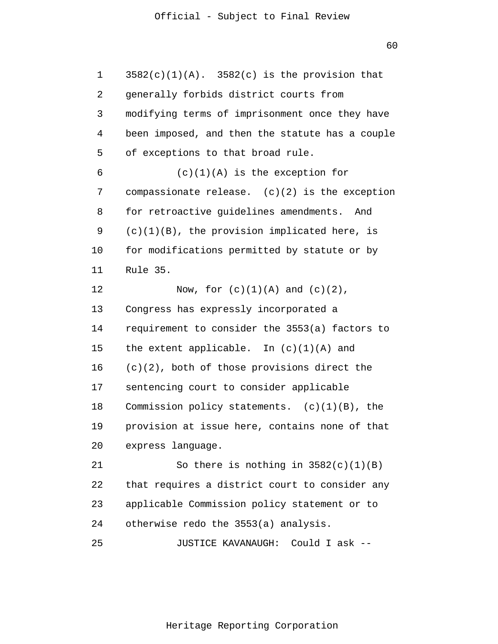1 2 3 4 5 6 7 8 9 10 11 12 13 14 15 16 17 18 19 20 21 22 23 24 25  $3582(c)(1)(A)$ .  $3582(c)$  is the provision that generally forbids district courts from modifying terms of imprisonment once they have been imposed, and then the statute has a couple of exceptions to that broad rule.  $(c)(1)(A)$  is the exception for compassionate release.  $(c)(2)$  is the exception for retroactive guidelines amendments. And  $(c)(1)(B)$ , the provision implicated here, is for modifications permitted by statute or by Rule 35. Now, for  $(c)(1)(A)$  and  $(c)(2)$ , Congress has expressly incorporated a requirement to consider the 3553(a) factors to the extent applicable. In  $(c)(1)(A)$  and (c)(2), both of those provisions direct the sentencing court to consider applicable Commission policy statements.  $(c)(1)(B)$ , the provision at issue here, contains none of that express language. So there is nothing in  $3582(c)(1)(B)$ that requires a district court to consider any applicable Commission policy statement or to otherwise redo the 3553(a) analysis. JUSTICE KAVANAUGH: Could I ask --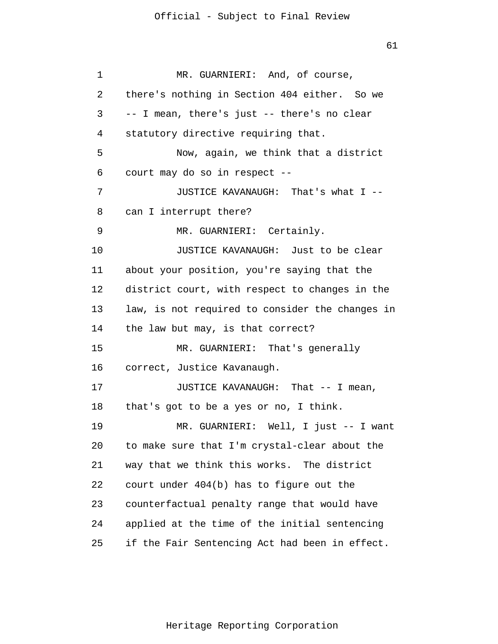1 2 3 4 5 6 7 8 9 10 11 12 13 14 15 16 17 18 19 20 21 22 23 24 25 MR. GUARNIERI: And, of course, there's nothing in Section 404 either. So we -- I mean, there's just -- there's no clear statutory directive requiring that. Now, again, we think that a district court may do so in respect -- JUSTICE KAVANAUGH: That's what I - can I interrupt there? MR. GUARNIERI: Certainly. JUSTICE KAVANAUGH: Just to be clear about your position, you're saying that the district court, with respect to changes in the law, is not required to consider the changes in the law but may, is that correct? MR. GUARNIERI: That's generally correct, Justice Kavanaugh. JUSTICE KAVANAUGH: That -- I mean, that's got to be a yes or no, I think. MR. GUARNIERI: Well, I just -- I want to make sure that I'm crystal-clear about the way that we think this works. The district court under 404(b) has to figure out the counterfactual penalty range that would have applied at the time of the initial sentencing if the Fair Sentencing Act had been in effect.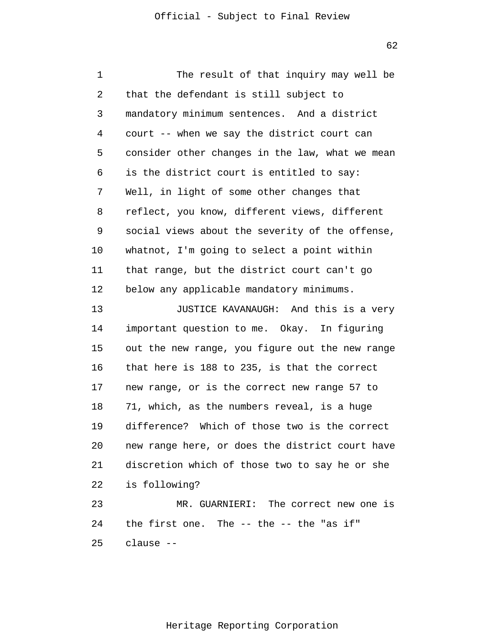1 2 3 4 5 6 7 8 9 10 11 12 13 14 15 16 17 18 19 20 21 22 23 24 25 The result of that inquiry may well be that the defendant is still subject to mandatory minimum sentences. And a district court -- when we say the district court can consider other changes in the law, what we mean is the district court is entitled to say: Well, in light of some other changes that reflect, you know, different views, different social views about the severity of the offense, whatnot, I'm going to select a point within that range, but the district court can't go below any applicable mandatory minimums. JUSTICE KAVANAUGH: And this is a very important question to me. Okay. In figuring out the new range, you figure out the new range that here is 188 to 235, is that the correct new range, or is the correct new range 57 to 71, which, as the numbers reveal, is a huge difference? Which of those two is the correct new range here, or does the district court have discretion which of those two to say he or she is following? MR. GUARNIERI: The correct new one is the first one. The -- the -- the "as if" clause --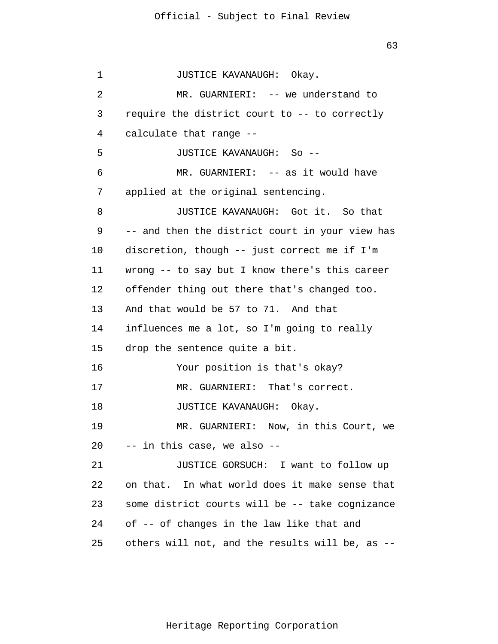1 2 3 4 5 6 7 8 9 10 11 12 13 14 15 16 17 18 19 20 21 22 23 24 25 JUSTICE KAVANAUGH: Okay. MR. GUARNIERI: -- we understand to require the district court to -- to correctly calculate that range -- JUSTICE KAVANAUGH: So -- MR. GUARNIERI: -- as it would have applied at the original sentencing. JUSTICE KAVANAUGH: Got it. So that -- and then the district court in your view has discretion, though -- just correct me if I'm wrong -- to say but I know there's this career offender thing out there that's changed too. And that would be 57 to 71. And that influences me a lot, so I'm going to really drop the sentence quite a bit. Your position is that's okay? MR. GUARNIERI: That's correct. JUSTICE KAVANAUGH: Okay. MR. GUARNIERI: Now, in this Court, we -- in this case, we also -- JUSTICE GORSUCH: I want to follow up on that. In what world does it make sense that some district courts will be -- take cognizance of -- of changes in the law like that and others will not, and the results will be, as --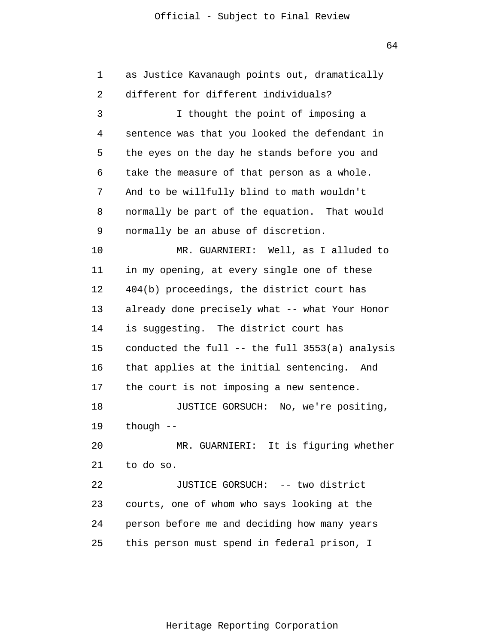64

1 2 3 4 5 6 7 8 9 10 11 12 13 14 15 16 17 18 19 20 21 22 23 24 25 as Justice Kavanaugh points out, dramatically different for different individuals? I thought the point of imposing a sentence was that you looked the defendant in the eyes on the day he stands before you and take the measure of that person as a whole. And to be willfully blind to math wouldn't normally be part of the equation. That would normally be an abuse of discretion. MR. GUARNIERI: Well, as I alluded to in my opening, at every single one of these 404(b) proceedings, the district court has already done precisely what -- what Your Honor is suggesting. The district court has conducted the full -- the full 3553(a) analysis that applies at the initial sentencing. And the court is not imposing a new sentence. JUSTICE GORSUCH: No, we're positing, though -- MR. GUARNIERI: It is figuring whether to do so. JUSTICE GORSUCH: -- two district courts, one of whom who says looking at the person before me and deciding how many years this person must spend in federal prison, I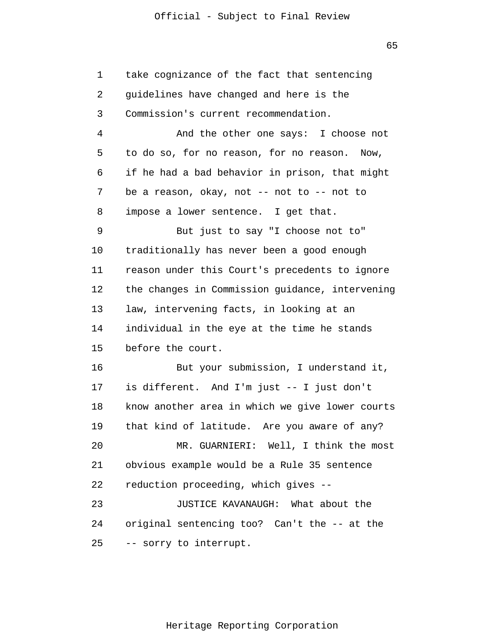1 2 3 4 5 6 7 8 9 10 11 12 13 14 15 16 17 18 19 20 21 22 23 24 25 take cognizance of the fact that sentencing guidelines have changed and here is the Commission's current recommendation. And the other one says: I choose not to do so, for no reason, for no reason. Now, if he had a bad behavior in prison, that might be a reason, okay, not -- not to -- not to impose a lower sentence. I get that. But just to say "I choose not to" traditionally has never been a good enough reason under this Court's precedents to ignore the changes in Commission guidance, intervening law, intervening facts, in looking at an individual in the eye at the time he stands before the court. But your submission, I understand it, is different. And I'm just -- I just don't know another area in which we give lower courts that kind of latitude. Are you aware of any? MR. GUARNIERI: Well, I think the most obvious example would be a Rule 35 sentence reduction proceeding, which gives -- JUSTICE KAVANAUGH: What about the original sentencing too? Can't the -- at the -- sorry to interrupt.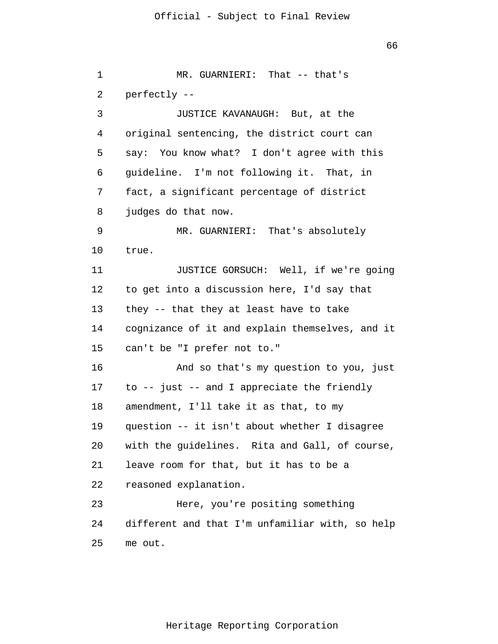1 2 3 4 5 6 7 8 9 10 11 12 13 14 15 16 17 18 19 20 21 22 23 24 25 MR. GUARNIERI: That -- that's perfectly -- JUSTICE KAVANAUGH: But, at the original sentencing, the district court can say: You know what? I don't agree with this guideline. I'm not following it. That, in fact, a significant percentage of district judges do that now. MR. GUARNIERI: That's absolutely true. JUSTICE GORSUCH: Well, if we're going to get into a discussion here, I'd say that they -- that they at least have to take cognizance of it and explain themselves, and it can't be "I prefer not to." And so that's my question to you, just to -- just -- and I appreciate the friendly amendment, I'll take it as that, to my question -- it isn't about whether I disagree with the guidelines. Rita and Gall, of course, leave room for that, but it has to be a reasoned explanation. Here, you're positing something different and that I'm unfamiliar with, so help me out.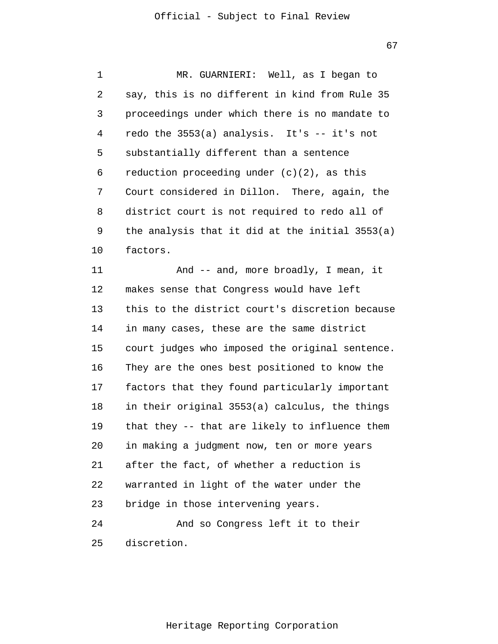67

1 2 3 4 5 6 7 8 9 10 11 12 13 14 MR. GUARNIERI: Well, as I began to say, this is no different in kind from Rule 35 proceedings under which there is no mandate to redo the 3553(a) analysis. It's -- it's not substantially different than a sentence reduction proceeding under  $(c)(2)$ , as this Court considered in Dillon. There, again, the district court is not required to redo all of the analysis that it did at the initial 3553(a) factors. And -- and, more broadly, I mean, it makes sense that Congress would have left this to the district court's discretion because in many cases, these are the same district

15 16 17 18 19 20 21 22 23 24 court judges who imposed the original sentence. They are the ones best positioned to know the factors that they found particularly important in their original 3553(a) calculus, the things that they -- that are likely to influence them in making a judgment now, ten or more years after the fact, of whether a reduction is warranted in light of the water under the bridge in those intervening years. And so Congress left it to their

25 discretion.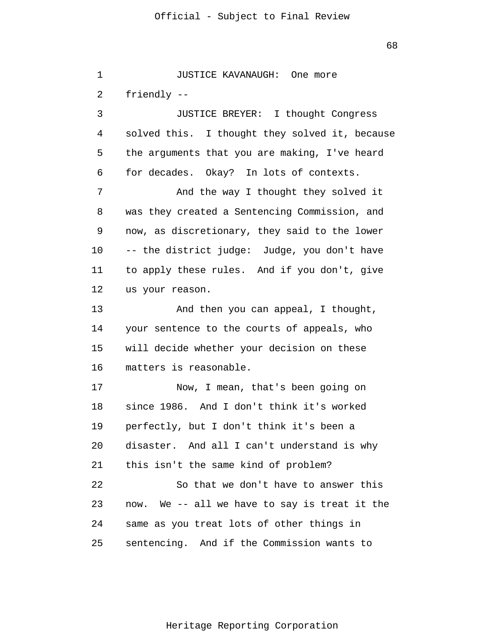68

1 2 3 4 5 6 7 8 9 10 11 12 13 14 15 16 17 18 19 20 21 22 23 24 25 JUSTICE KAVANAUGH: One more friendly -- JUSTICE BREYER: I thought Congress solved this. I thought they solved it, because the arguments that you are making, I've heard for decades. Okay? In lots of contexts. And the way I thought they solved it was they created a Sentencing Commission, and now, as discretionary, they said to the lower -- the district judge: Judge, you don't have to apply these rules. And if you don't, give us your reason. And then you can appeal, I thought, your sentence to the courts of appeals, who will decide whether your decision on these matters is reasonable. Now, I mean, that's been going on since 1986. And I don't think it's worked perfectly, but I don't think it's been a disaster. And all I can't understand is why this isn't the same kind of problem? So that we don't have to answer this now. We -- all we have to say is treat it the same as you treat lots of other things in sentencing. And if the Commission wants to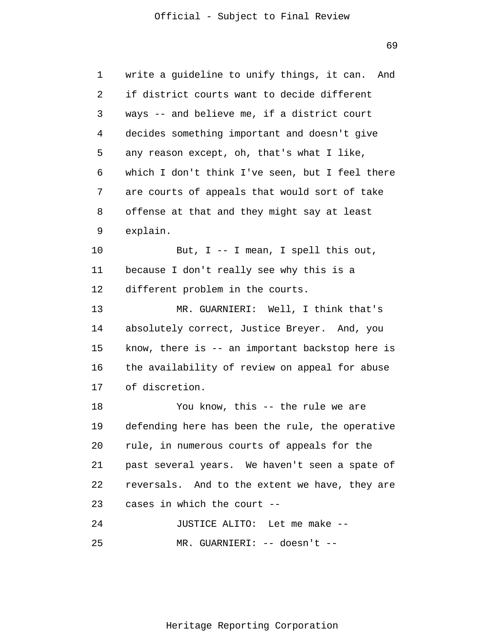69

1 2 3 4 5 6 7 8 9 10 11 12 13 14 15 16 17 18 19 20 21 22 23 24 25 write a guideline to unify things, it can. And if district courts want to decide different ways -- and believe me, if a district court decides something important and doesn't give any reason except, oh, that's what I like, which I don't think I've seen, but I feel there are courts of appeals that would sort of take offense at that and they might say at least explain. But, I -- I mean, I spell this out, because I don't really see why this is a different problem in the courts. MR. GUARNIERI: Well, I think that's absolutely correct, Justice Breyer. And, you know, there is -- an important backstop here is the availability of review on appeal for abuse of discretion. You know, this -- the rule we are defending here has been the rule, the operative rule, in numerous courts of appeals for the past several years. We haven't seen a spate of reversals. And to the extent we have, they are cases in which the court -- JUSTICE ALITO: Let me make -- MR. GUARNIERI: -- doesn't --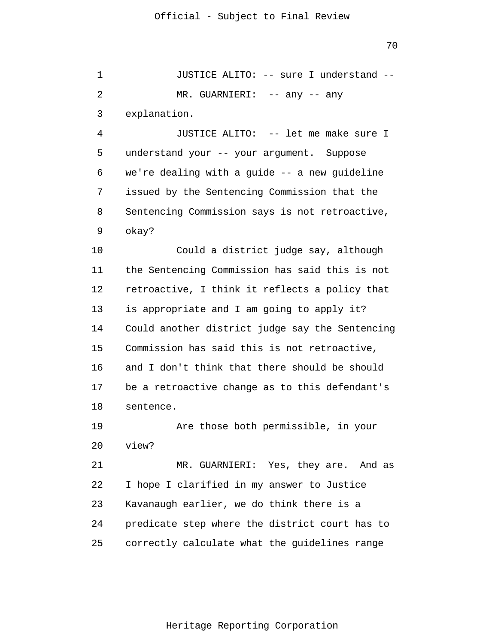1 2 3 JUSTICE ALITO: -- sure I understand -- MR. GUARNIERI: -- any -- any explanation.

4 5 6 7 8 9 JUSTICE ALITO: -- let me make sure I understand your -- your argument. Suppose we're dealing with a guide -- a new guideline issued by the Sentencing Commission that the Sentencing Commission says is not retroactive, okay?

10 11 12 13 14 15 16 17 18 Could a district judge say, although the Sentencing Commission has said this is not retroactive, I think it reflects a policy that is appropriate and I am going to apply it? Could another district judge say the Sentencing Commission has said this is not retroactive, and I don't think that there should be should be a retroactive change as to this defendant's sentence.

19 20 Are those both permissible, in your view?

21 22 23 24 25 MR. GUARNIERI: Yes, they are. And as I hope I clarified in my answer to Justice Kavanaugh earlier, we do think there is a predicate step where the district court has to correctly calculate what the guidelines range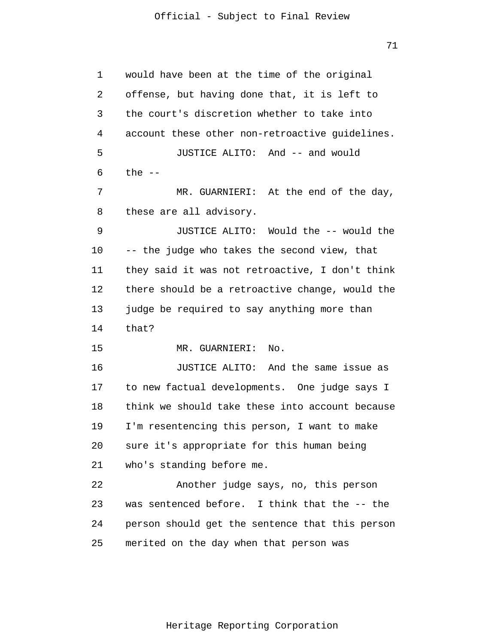71

1 2 3 4 5 6 7 8 9 10 11 12 13 14 15 16 17 18 19 20 21 22 23 24 25 would have been at the time of the original offense, but having done that, it is left to the court's discretion whether to take into account these other non-retroactive guidelines. JUSTICE ALITO: And -- and would the  $--$ MR. GUARNIERI: At the end of the day, these are all advisory. JUSTICE ALITO: Would the -- would the -- the judge who takes the second view, that they said it was not retroactive, I don't think there should be a retroactive change, would the judge be required to say anything more than that? MR. GUARNIERI: No. JUSTICE ALITO: And the same issue as to new factual developments. One judge says I think we should take these into account because I'm resentencing this person, I want to make sure it's appropriate for this human being who's standing before me. Another judge says, no, this person was sentenced before. I think that the -- the person should get the sentence that this person merited on the day when that person was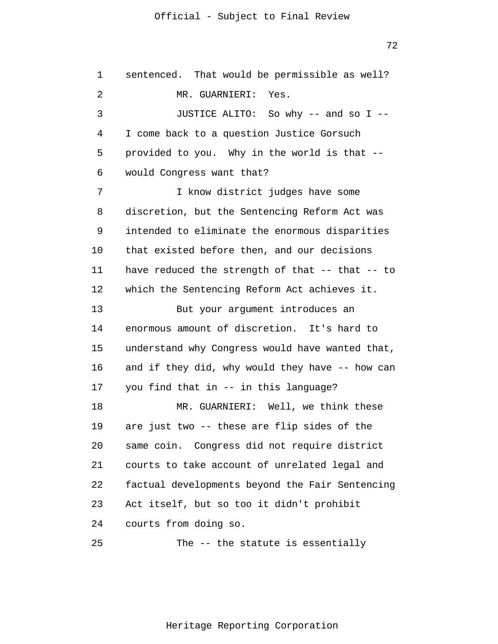72

1 2 3 4 5 6 7 8 9 10 11 12 13 14 15 16 17 18 19 20 21 22 23 24 sentenced. That would be permissible as well? MR. GUARNIERI: Yes. JUSTICE ALITO: So why -- and so I -- I come back to a question Justice Gorsuch provided to you. Why in the world is that - would Congress want that? I know district judges have some discretion, but the Sentencing Reform Act was intended to eliminate the enormous disparities that existed before then, and our decisions have reduced the strength of that -- that -- to which the Sentencing Reform Act achieves it. But your argument introduces an enormous amount of discretion. It's hard to understand why Congress would have wanted that, and if they did, why would they have -- how can you find that in -- in this language? MR. GUARNIERI: Well, we think these are just two -- these are flip sides of the same coin. Congress did not require district courts to take account of unrelated legal and factual developments beyond the Fair Sentencing Act itself, but so too it didn't prohibit courts from doing so.

25 The -- the statute is essentially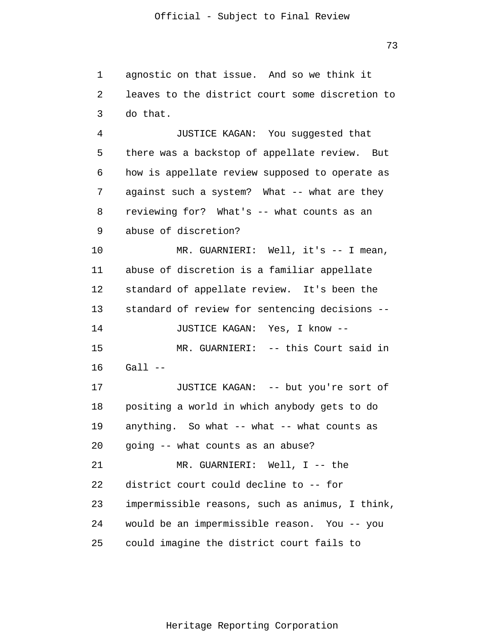1 2 3 4 5 6 7 8 9 10 11 12 13 14 15 16 17 18 19 20 21 22 23 24 25 agnostic on that issue. And so we think it leaves to the district court some discretion to do that. JUSTICE KAGAN: You suggested that there was a backstop of appellate review. But how is appellate review supposed to operate as against such a system? What -- what are they reviewing for? What's -- what counts as an abuse of discretion? MR. GUARNIERI: Well, it's -- I mean, abuse of discretion is a familiar appellate standard of appellate review. It's been the standard of review for sentencing decisions -- JUSTICE KAGAN: Yes, I know -- MR. GUARNIERI: -- this Court said in  $Gall --$ JUSTICE KAGAN: -- but you're sort of positing a world in which anybody gets to do anything. So what  $--$  what  $--$  what counts as going -- what counts as an abuse? MR. GUARNIERI: Well, I -- the district court could decline to -- for impermissible reasons, such as animus, I think, would be an impermissible reason. You -- you could imagine the district court fails to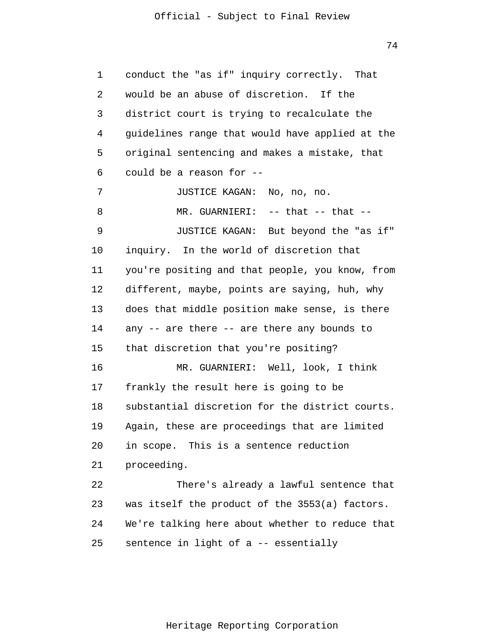74

1 2 3 4 5 6 7 8 9 10 11 12 13 14 15 16 17 18 19 20 21 22 23 24 25 conduct the "as if" inquiry correctly. That would be an abuse of discretion. If the district court is trying to recalculate the guidelines range that would have applied at the original sentencing and makes a mistake, that could be a reason for -- JUSTICE KAGAN: No, no, no. MR. GUARNIERI: -- that -- that --JUSTICE KAGAN: But beyond the "as if" inquiry. In the world of discretion that you're positing and that people, you know, from different, maybe, points are saying, huh, why does that middle position make sense, is there any -- are there -- are there any bounds to that discretion that you're positing? MR. GUARNIERI: Well, look, I think frankly the result here is going to be substantial discretion for the district courts. Again, these are proceedings that are limited in scope. This is a sentence reduction proceeding. There's already a lawful sentence that was itself the product of the 3553(a) factors. We're talking here about whether to reduce that sentence in light of a -- essentially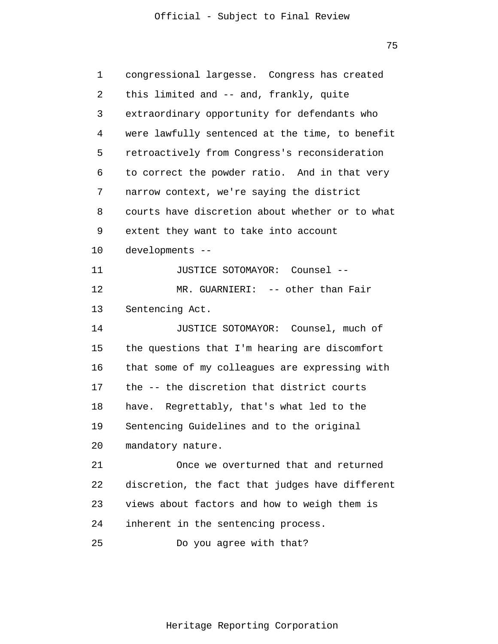75

| 1  | congressional largesse. Congress has created    |
|----|-------------------------------------------------|
| 2  | this limited and -- and, frankly, quite         |
| 3  | extraordinary opportunity for defendants who    |
| 4  | were lawfully sentenced at the time, to benefit |
| 5  | retroactively from Congress's reconsideration   |
| 6  | to correct the powder ratio. And in that very   |
| 7  | narrow context, we're saying the district       |
| 8  | courts have discretion about whether or to what |
| 9  | extent they want to take into account           |
| 10 | developments --                                 |
| 11 | JUSTICE SOTOMAYOR: Counsel --                   |
| 12 | MR. GUARNIERI: -- other than Fair               |
| 13 | Sentencing Act.                                 |
| 14 | JUSTICE SOTOMAYOR: Counsel, much of             |
| 15 | the questions that I'm hearing are discomfort   |
| 16 | that some of my colleagues are expressing with  |
| 17 | the -- the discretion that district courts      |
| 18 | Regrettably, that's what led to the<br>have.    |
| 19 | Sentencing Guidelines and to the original       |
| 20 | mandatory nature.                               |
| 21 | Once we overturned that and returned            |
| 22 | discretion, the fact that judges have different |
| 23 | views about factors and how to weigh them is    |
| 24 | inherent in the sentencing process.             |
| 25 | Do you agree with that?                         |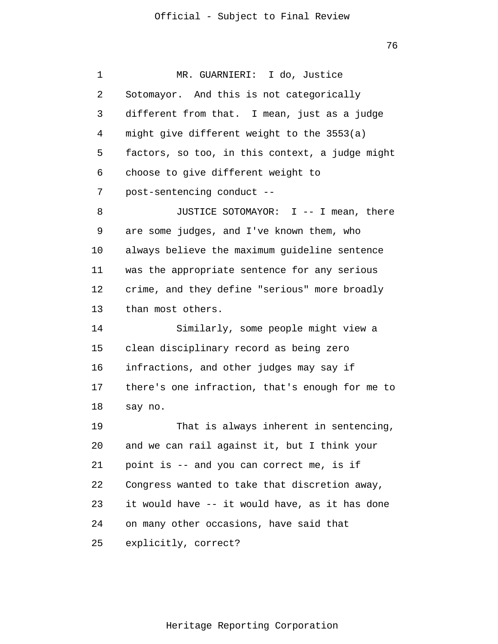| 1  | MR. GUARNIERI: I do, Justice                    |
|----|-------------------------------------------------|
| 2  | Sotomayor. And this is not categorically        |
| 3  | different from that. I mean, just as a judge    |
| 4  | might give different weight to the 3553(a)      |
| 5  | factors, so too, in this context, a judge might |
| 6  | choose to give different weight to              |
| 7  | post-sentencing conduct --                      |
| 8  | JUSTICE SOTOMAYOR: I -- I mean, there           |
| 9  | are some judges, and I've known them, who       |
| 10 | always believe the maximum guideline sentence   |
| 11 | was the appropriate sentence for any serious    |
| 12 | crime, and they define "serious" more broadly   |
| 13 | than most others.                               |
| 14 | Similarly, some people might view a             |
| 15 | clean disciplinary record as being zero         |
| 16 | infractions, and other judges may say if        |
| 17 | there's one infraction, that's enough for me to |
| 18 | say no.                                         |
| 19 | That is always inherent in sentencing,          |
| 20 | and we can rail against it, but I think your    |
| 21 | point is -- and you can correct me, is if       |
| 22 | Congress wanted to take that discretion away,   |
| 23 | it would have -- it would have, as it has done  |
| 24 | on many other occasions, have said that         |
| 25 | explicitly, correct?                            |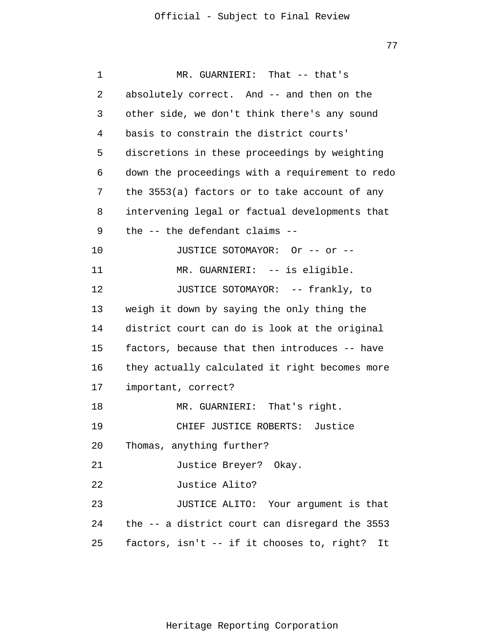| 1  | MR. GUARNIERI: That -- that's                    |
|----|--------------------------------------------------|
| 2  | absolutely correct. And -- and then on the       |
| 3  | other side, we don't think there's any sound     |
| 4  | basis to constrain the district courts'          |
| 5  | discretions in these proceedings by weighting    |
| 6  | down the proceedings with a requirement to redo  |
| 7  | the 3553(a) factors or to take account of any    |
| 8  | intervening legal or factual developments that   |
| 9  | the -- the defendant claims --                   |
| 10 | JUSTICE SOTOMAYOR: Or -- or --                   |
| 11 | MR. GUARNIERI: -- is eligible.                   |
| 12 | JUSTICE SOTOMAYOR: -- frankly, to                |
| 13 | weigh it down by saying the only thing the       |
| 14 | district court can do is look at the original    |
| 15 | factors, because that then introduces -- have    |
| 16 | they actually calculated it right becomes more   |
| 17 | important, correct?                              |
| 18 | MR. GUARNIERI: That's right.                     |
| 19 | CHIEF JUSTICE ROBERTS: Justice                   |
| 20 | Thomas, anything further?                        |
| 21 | Justice Breyer? Okay.                            |
| 22 | Justice Alito?                                   |
| 23 | JUSTICE ALITO: Your argument is that             |
| 24 | the -- a district court can disregard the 3553   |
| 25 | factors, isn't -- if it chooses to, right?<br>It |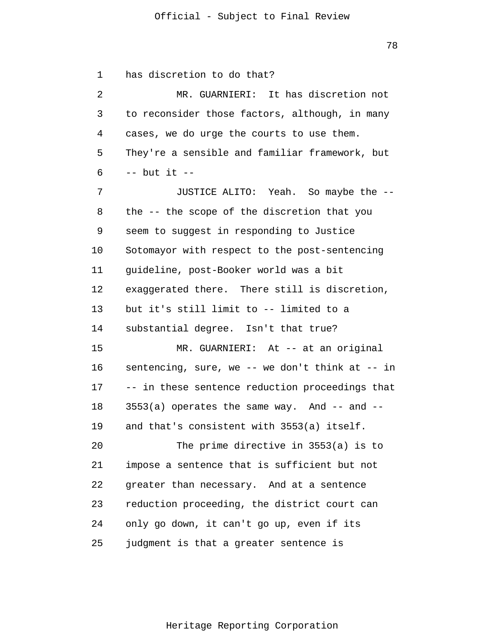1 2 3 4 5 6 7 8 9 10 11 12 13 14 15 16 17 18 19 20 21 22 23 24 25 has discretion to do that? MR. GUARNIERI: It has discretion not to reconsider those factors, although, in many cases, we do urge the courts to use them. They're a sensible and familiar framework, but  $--$  but it  $--$ JUSTICE ALITO: Yeah. So maybe the - the -- the scope of the discretion that you seem to suggest in responding to Justice Sotomayor with respect to the post-sentencing guideline, post-Booker world was a bit exaggerated there. There still is discretion, but it's still limit to -- limited to a substantial degree. Isn't that true? MR. GUARNIERI: At -- at an original sentencing, sure, we -- we don't think at -- in -- in these sentence reduction proceedings that  $3553(a)$  operates the same way. And  $--$  and  $-$ and that's consistent with 3553(a) itself. The prime directive in 3553(a) is to impose a sentence that is sufficient but not greater than necessary. And at a sentence reduction proceeding, the district court can only go down, it can't go up, even if its judgment is that a greater sentence is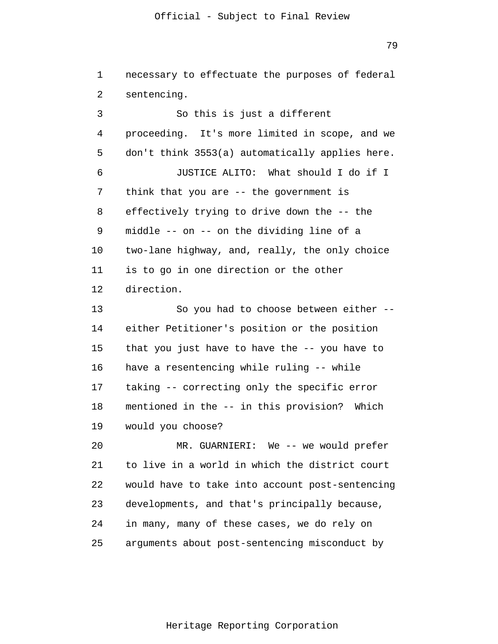79

1 2 3 4 5 6 7 8 9 10 11 12 13 14 15 16 17 18 19 20 21 22 23 24 necessary to effectuate the purposes of federal sentencing. So this is just a different proceeding. It's more limited in scope, and we don't think 3553(a) automatically applies here. JUSTICE ALITO: What should I do if I think that you are -- the government is effectively trying to drive down the -- the middle -- on -- on the dividing line of a two-lane highway, and, really, the only choice is to go in one direction or the other direction. So you had to choose between either - either Petitioner's position or the position that you just have to have the -- you have to have a resentencing while ruling -- while taking -- correcting only the specific error mentioned in the -- in this provision? Which would you choose? MR. GUARNIERI: We -- we would prefer to live in a world in which the district court would have to take into account post-sentencing developments, and that's principally because, in many, many of these cases, we do rely on

Heritage Reporting Corporation

arguments about post-sentencing misconduct by

25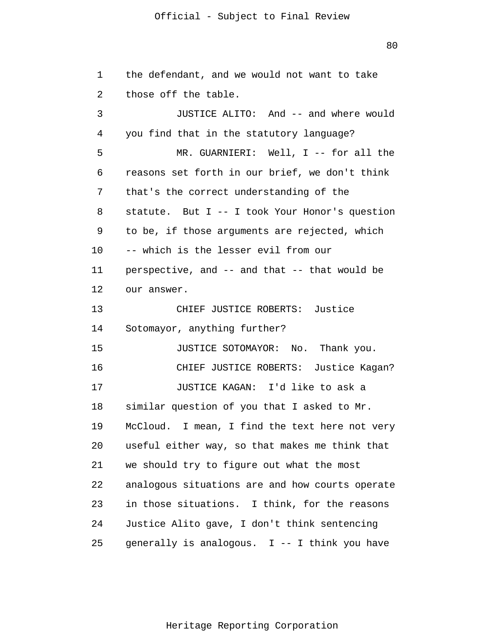80

1 2 3 4 5 6 7 8 9 10 11 12 13 14 15 16 17 18 19 20 21 22 23 24 25 the defendant, and we would not want to take those off the table. JUSTICE ALITO: And -- and where would you find that in the statutory language? MR. GUARNIERI: Well, I -- for all the reasons set forth in our brief, we don't think that's the correct understanding of the statute. But I -- I took Your Honor's question to be, if those arguments are rejected, which -- which is the lesser evil from our perspective, and -- and that -- that would be our answer. CHIEF JUSTICE ROBERTS: Justice Sotomayor, anything further? JUSTICE SOTOMAYOR: No. Thank you. CHIEF JUSTICE ROBERTS: Justice Kagan? JUSTICE KAGAN: I'd like to ask a similar question of you that I asked to Mr. McCloud. I mean, I find the text here not very useful either way, so that makes me think that we should try to figure out what the most analogous situations are and how courts operate in those situations. I think, for the reasons Justice Alito gave, I don't think sentencing generally is analogous. I -- I think you have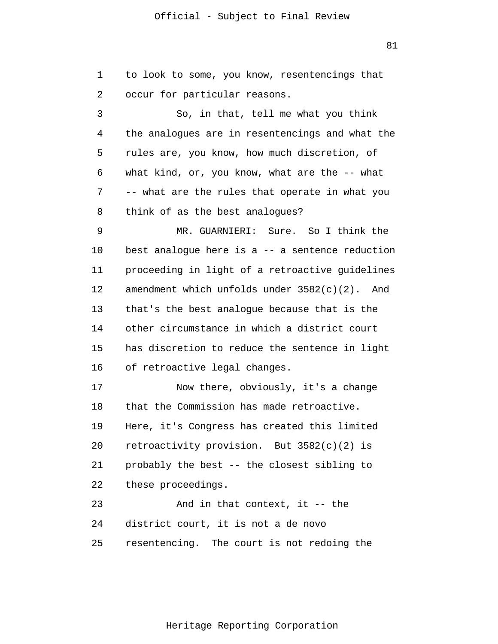1 2 3 4 5 6 7 8 9 10 11 12 13 14 15 16 17 18 19 20 21 22 23 24 25 to look to some, you know, resentencings that occur for particular reasons. So, in that, tell me what you think the analogues are in resentencings and what the rules are, you know, how much discretion, of what kind, or, you know, what are the -- what -- what are the rules that operate in what you think of as the best analogues? MR. GUARNIERI: Sure. So I think the best analogue here is a -- a sentence reduction proceeding in light of a retroactive guidelines amendment which unfolds under 3582(c)(2). And that's the best analogue because that is the other circumstance in which a district court has discretion to reduce the sentence in light of retroactive legal changes. Now there, obviously, it's a change that the Commission has made retroactive. Here, it's Congress has created this limited retroactivity provision. But 3582(c)(2) is probably the best -- the closest sibling to these proceedings. And in that context, it -- the district court, it is not a de novo resentencing. The court is not redoing the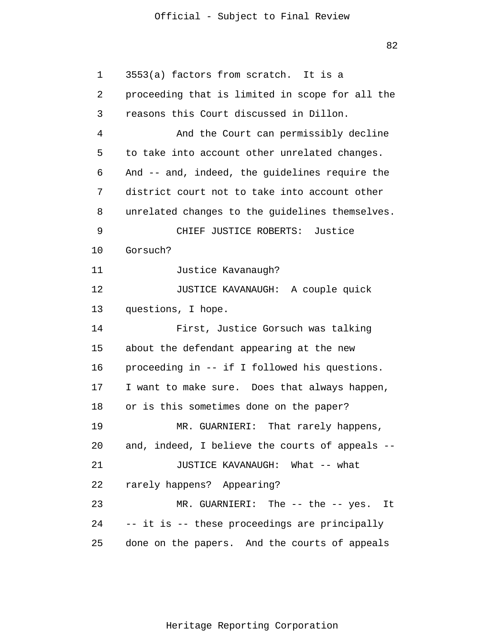82

1 2 3 4 5 6 7 8 9 10 11 12 13 14 15 16 17 18 19 20 21 22 23 24 25 3553(a) factors from scratch. It is a proceeding that is limited in scope for all the reasons this Court discussed in Dillon. And the Court can permissibly decline to take into account other unrelated changes. And -- and, indeed, the guidelines require the district court not to take into account other unrelated changes to the guidelines themselves. CHIEF JUSTICE ROBERTS: Justice Gorsuch? Justice Kavanaugh? JUSTICE KAVANAUGH: A couple quick questions, I hope. First, Justice Gorsuch was talking about the defendant appearing at the new proceeding in -- if I followed his questions. I want to make sure. Does that always happen, or is this sometimes done on the paper? MR. GUARNIERI: That rarely happens, and, indeed, I believe the courts of appeals -- JUSTICE KAVANAUGH: What -- what rarely happens? Appearing? MR. GUARNIERI: The -- the -- yes. It -- it is -- these proceedings are principally done on the papers. And the courts of appeals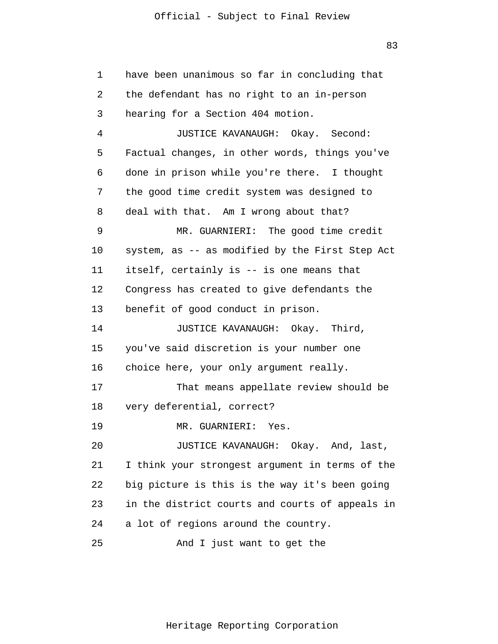1 2 3 4 5 6 7 8 9 10 11 12 13 14 15 16 17 18 19 20 21 22 23 24 25 have been unanimous so far in concluding that the defendant has no right to an in-person hearing for a Section 404 motion. JUSTICE KAVANAUGH: Okay. Second: Factual changes, in other words, things you've done in prison while you're there. I thought the good time credit system was designed to deal with that. Am I wrong about that? MR. GUARNIERI: The good time credit system, as -- as modified by the First Step Act itself, certainly is -- is one means that Congress has created to give defendants the benefit of good conduct in prison. JUSTICE KAVANAUGH: Okay. Third, you've said discretion is your number one choice here, your only argument really. That means appellate review should be very deferential, correct? MR. GUARNIERI: Yes. JUSTICE KAVANAUGH: Okay. And, last, I think your strongest argument in terms of the big picture is this is the way it's been going in the district courts and courts of appeals in a lot of regions around the country. And I just want to get the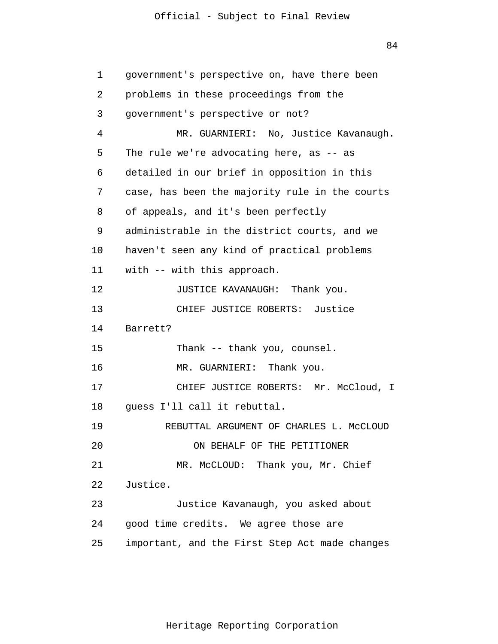84

1 2 3 4 5 6 7 8 9 10 11 12 13 14 15 16 17 18 19 20 21 22 23 24 25 government's perspective on, have there been problems in these proceedings from the government's perspective or not? MR. GUARNIERI: No, Justice Kavanaugh. The rule we're advocating here, as -- as detailed in our brief in opposition in this case, has been the majority rule in the courts of appeals, and it's been perfectly administrable in the district courts, and we haven't seen any kind of practical problems with -- with this approach. JUSTICE KAVANAUGH: Thank you. CHIEF JUSTICE ROBERTS: Justice Barrett? Thank -- thank you, counsel. MR. GUARNIERI: Thank you. CHIEF JUSTICE ROBERTS: Mr. McCloud, I guess I'll call it rebuttal. REBUTTAL ARGUMENT OF CHARLES L. McCLOUD ON BEHALF OF THE PETITIONER MR. McCLOUD: Thank you, Mr. Chief Justice. Justice Kavanaugh, you asked about good time credits. We agree those are important, and the First Step Act made changes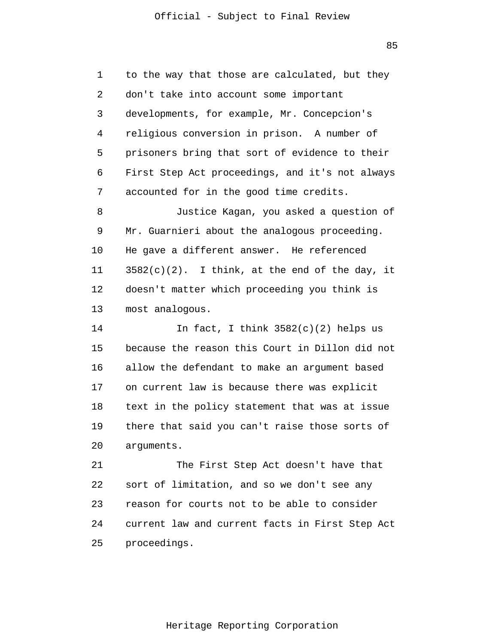85

1 2 3 4 5 6 7 to the way that those are calculated, but they don't take into account some important developments, for example, Mr. Concepcion's religious conversion in prison. A number of prisoners bring that sort of evidence to their First Step Act proceedings, and it's not always accounted for in the good time credits.

8 9 10 11 12 13 Justice Kagan, you asked a question of Mr. Guarnieri about the analogous proceeding. He gave a different answer. He referenced  $3582(c)(2)$ . I think, at the end of the day, it doesn't matter which proceeding you think is most analogous.

14 15 16 17 18 19 20 In fact, I think  $3582(c)(2)$  helps us because the reason this Court in Dillon did not allow the defendant to make an argument based on current law is because there was explicit text in the policy statement that was at issue there that said you can't raise those sorts of arguments.

21 22 23 24 25 The First Step Act doesn't have that sort of limitation, and so we don't see any reason for courts not to be able to consider current law and current facts in First Step Act proceedings.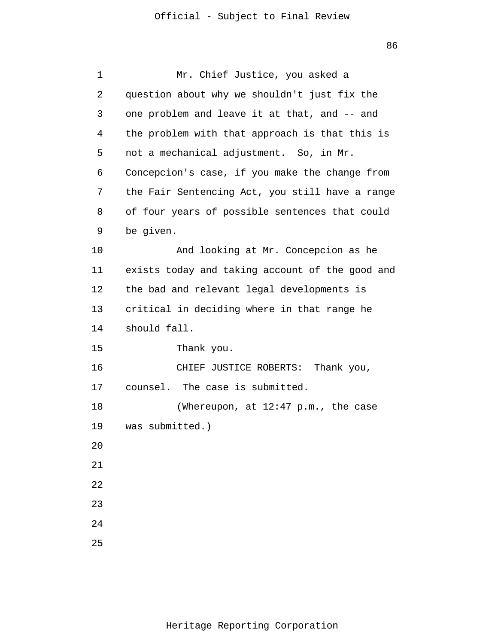| 1  | Mr. Chief Justice, you asked a                  |
|----|-------------------------------------------------|
| 2  | question about why we shouldn't just fix the    |
| 3  | one problem and leave it at that, and -- and    |
| 4  | the problem with that approach is that this is  |
| 5  | not a mechanical adjustment. So, in Mr.         |
| 6  | Concepcion's case, if you make the change from  |
| 7  | the Fair Sentencing Act, you still have a range |
| 8  | of four years of possible sentences that could  |
| 9  | be given.                                       |
| 10 | And looking at Mr. Concepcion as he             |
| 11 | exists today and taking account of the good and |
| 12 | the bad and relevant legal developments is      |
| 13 | critical in deciding where in that range he     |
| 14 | should fall.                                    |
| 15 | Thank you.                                      |
| 16 | CHIEF JUSTICE ROBERTS:<br>Thank you,            |
| 17 | counsel. The case is submitted.                 |
| 18 | (Whereupon, at 12:47 p.m., the case             |
| 19 | was submitted.)                                 |
| 20 |                                                 |
| 21 |                                                 |
| 22 |                                                 |
| 23 |                                                 |
| 24 |                                                 |
| 25 |                                                 |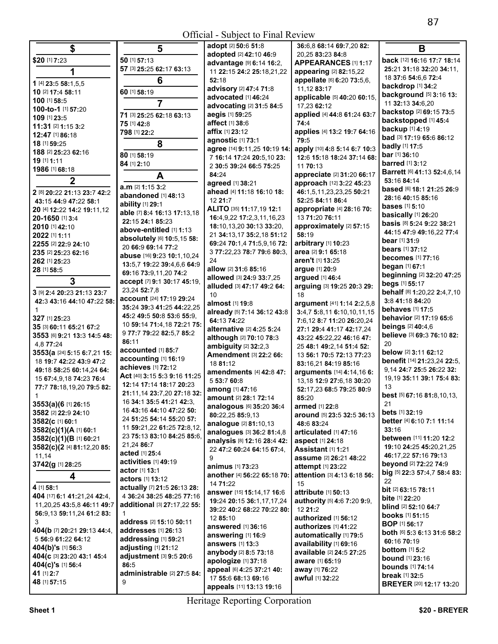| \$                                            | 5                                         | adopt [2] 50:6 51:8            | 36:6.8 68:14 69:7.20 82:     | B                                        |
|-----------------------------------------------|-------------------------------------------|--------------------------------|------------------------------|------------------------------------------|
|                                               |                                           | adopted [2] 42:10 46:9         | 20,25 83:23 84:8             |                                          |
| \$20 [1] 7:23                                 | 50 [1] 57:13                              | advantage [9] 6:14 16:2,       | APPEARANCES [1] 1:17         | back [12] 16:16 17:7 18:14               |
| 1                                             | 57 [3] 25:25 62:17 63:13                  | 11 22:15 24:2 25:18,21,22      | appearing [2] 82:15,22       | 25:21 31:18 32:20 34:11,                 |
| 1 [4] 23:5 58:1,5,5                           | 6                                         | 52:18                          | appellate [6] 6:20 73:5,6,   | 18 37:6 54:6,6 72:4                      |
| 10 [2] 17:4 58:11                             | 60 [1] 58:19                              | advisory [2] 47:4 71:8         | 11,12 83:17                  | backdrop [1] 34:2                        |
| 100 [1] 58:5                                  |                                           | advocated [1] 46:24            | applicable [5] 40:20 60:15,  | background [5] 3:16 13:                  |
| 100-to-1 [1] 57:20                            |                                           | advocating [2] 31:5 84:5       | 17,23 62:12                  | 11 32:13 34:6,20                         |
| 109 [1] 23:5                                  | 71 [3] 25:25 62:18 63:13                  | aegis [1] 59:25                | applied [4] 44:8 61:24 63:7  | backstop [2] 69:15 73:5                  |
| 11:31 [2] 1:15 3:2                            | 75 [1] 42:8                               | affect [1] 38:6                | 74:4                         | backstopped [1] 45:4                     |
|                                               | 798 [1] 22:2                              | affix [1] 23:12                | applies [4] 13:2 19:7 64:16  | <b>backup</b> [1] 4:19                   |
| 12:47 [1] 86:18                               |                                           | agnostic [1] 73:1              | 79:5                         | bad [3] 17:19 65:6 86:12                 |
| 18 [1] 59:25                                  | 8                                         | agree [14] 9:11,25 10:19 14:   | apply [10] 4:8 5:14 6:7 10:3 | <b>badly</b> [1] 17:5                    |
| 188 [2] 25:23 62:16                           | 80 [1] 58:19                              | 7 16:14 17:24 20:5,10 23:      | 12:6 15:18 18:24 37:14 68:   | bar [1] 36:10                            |
| 19 [1] 1:11                                   | 84 [1] 2:10                               | 2 30:5 39:24 66:5 75:25        | 11 70:13                     | <b>barred</b> [1] 3:12                   |
| 1986 [1] 68:18                                | A                                         | 84:24                          | appreciate [2] 31:20 66:17   | <b>Barrett</b> [6] 41:13 52:4,6,14       |
| $\overline{2}$                                |                                           | agreed [1] 38:21               | approach [12] 3:22 45:23     | 53:16 84:14                              |
| 2 [8] 20:22 21:13 23:7 42:2                   | a.m [2] 1:15 3:2                          | ahead [4] 11:18 16:10 18:      | 46:1,5,11,23,23,25 50:21     | based [6] 18:1 21:25 26:9                |
| 43:15 44:9 47:22 58:1                         | abandoned [1] 48:13                       | 12 21:7                        | 52:25 84:11 86:4             | 28:16 40:15 85:16                        |
|                                               | ability [1] 29:1                          | ALITO [35] 11:17,19 12:1       | appropriate [4] 28:16 70:    | <b>bases</b> [1] 5:10                    |
| 20 [4] 12:22 14:2 19:11,12<br>20-1650 [1] 3:4 | able [7] 8:4 16:13 17:13,18               | 16:4,9,22 17:2,3,11,16,23      | 13 71:20 76:11               | basically [1] 26:20                      |
| 2010 [1] 42:10                                | 22:15 24:1 85:23                          | 18:10,13,20 30:13 33:20,       | approximately [2] 57:15      | basis [8] 5:24 9:22 38:21                |
|                                               | above-entitled [1] 1:13                   |                                | 58:19                        | 44:15 47:9 49:16,22 77:4                 |
| 2022 [1] 1:11                                 | absolutely [6] 10:5,15 58:                | 21 34:13,17 35:2,18 51:12      |                              | <b>bear</b> [1] <b>31:</b> 9             |
| 2255 [2] 22:9 24:10                           | 20 66:9 69:14 77:2                        | 69:24 70:1,4 71:5,9,16 72:     | arbitrary [1] 10:23          | bears [1] 37:12                          |
| 235 [2] 25:23 62:16                           | abuse [16] 9:23 10:1,10,24                | 3 77:22,23 78:7 79:6 80:3,     | area [2] 9:1 65:18           | <b>becomes</b> $[1]$ 77:16               |
| 262 [1] 25:23                                 | 13:5.7 19:22 39:4.6.6 64:9                | 24                             | aren't [1] 13:25             | began [1] 67:1                           |
| 28 [1] 58:5                                   | 69:16 73:9,11,20 74:2                     | allow [2] 31:6 85:16           | argue [1] 20:9               | beginning [2] 32:20 47:25                |
| $\overline{3}$                                | accept [7] 9:1 30:17 45:19,               | allowed [3] 24:9 33:7,25       | argued [1] 46:4              | begs [1] 55:17                           |
| 3 [9] 2:4 20:23 21:13 23:7                    | 23,24 52:7,8                              | alluded [3] 47:17 49:2 64:     | arguing [3] 19:25 20:3 29:   | behalf [8] 1:20,22 2:4,7,10              |
|                                               | account [24] 17:19 29:24                  | 10                             | 18                           | 3:8 41:18 84:20                          |
| 42:3 43:16 44:10 47:22 58:                    | 35:24 39:3 41:25 44:22,25                 | almost [1] 19:8                | argument [41] 1:14 2:2,5,8   | <b>behaves</b> [1] 17:5                  |
|                                               | 45:2 49:5 50:8 53:6 55:9,                 | already [5] 7:14 36:12 43:8    | 3:4,7 5:8,11 6:10,10,11,15   |                                          |
| 327 [1] 25:23                                 | 10 59:14 71:4,18 72:21 75:                | 64:13 74:22                    | 7:6,12 8:7 11:20 26:20,24    | behavior [2] 17:19 65:6                  |
| 35 [3] 60:11 65:21 67:2                       | 977:779:22 82:5,785:2                     | alternative [2] 4:25 5:24      | 27:1 29:4 41:17 42:17,24     | <b>beings</b> [2] 40:4,6                 |
| 3553 [6] 9:21 13:3 14:5 48:                   | 86:11                                     | although [2] 70:10 78:3        | 43:22 45:22,22 46:16 47:     | believe [3] 69:3 76:10 82:               |
| 4,877:24                                      | accounted [1] 85:7                        | ambiguity [2] 32:2,3           | 25 48:1 49:2,14 51:4 52:     | 20                                       |
| 3553(a [24] 5:15 6:7,21 15:                   | accounting [1] 16:19                      | Amendment [3] 22:2 66:         | 13 56:1 70:5 72:13 77:23     | below [2] 3:11 62:12                     |
| 18 19:7 42:22 43:9 47:2                       | achieves [1] 72:12                        | 18 81:12                       | 83:16,21 84:19 85:16         | benefit [14] 21:23,24 22:5,              |
| 49:18 58:25 60:14,24 64:                      | Act [40] 3:15 5:3 9:16 11:25              | amendments [4] 42:8 47:        | arguments [14] 4:14,16 6:    | 9,14 24:7 25:5 26:22 32:                 |
| 15 67:4,9,18 74:23 76:4                       | 12:14 17:14 18:17 20:23                   | 5 53:7 60:8                    | 13,18 12:9 27:6,18 30:20     | 19,19 35:11 39:1 75:4 83:                |
| 77:7 78:18,19,20 79:5 82:                     |                                           | among [1] 47:16                | 52:17,23 68:5 79:25 80:9     | 13                                       |
|                                               | 21:11,14 23:7,20 27:18 32:                | amount [2] 28:1 72:14          | 85:20                        | <b>best</b> [5] <b>67:16 81:8,10,13,</b> |
| 3553(a)(6 [1] 26:15                           | 16 34:1 35:5 41:21 42:3.                  | analogous [6] 35:20 36:4       | armed [1] 22:8               | 21                                       |
| 3582 [2] 22:9 24:10                           | 16 43:16 44:10 47:22 50:                  | 80:22,25 85:9,13               | around [5] 23:5 32:5 36:13   | <b>bets</b> $[1]$ 32:19                  |
| 3582(c [1] 60:1                               | 24 51:25 54:14 55:20 57:                  | analogue [2] 81:10,13          | 48:6 83:24                   | better [4] 6:10 7:1 11:14                |
| 3582(c)(1)(A [1] 60:1                         | 11 59:21,22 61:25 72:8,12,                | analogues [3] 36:2 81:4,8      | articulated [1] 47:16        | 33:16                                    |
| 3582(c)(1)(B [1] 60:21                        | 23 75:13 83:10 84:25 85:6,                | analysis [8] 12:16 28:4 42:    | aspect [1] 24:18             | between [11] 11:20 12:2                  |
| 3582(c)(2 [4] 81:12,20 85:                    | 21,24 86:7                                | 22 47:2 60:24 64:15 67:4,      | Assistant [1] 1:21           | 19:10 24:25 45:20,21,25                  |
| 11,14                                         | acted [1] 25:4                            | 9                              | assume [2] 26:21 48:22       | 46:17,22 57:16 79:13                     |
| 3742(g [1] 28:25                              | <b>activities</b> [1] 49:19               | animus [1] 73:23               | attempt [1] 23:22            | <b>beyond</b> [2] <b>72:22 74:</b> 9     |
| 4                                             | <b>actor</b> [1] <b>13:1</b>              | another [4] 56:22 65:18 70:    | attention [3] 4:13 6:18 56:  | big [5] 22:3 57:4,7 58:4 83:             |
|                                               | <b>actors</b> [1] <b>13:12</b>            | 14 71:22                       | 15                           | 22                                       |
| 4 [1] 58:1                                    | actually [7] 21:5 26:13 28:               | answer [15] 15:14,17 16:6      | attribute [1] 50:13          | bit [2] 63:15 78:11                      |
| 404 [17] 6:1 41:21,24 42:4,                   | 4 36:24 38:25 48:25 77:16                 | 19:24 20:15 36:1,17,17,24      | authority [5] 4:6 7:20 9:9,  | <b>bite</b> [1] 22:20                    |
| 11,20,25 43:5,8 46:11 49:7                    | <b>additional</b> [3] <b>27:17,22 55:</b> | 39:22 40:2 68:22 70:22 80:     | 12 21:2                      | blind [2] 52:10 64:7                     |
| 56:9,13 59:11,24 61:2 83:                     | 1                                         | 12 85:10                       | authorized [1] 56:12         | <b>books</b> [1] 51:15                   |
| 3                                             | address [2] 15:10 50:11                   | <b>answered</b> [1] 36:16      | authorizes [1] 41:22         | <b>BOP</b> [1] 56:17                     |
| 404(b [7] 20:21 29:13 44:4,                   | addresses [1] 26:13                       |                                |                              | both [6] 5:3 6:13 31:6 58:2              |
| 5 56:9 61:22 64:12                            | addressing [1] 59:21                      | answering [1] 16:9             | automatically [1] 79:5       | 60:16 70:19                              |
| 404(b)'s [1] 56:3                             | adjusting [1] 21:12                       | <b>answers</b> [1] <b>13:3</b> | availability [1] 69:16       | <b>bottom</b> $[1]$ 5:2                  |
| 404(c [3] 23:20 43:1 45:4                     | adjustment [3] 9:5 20:6                   | anybody [2] 8:5 73:18          | available [2] 24:5 27:25     | <b>bound</b> [1] <b>23:16</b>            |
| 404(c)'s [1] 56:4                             | 86:5                                      | apologize [1] 37:18            | aware [1] 65:19              | <b>bounds</b> $[1]$ 74:14                |
| 41 [1] 2:7                                    | administrable [2] 27:5 84:                | appeal [6] 4:25 37:21 40:      | away [1] 76:22               | break [1] 32:5                           |
| 48 [1] 57:15                                  | 9                                         | 17 55:6 68:13 69:16            | awful [1] 32:22              |                                          |
|                                               |                                           | appeals [11] 13:13 19:16       |                              | <b>BREYER [20] 12:17 13:20</b>           |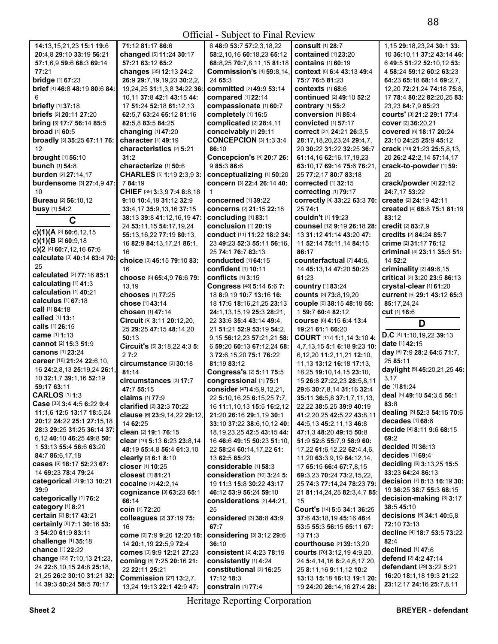| 14:13,15,21,23 15:1 19:6                               | 71:12 81:17 86:6                                            | 6 48:9 53:7 57:2,3,18,22                           | <b>consult</b> [1] 28:7                                  | 1,15 29:18,23,24 30:1 33:                            |
|--------------------------------------------------------|-------------------------------------------------------------|----------------------------------------------------|----------------------------------------------------------|------------------------------------------------------|
|                                                        |                                                             |                                                    |                                                          |                                                      |
| 20:4,8 29:10 33:19 56:21                               | changed [5] 11:24 30:17                                     | 58:2,10,16 60:18,23 65:12                          | contained [1] 23:20                                      | 10 36:10,11 37:2 43:14 46:                           |
| 57:1,6,9 59:6 68:3 69:14                               | 57:21 63:12 65:2                                            | 68:8,25 70:7,8,11,15 81:18                         | contains [1] 60:19                                       | 6 49:5 51:22 52:10,12 53:                            |
| 77:21                                                  | changes [35] 12:13 24:2                                     | <b>Commission's [4] 59:8,14,</b>                   | context [6] 6:4 43:13 49:4                               | 4 58:24 59:12 60:2 63:23                             |
| bridge [1] 67:23                                       | 26:9 29:7, 19, 19, 23 30: 2, 2,                             | 24 65:3                                            | 75:7 76:5 81:23                                          | 64:23 65:18 68:14 69:2,7,                            |
| brief [4] 46:8 48:19 80:6 84:                          | 19,24,25 31:1,3,8 34:22 36:                                 | committed [2] 49:9 53:14                           | contexts $[1]$ 68:6                                      | 12,20 72:21,24 74:18 75:8,                           |
|                                                        |                                                             |                                                    |                                                          |                                                      |
| 6                                                      | 10,11 37:8 42:1 43:15 44:                                   | compared [1] 22:14                                 | continued [2] 49:10 52:2                                 | 17 78:4 80:22 82:20,25 83:                           |
| briefly [1] 37:18                                      | 17 51:24 52:18 61:12,13                                     | compassionate [1] 60:7                             | contrary [1] 55:2                                        | 23,23 84:7,9 85:23                                   |
| briefs [2] 20:11 27:20                                 | 62:5.7 63:24 65:12 81:16                                    | completely [1] 16:5                                | conversion [1] 85:4                                      | COUrts' [3] 21:2 29:1 77:4                           |
| bring [3] 17:7 56:14 85:5                              | 82:5,8 83:5 84:25                                           | complicated [2] 28:4,11                            | convicted [1] 57:17                                      | cover [2] 36:20,21                                   |
| broad [1] 60:5                                         | changing [1] 47:20                                          | conceivably [1] 29:11                              | correct [31] 24:21 26:3,5                                | covered [6] 18:17 20:24                              |
| broadly [3] 35:25 67:11 76:                            | character [1] 49:19                                         | <b>CONCEPCION [3] 1:3 3:4</b>                      |                                                          | 23:10 24:25 25:9 45:12                               |
|                                                        |                                                             |                                                    | 28:17,18,20,23,24 29:4,7,                                |                                                      |
| 12                                                     | characteristics [2] 5:21                                    | 86:10                                              | 20 30:22 31:22 32:25 36:7                                | crack [10] 21:23 25:5,8,13,                          |
| brought [1] 56:10                                      | 31:2                                                        | Concepcion's [4] 20:7 26:                          | 61:14.16 62:16.17.19.23                                  | 20 26:2 42:2,14 57:14,17                             |
| bunch [1] 54:8                                         | characterize [1] 50:6                                       | 9 85:3 86:6                                        | 63:10,17 69:14 75:6 76:21,                               | crack-to-powder [1] 59:                              |
| burden [2] 27:14,17                                    | CHARLES [5] 1:19 2:3,9 3:                                   | conceptualizing [1] 50:20                          | 25 77:2,17 80:7 83:18                                    | 20                                                   |
| burdensome [3] 27:4,9 47:                              | 784:19                                                      | concern [3] 22:4 26:14 40:                         | corrected [1] 32:15                                      | crack/powder [4] 22:12                               |
|                                                        |                                                             |                                                    |                                                          |                                                      |
| 10                                                     | CHIEF [39] 3:3,9 7:4 8:8,18                                 | 1                                                  | correcting [1] 79:17                                     | 24:7,17 53:22                                        |
| <b>Bureau</b> [2] 56:10,12                             | 9:10 10:4,19 31:12 32:9                                     | concerned [1] 39:22                                | correctly [4] 33:22 63:3 70:                             | create [2] 24:19 42:11                               |
| busy [1] 54:2                                          | 33:4,17 35:9,13,16 37:15                                    | concerns [2] 21:15 22:18                           | 25 74:1                                                  | created [4] 68:8 75:1 81:19                          |
| C                                                      | 38:13 39:8 41:12,16,19 47:                                  | concluding [1] 83:1                                | couldn't [1] 19:23                                       | 83:12                                                |
|                                                        | 24 53:11,15 54:17,19,24                                     | conclusion [1] 20:19                               | counsel [12] 9:19 26:18 28:                              | credit [2] 83:7,9                                    |
| c)(1)(A [3] 60:6, 12, 15)                              |                                                             |                                                    |                                                          |                                                      |
| c)(1)(B [2] 60:9,18                                    | 55:13,16,22 77:19 80:13,                                    | conduct [11] 11:22 18:2 34:                        | 13 31:12 41:14 43:20 47:                                 | credits [2] 84:24 85:7                               |
|                                                        | 16 82:9 84:13,17,21 86:1,                                   | 23 49:23 52:3 55:11 56:16.                         | 11 52:14 75:11,14 84:15                                  | crime [2] 31:17 76:12                                |
| c)(2 [4] 60:7,12,16 67:6                               | 16                                                          | 25 74:1 76:7 83:13                                 | 86:17                                                    | criminal [4] 23:11 35:3 51:                          |
| calculate [3] 40:14 63:4 70:                           | choice [3] 45:15 79:10 83:                                  | <b>conducted</b> [1] 64:15                         | counterfactual [7] 44:6,                                 | 14 52:2                                              |
| 25                                                     | 16                                                          | confident [1] 10:11                                | 14 45:13,14 47:20 50:25                                  | criminality [2] 49:6,15                              |
| calculated [2] 77:16 85:1                              |                                                             |                                                    | 61:23                                                    |                                                      |
| calculating [1] 41:3                                   | choose [5] 65:4,9 76:6 79:                                  | conflicts $[1]$ 3:15                               |                                                          | critical [3] 3:20 23:5 86:13                         |
| calculation [1] 40:21                                  | 13,19                                                       | Congress [48] 5:14 6:6 7:                          | country [1] 83:24                                        | crystal-clear [1] 61:20                              |
|                                                        | chooses [1] 77:25                                           | 18 8:9,19 10:7 13:16 16:                           | Counts [3] 73:8,19,20                                    | Current [6] 29:1 43:12 65:3                          |
| calculus [1] 67:18                                     | chose [1] 43:14                                             | 18 17:6 18:16,21,25 23:13                          | COUple [6] 38:15 48:18 55:                               | 85:17,24,24                                          |
| call [1] 84:18                                         | chosen [1] 47:14                                            | 24:1,13,15,19 25:3 28:21,                          | 1 59:7 60:4 82:12                                        | <b>cut</b> [1] 16:6                                  |
| called [1] 13:1                                        | Circuit [9] 3:11 20:12,20,                                  | 22 33:6 35:4 43:14 49:4,                           | COUISE [6] 4:15 6:4 13:4                                 |                                                      |
|                                                        |                                                             |                                                    |                                                          |                                                      |
|                                                        |                                                             |                                                    |                                                          | D                                                    |
| calls [1] 26:15                                        | 25 29:25 47:15 48:14,20                                     | 21 51:21 52:9 53:19 54:2.                          | 19:21 61:1 66:20                                         |                                                      |
| came [1] 1:13                                          | 50:13                                                       | 9,15 56:12,23 57:21,21 58:                         | COURT [117] 1:1,14 3:10 4:                               | D.C [4] 1:10,19,22 39:13                             |
| cannot [2] 15:3 51:9                                   |                                                             | 6 59:20 60:13 67:12,24 68:                         | 4,7,13,15 5:1 6:18 9:23 10:                              | date [1] 42:15                                       |
| canons [1] 23:24                                       | Circuit's [5] 3:18,22 4:3 5:<br>27:2                        |                                                    |                                                          | day [6] 7:9 28:2 64:5 71:7,                          |
| career [18] 21:24 22:6,10,                             |                                                             | 3 72:6,15,20 75:1 76:22                            | 6,12,20 11:2,11,21 12:10,                                | 25 85:11                                             |
|                                                        | circumstance [2] 30:18                                      | 81:19 83:12                                        | 11, 13 13: 12 16: 18 17: 13,                             |                                                      |
| 16 24:2,8,13 25:19,24 26:1,                            | 81:14                                                       | Congress's [2] 5:11 75:5                           | 18,25 19:10,14,15 23:10,                                 | daylight [5] 45:20,21,25 46:                         |
| 10 32:1,7 39:1,16 52:19                                | circumstances [3] 17:7                                      | congressional [1] 75:1                             | 15 26:8 27:22,23 28:5,8,11                               | 3,17                                                 |
| 59:17 63:11                                            | 47:7 55:15                                                  | consider [47] 4:6,9,12,21,                         | 29:6 30:7,8,14 31:16 32:4                                | de [1] 81:24                                         |
| <b>CARLOS</b> [1] 1:3                                  | <b>claims</b> [1] 77:9                                      |                                                    |                                                          | deal [5] 49:10 54:3,5 56:1                           |
| Case [33] 3:4 4:5 6:22 9:4                             |                                                             | 22 5:10,16,25 6:15,25 7:7,                         | 35:11 36:5,8 37:1,7,11,13,                               | 83:8                                                 |
| 11:1,6 12:5 13:17 18:5,24                              | <b>clarified</b> [2] <b>32:3 70:22</b>                      | 16 <b>11:</b> 1,10,13 <b>15:</b> 5 <b>16:</b> 2,12 | 22,22 <b>38:</b> 5,25 <b>39:</b> 9 <b>40:</b> 19         |                                                      |
|                                                        | clause [6] 23:9,14,22 29:12,                                | 21:20 26:16 29:1,19 30:1                           | 41:2,20,25 42:5,22 43:8,11                               | dealing [3] 52:3 54:15 70:6                          |
| 20:12 24:22 25:1 27:15,18                              | 14 62:25                                                    | 33:10 37:22 38:6,10,12 40:                         | 44:5,13 45:2,11,13 46:8                                  | decades [1] 68:6                                     |
| 28:3 29:25 31:25 36:14 37:                             | clean [2] 19:1 76:15                                        | 18, 19, 23, 25 42: 5 43: 15 44:                    | 47:1,3 48:20 49:15 50:8                                  | decide [4] 8:11 9:6 68:15                            |
| 6.12 40:10 46:25 49:8 50:                              | clear [10] 5:13 6:23 23:8,14                                | 16 46:6 49:15 50:23 51:10.                         | 51:9 52:8 55:7,9 58:9 60:                                | 69:2                                                 |
| 1 53:13 55:4 56:6 63:20                                |                                                             |                                                    |                                                          | decided [1] 36:13                                    |
| 84:7 86:6,17,18                                        | 48:19 55:4,8 56:4 61:3,10                                   | 22 58:24 60:14,17,22 61:                           | 17,22 61:6,12,22 62:4,4,6,                               | decides [1] 69:4                                     |
|                                                        | clearly [2] 6:1 8:10                                        | 13 62:5 85:23                                      | 11,20 63:3,9,19 64:12,14,                                |                                                      |
| cases [6] 18:17 52:23 67:                              | closer [1] 10:25                                            | considerable [1] 58:3                              | 17 65:15 66:4 67:7,8,15                                  | deciding [6] 3:13,25 15:5                            |
| 14 69:23 78:4 79:24                                    | closest [1] 81:21                                           | consideration [10] 3:24 5:                         | 69:3,23 70:24 73:2,15,22,                                | 33:23 64:24 86:13                                    |
| categorical [3] 9:13 10:21                             | cocaine [2] 42:2,14                                         | 19 11:3 15:8 30:22 43:17                           | 25 74:3 77:14.24 78:23 79:                               | decision [7] 8:13 16:19 30:                          |
| 39:9                                                   |                                                             | 46:12 53:9 56:24 59:10                             | 21 81:14,24,25 82:3,4,7 85:                              | 19 36:25 38:7 55:3 68:15                             |
| categorically [1] 76:2                                 | cognizance [3] 63:23 65:1                                   |                                                    |                                                          | decision-making [3] 3:17                             |
| category [1] 8:21                                      | 66:14                                                       | considerations [2] 44:21,                          | 15                                                       | 38:5 45:10                                           |
|                                                        | coin [1] 72:20                                              | 25                                                 | Court's [14] 5:5 34:1 36:25                              |                                                      |
| certain [2] 8:17 43:21                                 | colleagues [2] 37:19 75:                                    | considered [3] 38:8 43:9                           | 37:6 43:18,19 45:16 46:4                                 | decisions [5] 34:1 40:5,8                            |
| certainly [6] 7:1 30:16 53:                            | 16                                                          | 67:7                                               | 53:5 55:3 56:15 65:11 67:                                | 72:10 73:13                                          |
| 3 54:20 61:9 83:11                                     | come [9] 7:9 9:20 12:20 18:                                 | considering [3] 3:12 29:6                          | 13 71:3                                                  | decline [4] 18:7 53:5 73:22                          |
| challenge [1] 35:18                                    | 14 20:1,19 22:5,9 72:4                                      | 36:10                                              | courthouse [2] 39:13,20                                  | 82:4                                                 |
| chance [1] 22:22                                       |                                                             |                                                    |                                                          | declined [1] 47:6                                    |
| change [22] 7:10,13 21:23,                             | comes [3] 9:9 12:21 27:23                                   | consistent [2] 4:23 78:19                          | courts [70] 3:12,19 4:9,20,                              | defend [2] 4:2 47:14                                 |
|                                                        | coming [5] 7:25 20:16 21:                                   | consistently [1] 4:24                              | 24 5:4, 14, 16 6: 2, 4, 6, 17, 20,                       |                                                      |
| 24 22:6, 10, 15 24:8 25:18,                            | 22 22:11 25:21                                              | constitutional [3] 16:25                           | 25 8:11,16 9:11,12 10:2                                  | defendant [29] 3:22 5:21                             |
| 21,25 26:2 30:10 31:21 32:<br>14 39:3 50:24 58:5 70:17 | <b>Commission [27] 13:2,7,</b><br>13,24 19:13 22:1 42:9 47: | 17:12 18:3<br>constrain [1] 77:4                   | 13:13 15:18 16:13 19:1 20:<br>19 24:20 26:14,16 27:4 28: | 16:20 18:1,18 19:3 21:22<br>23:12,17 24:16 25:7,8,11 |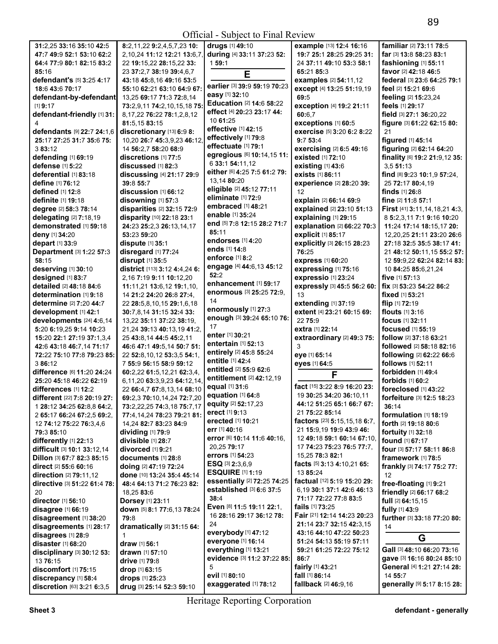|                                   |                                  | OIIIGIAI - SUOJOGI IO FIIIAI INCYIGW |                                     |                                  |
|-----------------------------------|----------------------------------|--------------------------------------|-------------------------------------|----------------------------------|
| 31:2,25 33:16 35:10 42:5          | 8:2,11,22 9:2,4,5,7,23 10:       | drugs [1] 49:10                      | example [13] 12:4 16:16             | familiar [2] 73:11 78:5          |
| 47:7 49:9 52:1 53:10 62:2         | 2,10,24 11:12 12:21 13:6,7,      | during [4] 33:11 37:23 52:           | 19:7 25:1 28:25 29:25 31:           | far [3] 13:8 58:23 83:1          |
| 64:4 77:9 80:1 82:15 83:2         | 22 19:15,22 28:15,22 33:         | 159:1                                | 24 37:11 49:10 53:3 58:1            | fashioning [1] 55:11             |
| 85:16                             | 23 37:2,7 38:19 39:4,6,7         |                                      | 65:21 85:3                          | favor [2] 42:18 46:5             |
| defendant's [5] 3:25 4:17         | 43:18 45:8,16 49:16 53:5         | E                                    | examples [2] 54:11,12               | federal [3] 23:6 64:25 79:1      |
|                                   |                                  | earlier [3] 39:9 59:19 70:23         |                                     |                                  |
| 18:6 43:6 70:17                   | 55:10 62:21 63:10 64:9 67:       | easy [1] 32:10                       | except [4] 13:25 51:19,19           | feel [2] 15:21 69:6              |
| defendant-by-defendant            | 13,25 69:17 71:3 72:8,14         | Education [2] 14:6 58:22             | 69:5                                | feeling [2] 15:23,24             |
| $[1]$ 9:17                        | 73:2,9,11 74:2,10,15,18 75:      | effect [4] 20:23 23:17 44:           | exception [4] 19:2 21:11            | feels [1] 29:17                  |
| defendant-friendly [1] 31:        | 8, 17, 22 76: 22 78: 1, 2, 8, 12 |                                      | 60:6,7                              | field [3] 27:1 36:20,22          |
| 4                                 | 81:5.15 83:15                    | 10 61:25                             | exceptions [1] 60:5                 | figure [3] 61:22 62:15 80:       |
| defendants [9] 22:7 24:1,6        | discretionary [13] 6:9 8:        | effective [1] 42:15                  | exercise [5] 3:20 6:2 8:22          | 21                               |
| 25:17 27:25 31:7 35:6 75:         | 10,20 26:7 45:3,9,23 46:12,      | effectively [1] 79:8                 | 9:753:4                             | figured [1] 45:14                |
| 3 83:12                           | 14 56:2,7 58:20 68:9             | effectuate [1] 79:1                  | exercising [2] 6:5 49:16            | figuring [2] 62:14 64:20         |
| defending [1] 69:19               | discretions [1] 77:5             | egregious [6] 10:14,15 11:           | existed [1] 72:10                   | finality [6] 19:2 21:9,12 35:    |
| defense [1] 5:22                  | discussed [1] 82:3               | 6 33:1 54:11,12                      | existing [1] 43:6                   | 3,551:13                         |
|                                   |                                  | either [6] 4:25 7:5 61:2 79:         |                                     |                                  |
| deferential [1] 83:18             | discussing [4] 21:17 29:9        | 13,14 80:20                          | exists [1] 86:11                    | find [8] 9:23 10:1,9 57:24,      |
| define [1] 76:12                  | 39:8 55:7                        | eligible [2] 45:12 77:11             | experience [2] 28:20 39:            | 25 72:17 80:4,19                 |
| defined [1] 12:8                  | discussion [1] 66:12             | eliminate [1] 72:9                   | 12                                  | finds [1] 26:8                   |
| definite [1] 19:18                | disowning [1] 57:3               |                                      | explain [2] 66:14 69:9              | fine [2] 11:8 57:1               |
| degree [2] 58:3 78:14             | disparities [2] 32:15 72:9       | embraced [1] 48:21                   | explained [2] 23:10 51:13           | First [41] 3:11, 14, 18, 21 4:3, |
| delegating [2] 7:18,19            | disparity [10] 22:18 23:1        | enable [1] 35:24                     | explaining [1] 29:15                | 8 5:2,3,11 7:1 9:16 10:20        |
| demonstrated [1] 59:18            | 24:23 25:2,3 26:13,14,17         | end [5] 7:8 12:15 28:2 71:7          | explanation [2] 66:22 70:3          | 11:24 17:14 18:15.17 20:         |
| deny [1] 34:20                    | 53:23 59:20                      | 85:11                                | explicit [1] 85:17                  | 12,20,25 21:11 23:20 26:6        |
| depart [1] 33:9                   | dispute [1] 35:1                 | endorses [1] 4:20                    | explicitly [3] 26:15 28:23          | 27:18 32:5 35:5 38:17 41:        |
|                                   |                                  | ends [1] 14:8                        | 76:25                               |                                  |
| Department [3] 1:22 57:3          | disregard [1] 77:24              | enforce [1] 8:2                      |                                     | 21 48:12 50:11.15 55:2 57:       |
| 58:15                             | disrupt [1] 35:5                 | engage [4] 44:6,13 45:12             | express [1] 60:20                   | 12 59:9,22 62:24 82:14 83:       |
| deserving [1] 30:10               | district [113] 3:12 4:4,24 6:    |                                      | expressing [1] 75:16                | 10 84:25 85:6,21,24              |
| designed [1] 83:7                 | 2,16 7:19 9:11 10:12,20          | 52:2                                 | expressio [1] 23:24                 | five [1] 57:13                   |
| detailed [2] 48:18 84:6           | 11:11,21 13:6,12 19:1,10,        | enhancement [1] 59:17                | expressly [3] 45:5 56:2 60:         | fix [3] 53:23 54:22 86:2         |
| determination [1] 9:18            | 14 21:2 24:20 26:8 27:4,         | enormous [3] 25:25 72:9,             | 13                                  | fixed [1] 53:21                  |
| determine [2] 7:20 44:7           | 22 28:5,8,10,15 29:1,6,18        | 14                                   | extending [1] 37:19                 | flip [1] 72:19                   |
| development [1] 42:1              | 30:7,8,14 31:15 32:4 33:         | enormously [1] 27:3                  | extent [4] 23:21 60:15 69:          | flouts [1] 3:16                  |
| developments [24] 4:6,14          | 13,22 35:11 37:22 38:19,         | enough [3] 39:24 65:10 76:           | 22 75:9                             | focus [1] 32:11                  |
| 5:20 6:19,25 9:14 10:23           | 21,24 39:13 40:13,19 41:2,       | 17                                   | extra [1] 22:14                     | focused [1] 55:19                |
|                                   |                                  | enter [1] 30:21                      |                                     |                                  |
| 15:20 22:1 27:19 37:1,3,4         | 25 43:8,14 44:5 45:2,11          | entertain [1] 52:13                  | extraordinary [2] 49:3 75:          | follow [2] 37:18 63:21           |
| 42:6 43:18 46:7,14 71:17          | 46:6 47:1 49:5,14 50:7 51:       | entirely [2] 45:8 55:24              | 3                                   | followed [2] 58:18 82:16         |
| 72:22 75:10 77:8 79:23 85:        | 22 52:8,10,12 53:3,5 54:1,       | entitle [1] 42:4                     | eye [1] 65:14                       | following [2] 62:22 66:6         |
| 3 86:12                           | 7 55:9 56:15 58:9 59:12          |                                      | eyes [1] 64:5                       | follows [1] 52:11                |
| difference [6] 11:20 24:24        | 60:2,22 61:5,12,21 62:3,4,       | entitled [2] 55:9 62:6               | F                                   | forbidden [1] 49:4               |
| 25:20 45:18 46:22 62:19           | 6,11,20 63:3,9,23 64:12,14,      | entitlement [2] 42:12,19             |                                     | forbids [1] 60:2                 |
| differences [1] 12:2              | 22 66:4,7 67:8,13,14 68:10       | equal [1] 31:6                       | fact [15] 3:22 8:9 16:20 23:        | foreclosed [1] 43:22             |
| different [22] 7:8 20:19 27:      | 69:2,3 70:10,14,24 72:7,20       | equation [1] 64:8                    | 19 30:25 34:20 36:10,11             | forfeiture [3] 12:5 18:23        |
| 1 28:12 34:25 62:8,8 64:2,        | 73:2,22,25 74:3,18 75:7,17       | equity [2] 52:17,23                  | 44:12 51:25 65:1 66:7 67:           | 36:14                            |
| 2 65:17 66:24 67:2,5 69:2,        | 77:4,14,24 78:23 79:21 81:       | erect [1] 9:13                       | 21 75:22 85:14                      | formulation [1] 18:19            |
| 12 74:12 75:22 76:3,4,6           | 14,24 82:7 83:23 84:9            | erected [1] 10:21                    | factors [23] 5:15,15,18 6:7,        | forth [2] 19:18 80:6             |
|                                   |                                  | err $[1]$ 40:16                      | 21 15:9,19 19:9 43:9 46:            |                                  |
| 79:3 85:10                        | dividing [1] 79:9                | error [6] 10:14 11:6 40:16,          | 12 49:18 59:1 60:14 67:10,          | <b>fortuity</b> [1] 32:18        |
| differently [1] 22:13             | divisible [1] 28:7               | 20,25 <b>79:</b> 17                  | 17 74:23 75:23 76:5 77:7,           | <b>found</b> [1] <b>67:17</b>    |
| difficult [3] 10:1 33:12,14       | divorced [1] 9:21                |                                      |                                     | four [3] 57:17 58:11 86:8        |
| Dillon [3] 67:7 82:3 85:15        | documents [1] 28:8               | errors [1] 54:23                     | 15,25 78:3 82:1                     | framework [1] 78:5               |
| direct [2] 55:6 60:16             | doing [2] 47:19 72:24            | <b>ESQ</b> $[3]$ <b>2:</b> 3, 6, 9   | facts [5] 3:13 4:10,21 65:          | frankly [3] 74:17 75:2 77:       |
| direction [2] 79:11,12            | done [10] 13:24 35:4 45:14       | <b>ESQUIRE [1] 1:19</b>              | 13 85:24                            | 12                               |
| directive [3] 51:22 61:4 78:      | 48:4 64:13 71:2 76:23 82:        | essentially [2] 72:25 74:25          | factual [12] 5:19 15:20 29:         | free-floating [1] 9:21           |
| 20                                | 18,25 83:6                       | established [3] 6:6 37:5             | 6,19 30:1 37:1 42:6 46:13           | friendly [2] 66:17 68:2          |
| <b>director</b> [1] <b>56:1</b> 0 | <b>Dorsey</b> [1] 23:11          | 38:4                                 | 71:17 72:22 77:8 83:5               | full [2] 64:15,15                |
| <b>disagree</b> [1] 66:19         | down [5] 8:1 77:6,13 78:24       | Even [8] 11:5 19:11 22:1,            | fails [1] 73:25                     | fully [1] 43:9                   |
| disagreement [1] 38:20            | 79:8                             | 16 28:16 29:17 36:12 78:             | Fair [21] 12:14 14:23 20:23         | further [3] 33:18 77:20 80:      |
|                                   |                                  | 24                                   | 21:14 23:7 32:15 42:3,15            |                                  |
| disagreements [1] 28:17           | dramatically [2] 31:15 64:       | everybody [1] 47:12                  | 43:16 44:10 47:22 50:23             | 14                               |
| disagrees [1] 28:9                | 1                                | everyone [1] 16:14                   |                                     | G                                |
| disaster [1] 68:20                | draw [1] 56:1                    |                                      | <b>51:24 54:13 55:19 57:11</b>      |                                  |
| disciplinary $[3]$ 30:12 53:      | drawn [1] 57:10                  | everything [1] 13:21                 | 59:21 61:25 72:22 75:12             | Gall [3] 48:10 66:20 73:16       |
| 13 76:15                          | drive [1] 79:8                   | evidence [3] 11:2 37:22 85:          | 86:7                                | gave [3] 16:16 80:24 85:10       |
| discomfort [1] 75:15              | drop [1] 63:15                   | 5                                    | fairly [1] 43:21                    | General [4] 1:21 27:14 28:       |
| discrepancy [1] 58:4              | drops [1] 25:23                  | evil [1] 80:10                       | fall [1] 86:14                      | 14 55:7                          |
| discretion [63] 3:21 6:3,5        | drug [3] 25:14 52:3 59:10        | exaggerated [1] 78:12                | <b>fallback</b> [2] <b>46:</b> 9,16 | generally [9] 5:17 8:15 28:      |
|                                   |                                  |                                      |                                     |                                  |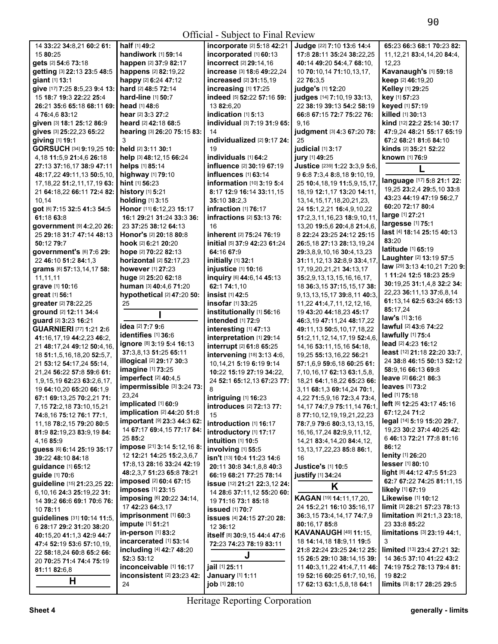Official - Subject to Final Review

| 14 33:22 34:8,21 60:2 61:        | half [1] 49:2                                        | incorporate [2] 5:18 42:21              | Judge [22] 7:10 13:6 14:4                                 | 65:23 66:3 68:1 70:23 82:                    |
|----------------------------------|------------------------------------------------------|-----------------------------------------|-----------------------------------------------------------|----------------------------------------------|
| 15 80:25                         | handiwork [1] 59:14                                  | incorporated [1] 60:13                  | 17:8 28:11 35:24 38:22,25                                 | 11, 12, 21 83: 4, 14, 20 84: 4,              |
| gets [2] 54:6 73:18              | happen [2] 37:9 82:17                                | incorrect [2] 29:14,16                  | 40:14 49:20 54:4.7 68:10.                                 | 12,23                                        |
| getting [3] 22:13 23:5 48:5      | happens [2] 82:19,22                                 | increase [3] 18:6 49:22,24              | 10 70:10,14 71:10,13,17,                                  | Kavanaugh's [1] 59:18                        |
| giant [1] 13:1                   | happy [2] 6:24 47:12                                 | increased [2] 31:15,19                  | 22 76:3.5                                                 | keep [2] 46:19,20                            |
| give [17] 7:25 8:5,23 9:4 13:    | hard [2] 48:5 72:14                                  | increasing [1] 17:25                    | judge's [1] 12:20                                         | Kelley [1] 29:25                             |
| 15 18:7 19:3 22:22 25:4          | hard-line [1] 50:7                                   | indeed [5] 52:22 57:16 59:              | judges [14] 7:10,19 33:13,                                | key [1] 57:23                                |
| 26:21 35:6 65:18 68:11 69:       | head [1] 48:6                                        | 13 82:6,20                              | 22 38:19 39:13 54:2 58:19                                 | keyed [1] 57:19                              |
| 4 76:4,6 83:12                   | hear [2] 3:3 27:2                                    | indication [1] 5:13                     | 66:8 67:15 72:7 75:22 76:                                 | killed [1] 30:13                             |
| given [3] 18:1 25:12 86:9        | heard [2] 42:18 68:5                                 | individual [3] 7:19 31:9 65:            | 9,16                                                      | kind [12] 22:2 25:14 30:17                   |
| gives [3] 25:22,23 65:22         | hearing [3] 26:20 75:15 83:                          | 14                                      | judgment [3] 4:3 67:20 78:                                | 47:9,24 48:21 55:17 65:19                    |
| giving [1] 19:1                  | 3                                                    | individualized $[2]$ 9:17 24:           | 25                                                        | 67:2 68:21 81:6 84:10                        |
| GORSUCH [34] 9:19,25 10:         | held [2] 3:11 30:1                                   | 19                                      | judicial [1] 3:17                                         | kinds [2] 35:21 52:22                        |
| 4, 18 11: 5, 9 21: 4, 6 26: 18   | help [3] 48:12,15 66:24                              | individuals [1] 64:2                    | jury [1] 49:25                                            | <b>known</b> [1] <b>76:</b> 9                |
| 27:13 37:16,17 38:9 47:11        | helps [1] 85:14                                      | influence [2] 30:19 67:19               | Justice [239] 1:22 3:3,9 5:6,                             |                                              |
|                                  | highway [1] 79:10                                    | influences [1] 63:14                    |                                                           |                                              |
| 48:17,22 49:11,13 50:5,10,       | hint [1] 56:23                                       |                                         | 9 6:8 7:3,4 8:8,18 9:10,19,                               | language [17] 5:8 21:1 22:                   |
| 17, 18, 22 51: 2, 11, 17, 19 63: |                                                      | <b>information</b> [10] <b>3:19 5:4</b> | 25 10:4, 18, 19 11:5, 9, 15, 17,                          | 19,25 23:2,4 29:5,10 33:8                    |
| 21 64:18,22 66:11 72:4 82:       | history [1] 5:21                                     | 8:17 12:9 16:14 33:11,15                | 18, 19 12: 1, 17 13: 20 14: 11,                           | 43:23 44:19 47:19 56:2,7                     |
| 10,14                            | holding [1] 3:15                                     | 35:10 38:2.3                            | 13, 14, 15, 17, 18, 20, 21, 23,                           | 60:20 72:17 80:4                             |
| got [6] 7:15 32:5 41:3 54:5      | Honor [11] 6:12,23 15:17                             | infraction [1] 76:17                    | 24 15:1,2,21 16:4,9,10,22                                 | large [1] 27:21                              |
| 61:18 63:8                       | 16:1 29:21 31:24 33:3 36:                            | infractions [2] 53:13 76:               | 17:2,3,11,16,23 18:9,10,11                                | largesse [1] 75:1                            |
| government [9] 4:2,20 26:        | 23 37:25 38:12 64:13                                 | 16                                      | 13,20 19:5,6 20:4,8 21:4,6,                               | last [4] 18:14 25:15 40:13                   |
| 25 29:18 31:7 47:14 48:13        | Honor's [2] 20:18 80:8                               | inherent [2] 75:24 76:19                | 8 22:24 23:25 24:12 25:15                                 | 83:20                                        |
| 50:12 79:7                       | hook [2] 6:21 20:20                                  | initial [5] 37:9 42:23 61:24            | 26:5,18 27:13 28:13,19,24                                 | latitude [1] 65:19                           |
| government's [6] 7:6 29:         | hope [2] 70:22 82:13                                 | 64:16 67:9                              | 29:3.8.9.10.16 30:4.13.23                                 | Laughter [2] 13:19 57:5                      |
| 22 46:10 51:2 84:1,3             | horizontal [2] 52:17,23                              | initially [1] 32:1                      | 31:11,12,13 32:8,9 33:4,17,                               |                                              |
| grams [6] 57:13,14,17 58:        | however [1] 27:23                                    | injustice [1] 10:16                     | 17, 19, 20, 21, 21 34: 13, 17                             | law [29] 3:13 4:10,21 7:20 9:                |
| 11,11,11                         | huge [2] 25:20 62:18                                 | inquiry [6] 44:6,14 45:13               | 35:2,9,13,13,15,16,16,17,                                 | 1 11:24 12:5 18:23 25:9                      |
| grave [1] 10:16                  | human [3] 40:4,6 71:20                               | 62:1 74:1,10                            | 18 36:3,15 37:15,15,17 38:                                | 30:19,25 31:1,4,8 32:2 34:                   |
| great [1] 56:1                   | hypothetical [2] 47:20 50:                           | insist [1] 42:5                         | 9, 13, 13, 15, 17 39: 8, 11 40: 3,                        | 22,23 36:11,13 37:6,8,14                     |
| greater [2] 78:22,25             | 25                                                   | insofar [1] 33:25                       | 11,22 41:4,7,11,12,12,16,                                 | 61:13,14 62:5 63:24 65:13                    |
| ground [2] 12:11 34:4            |                                                      | institutionally [1] 56:16               | 19 43:20 44:18,23 45:17                                   | 85:17,24                                     |
| guard [2] 3:23 16:21             |                                                      | intended [1] 72:9                       | 46:3,19 47:11,24 48:17,22                                 | law's [1] 3:16                               |
| <b>GUARNIERI [77] 1:21 2:6</b>   | idea [2] 7:7 9:6                                     | interesting [1] 47:13                   | 49:11,13 50:5,10,17,18,22                                 | lawful [2] 43:6 74:22                        |
| 41:16,17,19 44:2,23 46:2,        | identifies [1] 36:6                                  | interpretation [1] 29:14                | 51:2,11,12,14,17,19 52:4,6                                | lawfully [1] 75:4                            |
| 21 48:17,24 49:12 50:4,16,       | ignore [8] 3:19 5:4 16:13                            | interrupt [2] 61:8 65:25                | 14, 16 53: 11, 15, 16 54: 18,                             | lead [2] 4:23 16:12                          |
| 18 51:1,5,16,18,20 52:5,7,       | 37:3,8,13 51:25 65:11                                | intervening [18] 3:13 4:6,              | 19,25 55:13,16,22 56:21                                   | least [12] 21:18 22:20 33:7,                 |
| 21 53:12 54:17,24 55:14,         | <b>illogical</b> [2] 29:17 30:3                      | 10,14,21 5:19 6:19 9:14                 | 57:1,6,9 59:6,18 60:25 61:                                | 24 38:8 46:15 50:13 52:12                    |
| 21,24 56:22 57:8 59:6 61:        | imagine [1] 73:25                                    | 10:22 15:19 27:19 34:22,                | 7, 10, 16, 17 62: 13 63: 1, 5, 8,                         | 58:9,16 66:13 69:8                           |
| 1,9,15,19 62:23 63:2,6,17,       | imperfect [2] 40:4,5                                 | 24 52:1 65:12,13 67:23 77:              | 18,21 64:1,18,22 65:23 66:                                | leave [2] 66:21 86:3                         |
| 19 64:10,20 65:20 66:1,9         | impermissible [3] 3:24 73:                           | 8                                       | 3,11 68:1,3 69:14,24 70:1,                                | leaves [1] 73:2                              |
| 67:1 69:13,25 70:2,21 71:        | 23,24                                                | intriguing [1] 16:23                    | 4,22 71:5,9,16 72:3,4 73:4,                               | led [1] 75:18                                |
| 7,15 72:2,18 73:10,15,21         | implicated [1] 60:9                                  | introduces [2] 72:13 77:                | 14, 17 74: 7, 9 75: 11, 14 76: 1,                         | <b>left</b> [6] <b>12:25 43:17 45:16</b>     |
| 74:8.16 75:12 76:1 77:1.         | implication [2] 44:20 51:8                           | 15                                      | 8 77:10,12,19,19,21,22,23                                 | 67:12.24 71:2                                |
| 11,18 78:2,15 79:20 80:5         | important [9] 23:3 44:3 62:                          | introduction [1] 16:17                  | 78:7,979:680:3,13,13,15,                                  | legal [14] 5:19 15:20 29:7,                  |
| 81:9 82:19.23 83:9.19 84:        | 14 67:17 69:4.15 77:17 84:                           | introductory [1] 17:17                  | 16, 16, 17, 24 82: 9, 9, 11, 12,                          | 19,23 30:2 37:4 40:25 42:                    |
| 4,1685:9                         | 25 85:2                                              | intuition [1] 10:5                      | 14,21 83:4,14,20 84:4,12,                                 | 6 46:13 72:21 77:8 81:16                     |
| guess [6] 6:14 25:19 35:17       | impose [21] 3:14 5:12,16 8:                          | involving [1] 55:5                      | 13, 13, 17, 22, 23 85: 8 86: 1,                           | 86:12                                        |
| 39:22 48:10 84:18                | 12 12:21 14:25 15:2,3,6,7                            | isn't [13] 10:4 11:23 14:6              | 16                                                        | <b>lenity</b> [1] 26:20                      |
| guidance [1] 65:12               | 17:8,13 28:16 33:24 42:19                            | 20:11 30:8 34:1,8,8 40:3                | Justice's [1] 10:5                                        | lesser [1] 80:10                             |
| guide [1] 70:6                   | 48:2,3,7 51:23 65:8 78:21                            | 66:19 68:21 77:25 78:14                 | <b>justify</b> [1] 34:24                                  | light [8] 44:12 47:5 51:23                   |
|                                  | <b>imposed</b> [2] <b>60:4 67:15</b>                 |                                         |                                                           | 62:7 67:22 74:25 81:11.15                    |
| guideline [15] 21:23,25 22:      | <b>imposes</b> [1] 23:15                             | issue [12] 21:21 22:3,12 24:            | Κ                                                         | likely [1] 67:19                             |
| 6,10,16 24:3 25:19,22 31:        | imposing [6] 20:22 34:14,                            | 14 28:6 37:11,12 55:20 60:              | KAGAN [19] 14:11,17,20,                                   | Likewise [1] 10:12                           |
| 14 39:2 66:6 69:1 70:6 76:       | 17 42:23 64:3,17                                     | 19 71:16 73:1 85:18                     | 24 15:2,21 16:10 35:16,17                                 | <b>limit</b> [3] <b>28:21 57:23 78:13</b>    |
| 10 78:11                         | imprisonment [1] 60:3                                | <b>issued</b> [1] 70:7                  | 36:3,15 73:4,14,17 74:7,9                                 | <b>limitation</b> $[6]$ <b>21:1,3 23:18,</b> |
| guidelines [31] 10:14 11:5,      | impute [1] 51:21                                     | issues [4] 24:15 27:20 28:              | 80:16,1785:8                                              | 23 33:8 85:22                                |
| 6 28:17 29:2 31:20 38:20         | in-person [1] 83:2                                   | 12 36:12                                | <b>KAVANAUGH [49] 11:15,</b>                              | <b>limitations</b> $[3]$ <b>23:19 44:1,</b>  |
| 40:15,20 41:1,3 42:9 44:7        | incarcerated $[1]$ 53:14                             | itself [8] 30:9,15 44:4 47:6            | 18 <b>14:</b> 14,18 <b>18:</b> 9,11 <b>19:</b> 5          | 3                                            |
| 47:4 52:19 53:6 57:10,19,        |                                                      | 72:23 74:23 78:19 83:11                 |                                                           | limited [13] 23:4 27:21 32:                  |
| 22 58:18,24 60:8 65:2 66:        | <b>including</b> [4] <b>42:7 48:20</b><br>52:3 53:12 | J                                       | 21:8 22:24 23:25 24:12 25:1                               | 14 36:5 37:10 41:22 43:2                     |
| 20 70:25 71:4 74:4 75:19         | inconceivable [1] 16:17                              | jail [1] 25:11                          | 15 26:5 29:10 38:14,15 39:<br>11 40:3,11,22 41:4,7,11 46: | 74:19 75:2 78:13 79:4 81:                    |
| 81:11 82:6,8                     | inconsistent $[2]$ 23:23 42:                         | January [1] 1:11                        | 19 52:16 60:25 61:7,10,16,                                | 19 82:2                                      |
| н                                |                                                      | job [1] 28:10                           |                                                           |                                              |
|                                  | 24                                                   |                                         | 17 62:13 63:1,5,8,18 64:1                                 | limits [3] 8:17 28:25 29:5                   |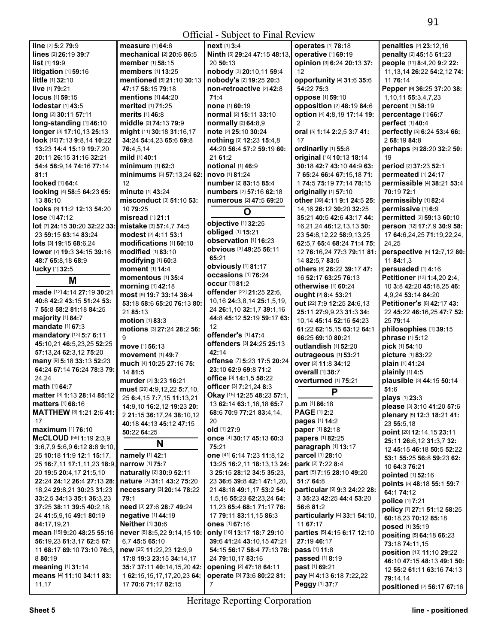|                                                   | $\mathsf{I}$                 |                                   |                              |                                                                      |
|---------------------------------------------------|------------------------------|-----------------------------------|------------------------------|----------------------------------------------------------------------|
| line [2] 5:2 79:9                                 | measure [1] 64:6             | $next$ [1] 3:4                    | <b>operates</b> [1] 78:18    | penalties [2] 23:12,16                                               |
| lines [2] 26:19 39:7                              | mechanical [2] 20:6 86:5     | Ninth [5] 29:24 47:15 48:13,      | operative [1] 69:19          | penalty [2] 45:15 61:23                                              |
| list [1] 19:9                                     | member [1] 58:15             | 20 50:13                          | opinion [3] 6:24 20:13 37:   | people [11] 8:4,20 9:2 22:                                           |
| litigation [1] 59:16                              | members [1] 13:25            | nobody [3] 20:10,11 59:4          | 12                           | 11, 13, 14 26: 22 54: 2, 12 74:                                      |
| little [1] 32:10                                  | mentioned [5] 21:10 30:13    | nobody's [2] 19:25 20:3           | opportunity [4] 31:6 35:6    | 11 76:14                                                             |
| live [1] 79:21                                    | 47:17 58:15 79:18            | non-retroactive [2] 42:8          | 54:22 75:3                   | Pepper [9] 36:25 37:20 38:                                           |
| <b>locus</b> [1] 59:15                            | <b>mentions</b> [1] 44:20    | 71:4                              | oppose [1] 59:10             | 1, 10, 11 55: 3, 4, 7, 23                                            |
| lodestar [1] 43:5                                 | merited [1] 71:25            | none [1] 60:19                    | opposition [2] 48:19 84:6    | percent [1] 58:19                                                    |
| long [2] 30:11 57:11                              | <b>merits</b> [1] 46:8       | normal [2] 15:11 33:10            | option [4] 4:8,19 17:14 19:  | percentage [1] 66:7                                                  |
| long-standing [1] 46:10                           | middle [2] 74:13 79:9        | normally [2] 64:8,9               | 2                            | perfect [1] 40:4                                                     |
| longer [3] 17:10,13 25:13                         | might [11] 30:18 31:16,17    | note [2] 25:10 30:24              | oral [5] 1:14 2:2,5 3:7 41:  | perfectly [5] 6:24 53:4 66:                                          |
| look [19] 7:13 9:8,14 10:22                       | 34:24 54:4,23 65:6 69:8      | nothing [9] 12:23 15:4,8          | 17                           | 2 68:19 84:8                                                         |
| 13:23 14:4 15:19 19:7,20                          | 76:4,5,14                    | 44:20 56:4 57:2 59:19 60:         | ordinarily [1] 55:8          | perhaps [3] 28:20 32:2 50:                                           |
| 20:11 26:15 31:16 32:21                           | mild [1] 40:1                | 21 61:2                           | original [16] 10:13 18:14    | 19                                                                   |
| 54:4 58:9,14 74:16 77:14                          | minimum [1] 62:3             | notional [1] 46:9                 | 30:18 42:7 43:10 44:9 63:    | period [2] 37:23 52:1                                                |
| 81:1                                              | minimums [3] 57:13,24 62:    | novo [1] 81:24                    | 7 65:24 66:4 67:15,18 71:    | permeated [1] 24:17                                                  |
| looked [1] 64:4                                   | 12                           | number [2] 83:15 85:4             | 1 74:5 75:19 77:14 78:15     | permissible [4] 38:21 53:4                                           |
| looking [4] 58:5 64:23 65:                        | minute [1] 43:24             | numbers [2] 57:16 62:18           | originally [1] 57:10         | 70:19 72:1                                                           |
| 13 86:10                                          | misconduct [3] 51:10 53:     | numerous [2] 47:5 69:20           | other [39] 4:11 9:1 24:5 25: | permissibly [1] 82:4                                                 |
| looks [3] 11:2 12:13 54:20                        | 10 79:25                     |                                   | 14, 16 26: 12 30: 20 32: 25  | permissive [1] 6:9                                                   |
|                                                   |                              | O                                 |                              |                                                                      |
| lose [1] 47:12                                    | misread [1] 21:1             | objective [1] 32:25               | 35:21 40:5 42:6 43:17 44:    | permitted [2] 59:13 60:10                                            |
| lot [7] 24:15 30:20 32:22 33:                     | mistake [3] 57:4.7 74:5      | obliged [1] 15:21                 | 16,21,24 46:12,13,13 50:     | person [12] 17:7,9 30:9 58:                                          |
| 23 59:15 63:14 83:24                              | modest [2] 4:11 53:1         | observation [1] 16:23             | 23 54:8,12,22 58:9,13,25     | 17 64:6,24,25 71:19,22,24,                                           |
| lots [3] 19:15 68:6,24                            | modifications [1] 60:10      | obvious [3] 49:25 56:11           | 62:5.7 65:4 68:24 71:4 75:   | 24.25                                                                |
| lower [7] 19:3 34:15 39:16                        | <b>modified</b> [1] 83:10    | 65:21                             | 12 76:16,24 77:3 79:11 81:   | perspective [5] 12:7,12 80:                                          |
| 48:7 65:8,18 68:9                                 | modifying [1] 60:3           |                                   | 14 82:5,7 83:5               | 11 84:1,3                                                            |
| lucky [1] 32:5                                    | moment [1] 14:4              | obviously [1] 81:17               | others [6] 26:22 39:17 47:   | persuaded [1] 4:16                                                   |
| M                                                 | momentous [1] 35:4           | occasions [1] 76:24               | 16 52:17 63:25 76:13         | Petitioner [13] 1:4,20 2:4,                                          |
|                                                   | morning [1] 42:18            | <b>occur</b> [1] 81:2             | otherwise [1] 60:24          | 10 3:8 42:20 45:18,25 46:                                            |
| made [12] 4:14 27:19 30:21                        | most [9] 19:7 33:14 36:4     | offender [22] 21:25 22:6,         | ought [2] 8:4 53:21          | 4,9,24 53:14 84:20                                                   |
| 40:8 42:2 43:15 51:24 53:                         | 53:18 58:6 65:20 76:13 80:   | 10, 16 24: 3, 8, 14 25: 1, 5, 19, | out [22] 7:9 12:25 24:6,13   | Petitioner's [8] 42:17 43:                                           |
| 7 55:8 58:2 81:18 84:25                           | 21 85:13                     | 24 26:1,10 32:1,7 39:1,16         | 25:11 27:9,9,23 31:3 34:     | 22 45:22 46:16,25 47:7 52:                                           |
| majority [1] 84:7                                 | motion [1] 83:3              | 44:8 45:12 52:19 59:17 63:        | 10,14 45:14 52:16 54:23      | 25 79:14                                                             |
| mandate [1] 67:3                                  | motions [3] 27:24 28:2 56:   | 12                                | 61:22 62:15,15 63:12 64:1    | philosophies [1] 39:15                                               |
| mandatory [13] 5:7 6:11                           | 9                            | offender's [1] 47:4               | 66:25 69:10 80:21            | phrase [1] 5:12                                                      |
| 45:10,21 46:5,23,25 52:25                         | move [1] 56:13               | offenders [3] 24:25 25:13         | outlandish [1] 52:20         | pick [1] 54:10                                                       |
| 57:13.24 62:3.12 75:20                            | movement [1] 49:7            | 42:14                             | outrageous [1] 53:21         | picture [1] 83:22                                                    |
| many [9] 5:18 33:13 52:23                         | much [4] 10:25 27:16 75:     | offense [7] 5:23 17:5 20:24       | over [2] 11:8 34:12          | plain [1] 41:24                                                      |
| 64:24 67:14 76:24 78:3 79:                        | 14 81:5                      | 23:10 62:9 69:8 71:2              |                              |                                                                      |
| 24,24                                             |                              |                                   |                              |                                                                      |
|                                                   |                              |                                   | <b>overall</b> [1] 38:7      | plainly [1] 4:5                                                      |
| math [1] 64:7                                     | murder [2] 3:23 16:21        | office [3] 14:1,5 58:22           | overturned [1] 75:21         | plausible [3] 44:15 50:14                                            |
|                                                   | must [29] 4:9,12,22 5:7,10,  | officer [3] 7:21,24 8:3           | P                            | 51:6                                                                 |
| matter [3] 1:13 28:14 85:12                       | 25 6:4, 15 7:7, 15 11:13, 21 | Okay [15] 12:25 48:23 57:1,       |                              | plays [1] 23:3                                                       |
| <b>matters</b> $[1]$ 68:16                        | 14:9,10 16:2,12 19:23 20:    | 13 62:14 63:1,16,18 65:7          | p.m [1] 86:18                | please [3] 3:10 41:20 57:6                                           |
| MATTHEW [3] 1:21 2:6 41:                          | 2 21:15 36:17,24 38:10,12    | 68:6 70:9 77:21 83:4,14,          | <b>PAGE [1] 2:2</b>          | plenary [5] 12:3 18:21 41:                                           |
| 17                                                | 40:18 44:13 45:12 47:15      | 20                                | pages [1] 14:2               | 23 55:5,18                                                           |
| <b>maximum</b> [1] 76:10                          | 50:22 64:25                  | old [1] 27:9                      | paper [1] 82:18              | point [20] 12:14,15 23:11                                            |
| McCLOUD [59] 1:19 2:3,9                           |                              | once [4] 30:17 45:13 60:3         | papers [1] 82:25             | 25:11 26:6,12 31:3,7 32:                                             |
| $3:6,7,9$ 5:6,9 6:12 8:8 9:10,                    | N                            | 75:21                             | paragraph [1] 13:17          | 12 45:15 46:18 50:5 52:22                                            |
| 25 10:18 11:9 12:1 15:17,                         | namely [1] 42:1              | one [41] 6:14 7:23 11:8,12        | parcel [1] 28:10             | 53:1 55:25 56:8 59:23 62:                                            |
| 25 16:7,11 17:1,11,23 18:9,                       | narrow [1] 75:7              | 13:25 16:2,11 18:13,13 24:        | park [2] 7:22 8:4            | 10 64:3 76:21                                                        |
| 20 19:5 20:4.17 21:5.10                           | naturally [2] 30:9 52:11     | 3 25:15 28:12 34:5 35:23.         | part [5] 7:15 28:10 49:20    | pointed [1] 52:16                                                    |
| 22:24 24:12 26:4 27:13 28:                        | nature [3] 31:1 43:2 75:20   | 23 36:6 39:8 42:1 47:1,20,        | 51:7 64:8                    | points [5] 48:18 55:1 59:7                                           |
| 18,24 <b>29:</b> 8,21 <b>30:</b> 23 <b>31:</b> 23 | necessary [3] 20:14 78:22    | 21 48:18 49:1,17 53:2 54:         | particular [9] 9:3 24:22 28: | 64:1 74:12                                                           |
| 33:2.5 34:13 35:1 36:3.23                         | 79:1                         | 1,5,16 55:23 62:23,24 64:         | 3 35:23 42:25 44:4 53:20     | police [1] 7:21                                                      |
| 37:25 38:11 39:5 40:2,18,                         | need [3] 27:6 28:7 49:24     | 11,23 65:4 68:1 71:17 76:         | 56:6 81:2                    | policy [7] 27:1 51:12 58:25                                          |
| 24 41:5,9,15 49:1 80:19                           | negative [1] 44:19           | 17 79:11 83:11,15 86:3            | particularly [4] 33:1 54:10, | 60:18,23 70:12 85:18                                                 |
| 84:17,19,21                                       | <b>Neither</b> [1] 30:6      | ones [1] 67:16                    | 11 67:17                     |                                                                      |
| mean [15] 9:20 48:25 55:16                        | never [8] 8:5,22 9:14,15 10: | only [16] 13:17 18:7 29:10        | parties [5] 4:15 6:17 12:10  | posed [1] 35:19                                                      |
| 56:19,23 61:3,17 62:5 67:                         | 6,7 45:5 65:10               | 39:6 41:24 43:10,15 47:21         | 27:19 46:17                  | positing [5] 64:18 66:23                                             |
| 11 68:17 69:10 73:10 76:3,                        | new [25] 11:22,23 12:9,9     | 54:15 56:17 58:4 77:13 78:        | pass [1] 11:8                | 73:18 74:11,15                                                       |
| 8 80:19                                           | 17:8 19:3 23:15 34:14,17     | 24 79:10,17 83:16                 | passed [1] 8:19              | position [13] 11:10 29:22                                            |
| meaning [1] 31:14                                 | 35:7 37:11 40:14,15,20 42:   | opening [2] 47:18 64:11           | past [1] 69:21               |                                                                      |
| means [4] 11:10 34:11 83:                         | 1 62:15,15,17,17,20,23 64:   | operate [3] 73:6 80:22 81:        | pay [4] 4:13 6:18 7:22,22    | 12 55:2 61:11 63:16 74:13                                            |
| 11,17                                             | 17 70:6 71:17 82:15          | 7                                 | Peggy [1] 37:7               | 46:10 47:15 48:13 49:1 50:<br>79:14,14<br>positioned [2] 56:17 67:16 |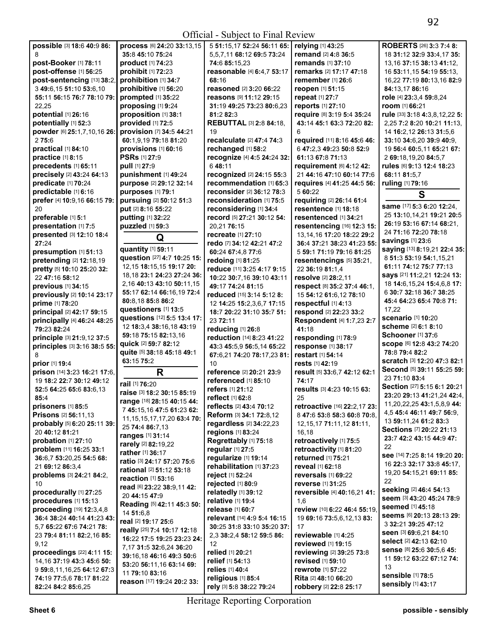|                                                |                                              | $\cdots$ $\sim$ $\cdots$ $\sim$ $\cdots$ $\cdots$ |                                |                                         |
|------------------------------------------------|----------------------------------------------|---------------------------------------------------|--------------------------------|-----------------------------------------|
| possible [3] 18:6 40:9 86:                     | process [6] 24:20 33:13,15                   | 5 51:15,17 52:24 56:11 65:   relying [1] 43:25    |                                | ROBERTS [26] 3:3 7:4 8:                 |
| 8                                              | 35:8 45:10 75:24                             | 5,5,7,11 68:12 69:5 73:24                         | remand [2] 4:8 36:5            | 18 31:12 32:9 33:4.17 35:               |
| post-Booker [1] 78:11                          | product [1] 74:23                            | 74:6 85:15,23                                     | remands [1] 37:10              | 13, 16 37: 15 38: 13 41: 12,            |
| post-offense [1] 56:25                         | prohibit [1] 72:23                           | reasonable [4] 6:4,7 53:17                        | remarks [2] 17:17 47:18        | 16 53:11,15 54:19 55:13,                |
| post-sentencing [13] 38:2,                     |                                              |                                                   | remember [1] 26:6              |                                         |
|                                                | prohibition [1] 34:7                         | 68:16                                             |                                | 16,22 77:19 80:13,16 82:9               |
| 3 49:6,15 51:10 53:6,10                        | prohibitive [1] 56:20                        | reasoned [2] 3:20 66:22                           | reopen [1] 51:15               | 84:13.17 86:16                          |
| 55:11 56:15 76:7 78:10 79:                     | prompted [1] 35:22                           | reasons [9] 11:12 29:15                           | repeat [1] 27:7                | role [4] 23:3,4 59:8,24                 |
| 22,25                                          | proposing [1] 9:24                           | 31:19 49:25 73:23 80:6,23                         | reports [1] 27:10              | room [1] 66:21                          |
| potential [1] 26:16                            | proposition [1] 38:1                         | 81:2 82:3                                         | require [8] 3:19 5:4 35:24     | rule [33] 3:18 4:3,8,12,22 5:           |
| potentially [1] 52:3                           | provided [1] 72:5                            | <b>REBUTTAL [3] 2:8 84:18,</b>                    | 43:14 45:1 63:3 72:20 82:      | 2,25 7:2 8:20 10:21 11:13,              |
| powder [6] 25:1,7,10,16 26:                    | provision [7] 34:5 44:21                     | 19                                                | 6                              | 14 16:2.12 26:13 31:5.6                 |
|                                                |                                              | recalculate [2] 47:4 74:3                         |                                |                                         |
| 275:6                                          | 60:1,9,19 79:18 81:20                        |                                                   | required [11] 8:16 45:6 46:    | 33:10 34:6,20 39:9 40:9,                |
| practical [1] 84:10                            | provisions [1] 60:16                         | rechanged [1] 58:2                                | 6 47:2.3 49:23 50:8 52:9       | 19 56:4 60:5,11 65:21 67:               |
| practice [1] 8:15                              | <b>PSRs</b> [1] 27:9                         | recognize [4] 4:5 24:24 32:                       | 61:13 67:8 71:13               | 2 69:18,19,20 84:5,7                    |
| precedents [1] 65:11                           | pull [1] 27:9                                | 648:11                                            | requirement [6] 4:12 42:       | rules [6] 9:13 12:4 18:23               |
| precisely [2] 43:24 64:13                      | punishment [1] 49:24                         | recognized [2] 24:15 55:3                         | 21 44:16 47:10 60:14 77:6      | 68:11 81:5,7                            |
| predicate [1] 70:24                            | purpose [2] 29:12 32:14                      | recommendation [1] 65:3                           | requires [4] 41:25 44:5 56:    | ruling [1] 79:16                        |
| predictable [1] 6:16                           |                                              | reconsider [2] 36:12 78:3                         | 5 60:22                        |                                         |
|                                                | purposes [1] 79:1                            |                                                   |                                | S                                       |
| prefer [4] 10:9,16 66:15 79:                   | pursuing [2] 50:12 51:3                      | reconsideration [1] 75:5                          | requiring [2] 26:14 61:4       |                                         |
| 20                                             | put [2] 8:16 55:22                           | reconsidering [1] 34:4                            | resentence [1] 18:18           | same [17] 5:3 6:20 12:24,               |
| preferable [1] 5:1                             | putting [1] 32:22                            | record [5] 27:21 30:12 54:                        | resentenced [1] 34:21          | 25 13:10,14,21 19:21 20:5               |
| presentation [1] 7:5                           | puzzled [1] 59:3                             | 20,2176:15                                        | resentencing [16] 12:3 15:     | 26:19 53:16 67:14 68:21,                |
| presented [3] 12:10 18:4                       |                                              | recreate [1] 27:10                                | 13, 14, 16 17: 20 18: 22 29: 2 | 24 71:16 72:20 78:18                    |
| 27:24                                          | Q                                            | redo [7] 34:12 42:21 47:2                         | 36:4 37:21 38:23 41:23 55:     | savings [1] 23:6                        |
|                                                | quantity [1] 59:11                           |                                                   |                                | saying [13] 8:19,21 22:4 35:            |
| presumption [1] 51:13                          | question [27] 4:7 10:25 15:                  | 60:24 67:4,8 77:6                                 | 5 59:1 71:19 79:16 81:25       | 8 51:3 53:19 54:1,15,21                 |
| pretending [2] 12:18,19                        |                                              | redoing [1] 81:25                                 | resentencings [5] 35:21,       |                                         |
| pretty [5] 10:10 25:20 32:                     | 12, 15 18: 15, 15 19: 17 20:                 | reduce [11] 3:25 4:17 9:15                        | 22 36:19 81:1.4                | 61:11 74:12 75:7 77:13                  |
| 22 47:16 58:12                                 | 18, 18 23:1 24: 23 27: 24 36:                | 10:22 30:7,16 39:10 43:11                         | resolve [2] 28:2,11            | says [21] 11:2,21 12:24 13:             |
| previous [1] 34:15                             | 2,16 40:13 43:10 50:11,15                    | 49:17 74:24 81:15                                 | respect [8] 35:2 37:4 46:1,    | 18 14:6, 15, 24 15:4, 6, 8 17:          |
| previously [2] 10:14 23:17                     | 55:17 62:14 66:16,19 72:4                    | reduced [15] 3:14 5:12 8:                         | 15 54:12 61:6,12 78:10         | 6 30:7 32:18 36:7 38:25                 |
| prime [1] 78:20                                | 80:8,18 85:8 86:2                            | 12 14:25 15:2,3,6,7 17:15                         | respectful [1] 4:13            | 45:4 64:23 65:4 70:8 71:                |
|                                                | questioners [1] 13:5                         |                                                   |                                | 17,22                                   |
| principal [2] 42:17 59:15                      | questions [12] 5:5 13:4 17:                  | 18:7 20:22 31:10 35:7 51:                         | respond [2] 22:23 33:2         |                                         |
|                                                |                                              |                                                   |                                |                                         |
| principally [4] 46:24 48:25                    |                                              | 23 72:11                                          | Respondent [4] 1:7,23 2:7      | <b>scenario</b> [1] 10:20               |
| 79:23 82:24                                    | 12 18:3,4 38:16,18 43:19                     | reducing [1] 26:8                                 | 41:18                          | scheme [2] 6:1 8:10                     |
|                                                | 59:18 75:15 82:13,16                         |                                                   |                                | Schooner [1] 37:6                       |
| principle [3] 21:9,12 37:5                     | quick [2] 59:7 82:12                         | reduction [14] 8:23 41:22                         | responding [1] 78:9            | SCOPE [6] 12:8 43:2 74:20               |
| principles [3] 3:16 38:5 55:                   |                                              | 43:3 45:5,9 56:5,14 65:22                         | response [1] 38:17             | 78:8 79:4 82:2                          |
|                                                | quite [5] 38:18 45:18 49:1                   | 67:6,21 74:20 78:17,23 81:                        | restart [1] 54:14              |                                         |
| prior [1] 19:4                                 | 63:15 75:2                                   | 10                                                | rests [1] 42:19                | scratch [3] 12:20 47:3 82:1             |
| prison [14] 3:23 16:21 17:6,                   | R                                            | reference [2] 20:21 23:9                          | result [5] 33:6,7 42:12 62:1   | Second [5] 39:11 55:25 59:              |
| 19 18:2 22:7 30:12 49:12                       |                                              | referenced [1] 85:10                              | 74:17                          | 23 71:10 83:4                           |
| 52:5 64:25 65:6 83:6,13                        | rail [1] 76:20                               | refers [1] 21:12                                  | results [3] 4:23 10:15 63:     | Section [27] 5:15 6:1 20:21             |
| 85:4                                           | raise [3] 18:2 30:15 85:19                   | reflect [1] 62:8                                  | 25                             | 23:20 29:13 41:21,24 42:4,              |
|                                                | range [18] 28:15 40:15 44:                   |                                                   |                                | 11,20,22,25 43:1,5,8,9 44:              |
| prisoners [1] 85:5                             | 7 45:15,16 47:5 61:23 62:                    | reflects [2] 43:4 70:12                           | retroactive [16] 22:2,17 23:   | 4.5 45:4 46:11 49:7 56:9.               |
| <b>Prisons</b> [2] 56:11,13                    | 11, 15, 15, 17, 17, 20 63: 4 70:             | Reform [3] 34:1 72:8,12                           | 847:653:858:360:870:8          |                                         |
| probably [5] 6:20 25:11 39:                    | 25 74:4 86:7,13                              | regardless [2] 34:22,23                           | 12, 15, 17 71: 11, 12 81: 11,  | 13 59:11,24 61:2 83:3                   |
| 20 40:12 81:21                                 | <b>ranges</b> [1] <b>31:14</b>               | regions [1] 83:24                                 | 16,18                          | Sections [7] 20:22 21:13                |
| probation $[1]$ 27:10                          |                                              | Regrettably [1] 75:18                             | retroactively [1] 75:5         | 23:7 42:2 43:15 44:9 47:                |
| problem [11] 16:25 33:1                        | <b>rarely</b> [2] 82:19,22                   | regular [1] 27:5                                  | retroactivity [1] 81:20        | 22                                      |
| 36:6,7 53:20,25 54:5 68:                       | rather [1] 36:17                             | regularize [1] 19:14                              | returned [1] 75:21             | see [14] 7:25 8:14 19:20 20:            |
|                                                | ratio [3] 24:17 57:20 75:6                   |                                                   | reveal [1] 62:18               | 16 22:3 32:17 33:8 45:17,               |
| 21 69:12 86:3,4                                | <b>rational</b> [2] <b>51:12 53:18</b>       | rehabilitation [1] 37:23                          |                                | 19,20 54:15,21 69:11 85:                |
| problems [3] 24:21 84:2,                       | reaction [1] 53:16                           | reject [1] 52:24                                  | reversals [1] 69:22            | 22                                      |
| 10                                             | read [6] 23:22 38:9,11 42:                   | rejected [1] 80:9                                 | reverse [1] 31:25              |                                         |
| procedurally [1] 27:25                         | 20 44:15 47:9                                | relatedly [1] 39:12                               | reversible [4] 40:16,21 41:    | seeking [2] 46:4 54:13                  |
| procedures [1] 15:13                           | Reading [5] 42:11 45:3 50:                   | relative [1] 19:4                                 | 1,6                            | seem [3] 43:20 45:24 78:9               |
| proceeding [19] 12:3,4,8                       |                                              | release [1] 60:7                                  | review [10] 6:22 46:4 55:19,   | <b>seemed</b> [1] 45:18                 |
| 36:4 38:24 40:14 41:23 43:                     | 14 51:6,8                                    | relevant [14] 4:9 5:4 16:15                       | 19 69:16 73:5,6,12,13 83:      | seems [6] 20:13 28:13 29:               |
| 5,7 65:22 67:6 74:21 78:                       | real [2] 19:17 25:6                          | 30:25 31:8 33:10 35:20 37:                        | 17                             | 3 32:21 39:25 47:12                     |
|                                                | really [25] 7:4 10:17 12:18                  |                                                   |                                | seen [3] 69:6,21 84:10                  |
| 23 79:4 81:11 82:2,16 85:                      | 16:22 17:5 19:25 23:23 24:                   | 2,3 38:2,4 58:12 59:5 86:                         | reviewable [1] 4:25            | select [2] 42:13 62:10                  |
| 9,12                                           | 7,17 31:5 32:6,24 36:20                      | $12 \,$                                           | reviewed [1] 19:15             | Sense [8] 25:6 30:5,6 45:               |
| proceedings [22] 4:11 15:                      | 39:16,18 46:16 49:3 50:6                     | relied [1] 20:21                                  | reviewing [2] 39:25 73:8       |                                         |
| 14, 16 37: 19 43: 3 45: 6 50:                  | 53:20 56:11,16 63:14 69:                     | relief [1] 54:13                                  | revised [1] 59:10              | 11 59:12 63:22 67:12 74:                |
| 9 59:8,11,16,25 64:12 67:3                     |                                              | relies [1] 40:4                                   | rewrote [1] 57:22              | 13                                      |
| 74:19 77:5,6 78:17 81:22<br>82:24 84:2 85:6,25 | 11 79:10 83:16<br>reason [17] 19:24 20:2 33: | religious [1] 85:4                                | Rita [2] 48:10 66:20           | sensible [1] 78:5<br>sensibly [1] 43:17 |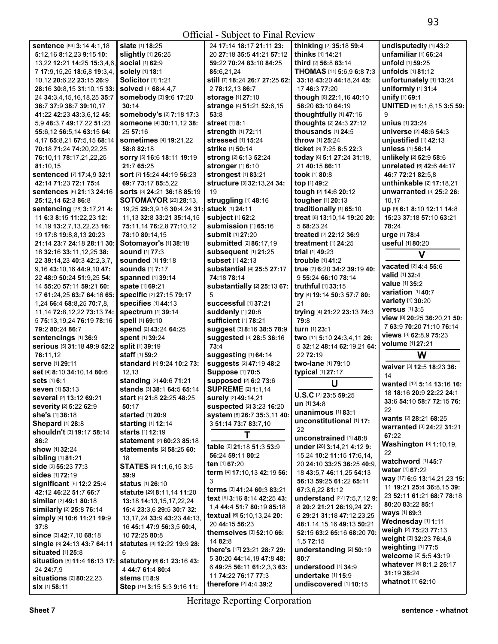|                                            |                                     | $OIII$ at $\sim$ 5 do]cot to 1 mail neview |                                    |                                 |
|--------------------------------------------|-------------------------------------|--------------------------------------------|------------------------------------|---------------------------------|
| sentence [84] 3:14 4:1,18                  | slate [1] 18:25                     | 24 17:14 18:17 21:11 23:                   | thinking [2] 35:18 59:4            | undisputedly [1] 43:2           |
| 5:12,16 8:12,23 9:15 10:                   | slightly [1] 26:25                  | 20 27:18 35:5 41:21 57:12                  | thinks [1] 14:21                   | unfamiliar [1] 66:24            |
| 13,22 12:21 14:25 15:3,4,6,                | social [1] 62:9                     | 59:22 70:24 83:10 84:25                    | third [2] 56:8 83:14               | unfold [1] 59:25                |
| 7 17:9,15,25 18:6,8 19:3,4,                | solely [1] 18:1                     | 85:6,21,24                                 | THOMAS [11] 5:6,9 6:8 7:3          | unfolds [1] 81:12               |
| 10,12 20:6,22 23:15 26:9                   | <b>Solicitor [1] 1:21</b>           | still [7] 18:24 26:7 27:25 62:             | 33:18 43:20 44:18,24 45:           | unfortunately [1] 13:24         |
| 28:16 30:8.15 31:10.15 33:                 | <b>solved</b> [3] 68:4,4,7          |                                            |                                    | uniformly [1] 31:4              |
|                                            |                                     | 2 78:12,13 86:7                            | 17 46:3 77:20                      |                                 |
| 24 34:3,4,15,16,18,25 35:7                 | <b>somebody</b> [3] 9:6 17:20       | <b>storage</b> [1] 27:10                   | though [6] 22:1,16 40:10           | unify [1] 69:1                  |
| 36:7 37:9 38:7 39:10,17                    | 30:14                               | strange [4] 51:21 52:6,15                  | 58:20 63:10 64:19                  | UNITED [5] 1:1,6,15 3:5 59:     |
| 41:22 42:23 43:3,6,12 45:                  | somebody's [2] 7:18 17:3            | 53:8                                       | thoughtfully [1] 47:16             | 9                               |
| 5.9 48:3.7 49:17.22 51:23                  | someone [4] 30:11,12 38:            | street [1] 8:1                             | thoughts [2] 24:3 27:12            | unius [1] 23:24                 |
| 55:6,12 56:5,14 63:15 64:                  | 25 57:16                            | strength [1] 72:11                         | thousands [1] 24:5                 | universe [2] 48:6 54:3          |
| 4,17 65:8,21 67:5,15 68:14                 | <b>sometimes</b> [4] 19:21,22       | stressed [1] 15:24                         | <b>throw</b> [1] <b>25:24</b>      | unjustified [1] 42:13           |
| 70:18 71:24 74:20,22,25                    | 58:882:18                           | strike [1] 50:14                           | ticket [3] $7:258:522:3$           | unless [1] 56:14                |
| 76:10,11 78:17,21,22,25                    | sorry [5] 16:6 18:11 19:19          | strong [2] 6:13 52:24                      | today [6] 5:1 27:24 31:18,         | unlikely [2] 52:9 58:6          |
| 81:10.15                                   | 21:7 65:25                          | stronger [1] 6:10                          | 21 40:15 86:11                     | unrelated [6] 42:6 44:17        |
| sentenced [7] 17:4,9 32:1                  | sort [7] 15:24 44:19 56:23          | strongest [1] 83:21                        | took [1] 80:8                      | 46:7 72:21 82:5,8               |
|                                            |                                     |                                            |                                    |                                 |
| 42:14 71:23 72:1 75:4                      | 69:7 73:17 85:5,22                  | structure [3] 32:13,24 34:                 | top [1] 49:2                       | unthinkable [2] 17:18,21        |
| Sentences [6] 21:13 24:16                  | Sorts [3] 24:21 36:18 85:19         | 19                                         | tough [2] 14:6 20:12               | unwarranted [3] 25:2 26:        |
| 25:12,14 62:3 86:8                         | <b>SOTOMAYOR</b> [23] <b>28:13,</b> | struggling [1] 48:16                       | tougher [1] 20:13                  | 10,17                           |
| sentencing [78] 3:17,21 4:                 | 19,25 29:3,9,16 30:4,24 31:         | stuck [1] 24:11                            | traditionally [1] 65:10            | up [9] 6:1 8:10 12:11 14:8      |
| 11 6:3 8:15 11:22,23 12:                   | 11, 13 32:8 33:21 35:14, 15         | subject [1] 62:2                           | treat [6] 13:10,14 19:20 20:       | 15:23 37:18 57:10 63:21         |
| 14, 19 13: 2, 7, 13, 22, 23 16:            | 75:11,14 76:2,8 77:10,12            | submission [1] 65:16                       | 5 68:23.24                         | 78:24                           |
| 19 17:8 19:8,8,13 20:23                    | 78:10 80:14,15                      | <b>submit</b> [1] 27:20                    | treated [2] 22:12 36:9             | urge [1] 78:4                   |
| 21:14 23:7 24:18 28:11 30:                 | Sotomayor's [1] 38:18               | <b>submitted</b> [2] 86:17,19              | <b>treatment</b> [1] <b>24:25</b>  | useful [1] 80:20                |
| 18 32:16 33:11,12,25 38:                   | <b>sound</b> [1] 77:3               | subsequent [1] 21:25                       | trial [1] 49:23                    |                                 |
| 22 39:14,23 40:3 42:2,3,7,                 | <b>sounded</b> [1] 19:18            | <b>subset</b> [1] 42:13                    | trouble [1] 41:2                   | V                               |
|                                            |                                     |                                            |                                    | vacated [2] 4:4 55:6            |
| 9,16 43:10,16 44:9,10 47:                  | <b>sounds</b> [1] 7:17              | substantial [4] 25:5 27:17                 | true [7] 6:20 34:2 39:19 40:       | valid [1] 32:4                  |
| 22 48:9 50:24 51:9,25 54:                  | spanned [1] 39:14                   | 74:18 78:14                                | 9 55:24 66:10 78:14                | value [1] 35:2                  |
| 14 55:20 57:11 59:21 60:                   | spate [1] 69:21                     | substantially [2] 25:13 67:                | truthful [1] 33:15                 |                                 |
| 17 61:24,25 63:7 64:16 65:                 | specific [2] 27:15 79:17            | 5                                          | try [4] 19:14 50:3 57:7 80:        | variation [1] 40:7              |
| 1,24 66:4 68:8,25 70:7,8,                  | specifies [1] 44:13                 | successful [1] 37:21                       | 21                                 | variety [1] 30:20               |
| 11, 14 72: 8, 12, 22 73: 13 74:            | <b>spectrum</b> [1] 39:14           | suddenly [1] 20:8                          | trying [4] 21:22 23:13 74:3        | <b>versus</b> [1] 3:5           |
| 5 75:13,19,24 76:19 78:16                  | spell [1] 69:10                     | sufficient [1] 78:21                       | 79:8                               | view [8] 20:25 36:20,21 50:     |
| 79:2 80:24 86:7                            | spend [2] 43:24 64:25               | suggest [3] 8:16 38:5 78:9                 | turn [1] 23:1                      | 7 63:9 70:20 71:10 76:14        |
| sentencings [1] 36:9                       | spent [1] 39:24                     | suggested [3] 28:5 36:16                   | two [11] 5:10 24:3,4,11 26:        | views [3] 62:8,9 75:23          |
| serious [5] 31:18 49:9 52:2                | split [1] 39:19                     | 73:4                                       | 5 32:12 48:14 62:19,21 64:         | volume [1] 27:21                |
|                                            | staff [1] 59:2                      |                                            | 22 72:19                           | W                               |
| 76:11,12                                   |                                     | suggesting [1] 64:14                       |                                    |                                 |
| Serve [1] 29:11                            | standard [4] 9:24 10:2 73:          | suggests [2] 47:19 48:2                    | two-lane [1] 79:10                 | waiver [3] 12:5 18:23 36:       |
| set [4] 8:10 34:10,14 80:6                 | 12,13                               | Suppose [1] 70:5                           | typical [1] 27:17                  | 14                              |
| sets [1] 6:1                               | standing [2] 40:6 71:21             | supposed [2] 6:2 73:6                      | U                                  | wanted [12] 5:14 13:16 16:      |
| seven [1] 53:13                            | stands [3] 38:1 64:5 65:14          | <b>SUPREME [2] 1:1,14</b>                  |                                    | 18 18:16 20:9 22:22 24:1        |
| several [2] 13:12 69:21                    | start [4] 21:8 22:25 48:25          | <b>surely</b> [2] 49:14,21                 | U.S.C [2] 23:5 59:25               | 33:6 54:10 58:7 72:15 76:       |
| severity [2] 5:22 62:9                     | 50:17                               | suspected [2] 3:23 16:20                   | un [1] 34:8                        | 22                              |
| she's [1] 38:18                            | started [1] 20:9                    | system [8] 26:7 35:3,11 40:                | unanimous [1] 83:1                 |                                 |
| <b>Shepard</b> [1] 28:8                    | starting [1] 12:14                  | 3 51:14 73:7 83:7,10                       | unconstitutional [1] 17:           | wants [2] 28:21 68:25           |
| shouldn't [3] 19:17 58:14                  | starts [1] 12:19                    |                                            | 22                                 | warranted [3] 24:22 31:21       |
| 86:2                                       | statement [2] 60:23 85:18           | T                                          | unconstrained [1] 48:8             | 67:22                           |
|                                            |                                     | table [6] 21:18 51:3 53:9                  | under [28] 3:14,21 4:12 9:         | Washington [3] 1:10,19,         |
| show [1] 32:24                             | <b>statements</b> [2] 58:25 60:     | 56:24 59:11 80:2                           | 15,24 10:2 11:15 17:6,14,          | 22                              |
| <b>sibling</b> [1] 81:21                   | 18                                  | ten [1] 67:20                              | 20 24:10 33:25 36:25 40:9          | watchword [1] 45:7              |
| side [2] 55:23 77:3                        | STATES [5] 1:1,6,15 3:5             |                                            | 18 43:5.7 46:11.25 54:13           | water [1] 67:22                 |
| <b>sides</b> [1] <b>72:</b> 19             | 59:9                                | term [4] 17:10,13 42:19 56:                |                                    | way [17] 6:5 13:14,21,23 15:    |
| significant $[6]$ 12:2 25:4                | <b>status</b> [1] <b>26:10</b>      | 3                                          | 56:13 59:25 61:22 65:11            | 11 19:21 25:4 36:8,15 39:       |
| 42:12 46:22 51:7 66:7                      | statute [29] 8:11,14 11:20          | terms [3] 41:24 60:3 83:21                 | 67:3,6,22 81:12                    | 23 52:11 61:21 68:7 78:18       |
| similar [2] 49:1 80:18                     | 13:18 14:13,15,17,22,24             | text [9] 3:16 8:14 42:25 43:               | <b>understand</b> [27] 7:5,7,12 9: | 80:20 83:22 85:1                |
| similarly [2] 25:8 76:14                   | 15:4 23:3,6 29:5 30:7 32:           | 1,4 44:4 51:7 80:19 85:18                  | 8 20:2 21:21 26:19,24 27:          |                                 |
| simply [4] 10:6 11:21 19:9                 | 13, 17, 24 33: 9 43: 23 44: 13,     | textual [6] 5:10,13,24 20:                 | 6 29:21 31:18 47:12,23,25          | ways [1] 69:3                   |
| 37:8                                       | 16 45:1 47:9 56:3,5 60:4,           | 20 44:15 56:23                             | 48:1,14,15,16 49:13 50:21          | Wednesday [1] 1:11              |
| since [3] 42:7,10 68:18                    | 10 72:25 80:8                       | themselves [3] 52:10 66:                   | 52:15 63:2 65:16 68:20 70:         | weigh [2] 75:23 77:13           |
|                                            |                                     | 14 82:8                                    | 1,572:15                           | weight [3] 32:23 76:4,6         |
| single [3] 24:13 43:7 64:11                | statutes [3] 12:22 19:9 28:         | there's [17] 23:21 28:7 29:                | understanding [2] 50:19            | weighting $[1]$ 77:5            |
| situated [1] 25:8                          | 6                                   | 5 30:20 44:14,19 47:8 48:                  | 80:7                               | welcome [2] 5:5 43:19           |
| <b>situation</b> [5] <b>11:4 16:13 17:</b> | statutory [6] 6:1 23:16 43:         | 6 49:25 56:11 61:2,3,3 63:                 | understood [1] 34:9                | whatever [5] 8:1,2 25:17        |
| 24 24:7,9                                  | 4 44:7 61:4 80:4                    |                                            |                                    | 31:19 38:24                     |
| situations [2] 80:22,23                    | <b>stems</b> [1] 8:9                | 11 74:22 76:17 77:3                        | undertake [1] 15:9                 | <b>whatnot</b> [1] <b>62:10</b> |
| SİX [1] 58:11                              | Step [19] 3:15 5:3 9:16 11:         | therefore [2] 4:4 39:2                     | undiscovered [1] 10:15             |                                 |